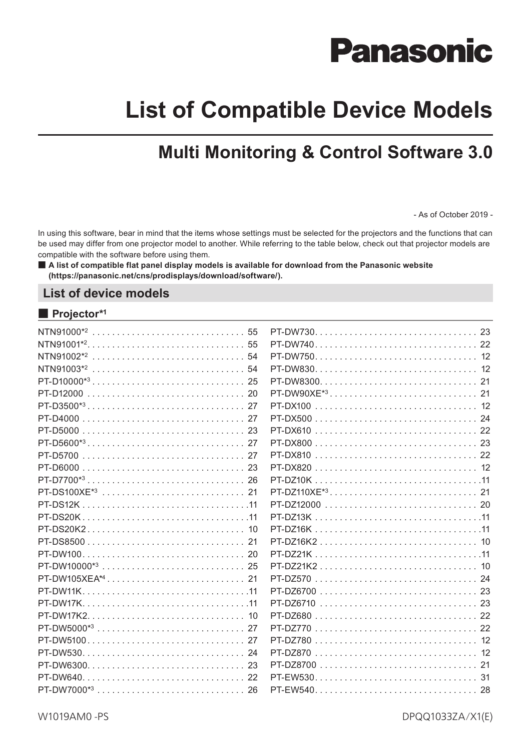# **Panasonic**

# **List of Compatible Device Models**

# **Multi Monitoring & Control Software 3.0**

- As of October 2019 -

In using this software, bear in mind that the items whose settings must be selected for the projectors and the functions that can be used may differ from one projector model to another. While referring to the table below, check out that projector models are compatible with the software before using them.

■ A list of compatible flat panel display models is available for download from the Panasonic website **(https://panasonic.net/cns/prodisplays/download/software/).**

### **List of device models**

### ■ **Projector\*1**

|          | PT-DW750 12   |
|----------|---------------|
|          |               |
|          |               |
|          |               |
|          |               |
|          |               |
|          | PT-DX610  22  |
|          |               |
|          |               |
|          |               |
|          |               |
|          |               |
|          |               |
|          |               |
|          |               |
|          |               |
|          |               |
|          |               |
|          |               |
|          |               |
|          | PT-DZ6710  23 |
|          |               |
|          |               |
|          |               |
|          |               |
|          | PT-DZ8700  21 |
| PT-DW640 |               |
|          |               |
|          |               |

W1019AM0 -PS

DPQQ1033ZA/X1(E)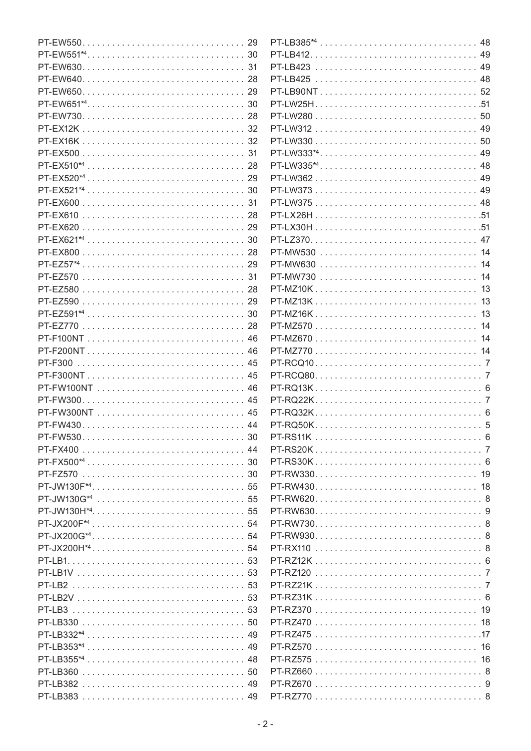|                           | PT-LB385 <sup>*4</sup> 48 |  |
|---------------------------|---------------------------|--|
|                           |                           |  |
|                           |                           |  |
|                           |                           |  |
|                           |                           |  |
|                           |                           |  |
|                           |                           |  |
|                           |                           |  |
|                           |                           |  |
|                           | PT-LW333 <sup>*4</sup> 49 |  |
|                           | PT-LW335 <sup>*4</sup> 48 |  |
|                           | PT-LW362 49               |  |
|                           |                           |  |
|                           |                           |  |
| PT-EX610  28              | PT-LX26H51                |  |
| PT-EX620  29              |                           |  |
|                           |                           |  |
|                           | PT-MW530  14              |  |
|                           | PT-MW630  14              |  |
|                           | PT-MW730  14              |  |
|                           |                           |  |
|                           |                           |  |
|                           | PT-MZ16K 13               |  |
|                           | PT-MZ570 14               |  |
|                           |                           |  |
| PT-F200NT 46              | PT-MZ770 14               |  |
|                           |                           |  |
| PT-F300NT 45              |                           |  |
|                           |                           |  |
|                           |                           |  |
|                           |                           |  |
|                           |                           |  |
| PT-FW430 44               |                           |  |
|                           |                           |  |
| PT-FX400  44              |                           |  |
|                           |                           |  |
|                           |                           |  |
|                           |                           |  |
|                           |                           |  |
|                           |                           |  |
|                           |                           |  |
|                           |                           |  |
|                           |                           |  |
|                           |                           |  |
|                           |                           |  |
|                           |                           |  |
|                           |                           |  |
|                           |                           |  |
|                           |                           |  |
| PT-LB332 <sup>*4</sup> 49 |                           |  |
|                           |                           |  |
|                           |                           |  |
|                           |                           |  |
|                           |                           |  |
|                           |                           |  |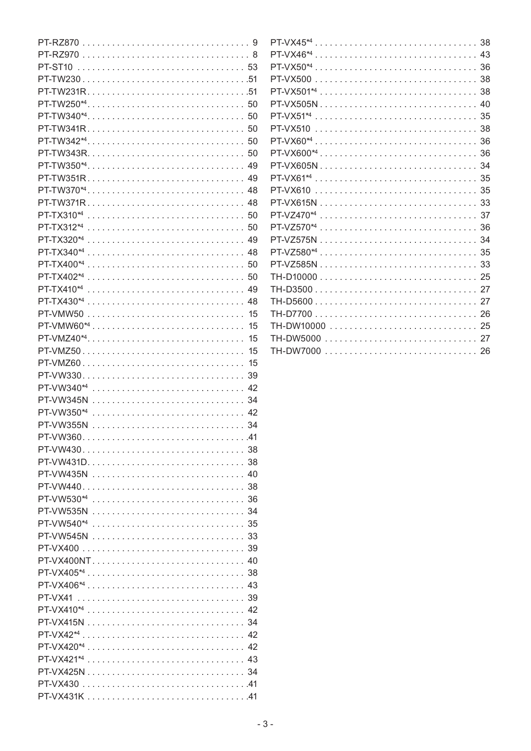|                           | $\mathsf{P}$   |
|---------------------------|----------------|
|                           | $\mathsf{P}$   |
|                           | P              |
|                           | $\mathsf{P}$   |
|                           | $\mathsf{P}$   |
|                           | P              |
|                           | P              |
|                           | $\mathsf{P}$   |
|                           | P              |
|                           | $\mathsf{P}$   |
|                           | $\mathsf{P}$   |
| PT-TW351R 49              | P              |
|                           | $\mathsf{P}$   |
| PT-TW371R 48              | P              |
|                           | $\mathsf{P}$   |
|                           | $\mathsf{D}$   |
|                           | b.             |
|                           | $\mathsf{P}$   |
|                           | $\mathsf{P}$   |
|                           |                |
|                           | TI             |
|                           | TI             |
|                           | T              |
|                           | T <sub>l</sub> |
| 15                        | TI             |
|                           | TI             |
| PT-VMZ50<br>15            | T              |
| PT-VMZ60 15               |                |
|                           |                |
| PT-VW340 <sup>*4</sup> 42 |                |
|                           |                |
|                           |                |
|                           |                |
|                           |                |
|                           |                |
|                           |                |
|                           |                |
|                           |                |
| PT-VW530 <sup>*4</sup> 36 |                |
|                           |                |
|                           |                |
|                           |                |
|                           |                |
| PT-VX400NT 40             |                |
|                           |                |
| PT-VX406 <sup>*4</sup> 43 |                |
|                           |                |
| PT-VX410 <sup>*4</sup> 42 |                |
|                           |                |
|                           |                |
|                           |                |
|                           |                |
|                           |                |
|                           |                |
|                           |                |
|                           |                |

| PT-VX46 <sup>*4</sup> 43  |
|---------------------------|
|                           |
|                           |
|                           |
|                           |
| PT-VX51 <sup>*4</sup> 35  |
| PT-VX510  38              |
|                           |
|                           |
| PT-VX605N 34              |
|                           |
| PT-VX610  35              |
|                           |
|                           |
| PT-VZ570 <sup>*4</sup> 36 |
|                           |
|                           |
|                           |
|                           |
|                           |
|                           |
|                           |
|                           |
|                           |
| TH-DW7000  26             |
|                           |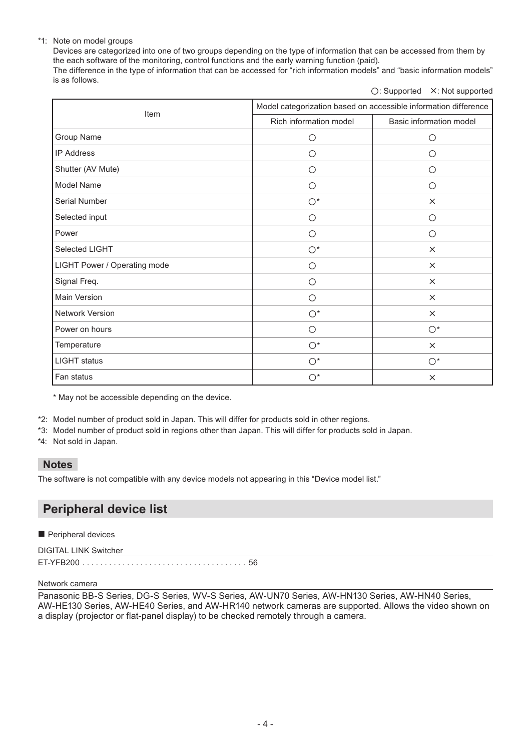### \*1: Note on model groups

Devices are categorized into one of two groups depending on the type of information that can be accessed from them by the each software of the monitoring, control functions and the early warning function (paid). The difference in the type of information that can be accessed for "rich information models" and "basic information models" is as follows.

○: Supported  $×$ : Not supported

| Item                         | Model categorization based on accessible information difference |                         |  |
|------------------------------|-----------------------------------------------------------------|-------------------------|--|
|                              | Rich information model                                          | Basic information model |  |
| Group Name                   | $\bigcirc$                                                      | $\circ$                 |  |
| <b>IP Address</b>            | $\circ$                                                         | $\circ$                 |  |
| Shutter (AV Mute)            | O                                                               | $\circ$                 |  |
| Model Name                   | O                                                               | $\circ$                 |  |
| Serial Number                | $\bigcirc^*$                                                    | $\times$                |  |
| Selected input               | O                                                               | $\bigcirc$              |  |
| Power                        | O                                                               | $\bigcirc$              |  |
| Selected LIGHT               | $\bigcirc^*$                                                    | $\times$                |  |
| LIGHT Power / Operating mode | $\circ$                                                         | $\times$                |  |
| Signal Freq.                 | $\circ$                                                         | $\times$                |  |
| <b>Main Version</b>          | O                                                               | $\times$                |  |
| <b>Network Version</b>       | $\bigcirc^*$                                                    | $\times$                |  |
| Power on hours               | $\circ$                                                         | $\bigcirc^*$            |  |
| Temperature                  | $\bigcirc^*$                                                    | $\times$                |  |
| <b>LIGHT</b> status          | $\bigcirc^*$                                                    | $\bigcirc^*$            |  |
| Fan status                   | $\bigcirc^*$                                                    | $\times$                |  |

\* May not be accessible depending on the device.

\*2: Model number of product sold in Japan. This will differ for products sold in other regions.

\*3: Model number of product sold in regions other than Japan. This will differ for products sold in Japan.

\*4: Not sold in Japan.

### **Notes**

The software is not compatible with any device models not appearing in this "Device model list."

# **Peripheral device list**

Peripheral devices

DIGITAL LINK Switcher

[ET-YFB200. . .](#page-55-0) 56

### Network camera

Panasonic BB-S Series, DG-S Series, WV-S Series, AW-UN70 Series, AW-HN130 Series, AW-HN40 Series, AW-HE130 Series, AW-HE40 Series, and AW-HR140 network cameras are supported. Allows the video shown on a display (projector or flat-panel display) to be checked remotely through a camera.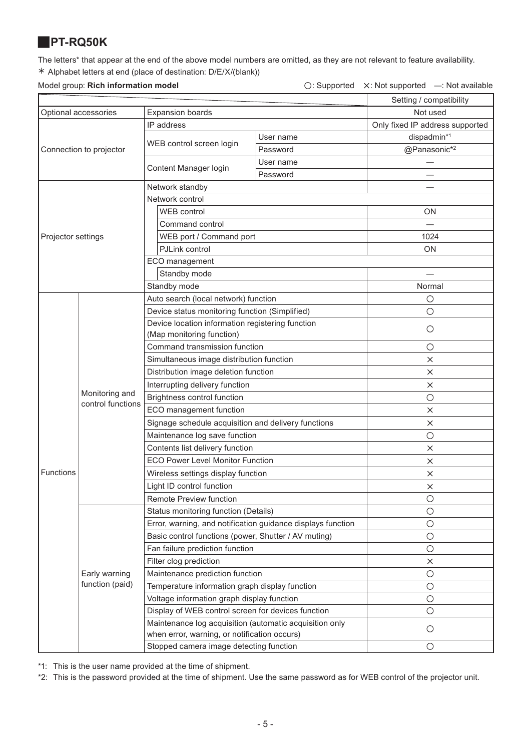# <span id="page-4-0"></span>J**PT-RQ50K**

The letters\* that appear at the end of the above model numbers are omitted, as they are not relevant to feature availability. ½ Alphabet letters at end (place of destination: D/E/X/(blank))

### Model group: Rich information model

| $\bigcirc$ : Supported $\times$ : Not supported $-$ : Not available |  |
|---------------------------------------------------------------------|--|
|                                                                     |  |

|                      |                                     |                                                                                                         |           | Setting / compatibility         |
|----------------------|-------------------------------------|---------------------------------------------------------------------------------------------------------|-----------|---------------------------------|
| Optional accessories |                                     | <b>Expansion boards</b>                                                                                 |           | Not used                        |
|                      |                                     | IP address                                                                                              |           | Only fixed IP address supported |
|                      |                                     |                                                                                                         | User name | dispadmin*1                     |
|                      | Connection to projector             | WEB control screen login                                                                                | Password  | @Panasonic*2                    |
|                      |                                     |                                                                                                         | User name |                                 |
|                      |                                     | Content Manager login                                                                                   | Password  |                                 |
|                      |                                     | Network standby                                                                                         |           |                                 |
|                      |                                     | Network control                                                                                         |           |                                 |
|                      |                                     | WEB control                                                                                             |           | <b>ON</b>                       |
|                      |                                     | Command control                                                                                         |           |                                 |
| Projector settings   |                                     | WEB port / Command port                                                                                 |           | 1024                            |
|                      |                                     | PJLink control                                                                                          |           | ON                              |
|                      |                                     | ECO management                                                                                          |           |                                 |
|                      |                                     | Standby mode                                                                                            |           |                                 |
|                      |                                     | Standby mode                                                                                            |           | Normal                          |
|                      |                                     | Auto search (local network) function                                                                    |           | $\circ$                         |
|                      |                                     | Device status monitoring function (Simplified)                                                          |           | $\circ$                         |
|                      |                                     | Device location information registering function                                                        |           | $\circ$                         |
|                      |                                     | (Map monitoring function)                                                                               |           |                                 |
|                      |                                     | Command transmission function                                                                           |           | O                               |
|                      | Monitoring and<br>control functions | Simultaneous image distribution function                                                                |           | X                               |
|                      |                                     | Distribution image deletion function                                                                    |           | $\times$                        |
|                      |                                     | Interrupting delivery function                                                                          |           | $\times$                        |
|                      |                                     | Brightness control function                                                                             |           | $\circ$                         |
|                      |                                     | ECO management function                                                                                 |           | X                               |
|                      |                                     | Signage schedule acquisition and delivery functions                                                     |           | $\times$                        |
|                      |                                     | Maintenance log save function                                                                           |           | $\bigcirc$                      |
|                      |                                     | Contents list delivery function                                                                         |           | $\times$                        |
|                      |                                     | <b>ECO Power Level Monitor Function</b>                                                                 |           | $\times$                        |
| Functions            |                                     | Wireless settings display function                                                                      |           | ×                               |
|                      |                                     | Light ID control function                                                                               |           | ×                               |
|                      |                                     | <b>Remote Preview function</b>                                                                          |           | $\bigcirc$                      |
|                      |                                     | Status monitoring function (Details)                                                                    |           | $\bigcirc$                      |
|                      |                                     | Error, warning, and notification guidance displays function                                             |           | $\circ$                         |
|                      |                                     | Basic control functions (power, Shutter / AV muting)                                                    |           | $\circ$                         |
|                      |                                     | Fan failure prediction function                                                                         |           | $\bigcirc$                      |
|                      |                                     | Filter clog prediction                                                                                  |           | X                               |
|                      | Early warning                       | Maintenance prediction function                                                                         |           | $\circ$                         |
|                      | function (paid)                     | Temperature information graph display function                                                          |           | $\circ$                         |
|                      |                                     | Voltage information graph display function                                                              |           | $\circ$                         |
|                      |                                     | Display of WEB control screen for devices function                                                      |           | $\circ$                         |
|                      |                                     | Maintenance log acquisition (automatic acquisition only<br>when error, warning, or notification occurs) |           | $\circ$                         |
|                      |                                     | Stopped camera image detecting function                                                                 |           | O                               |

\*1: This is the user name provided at the time of shipment.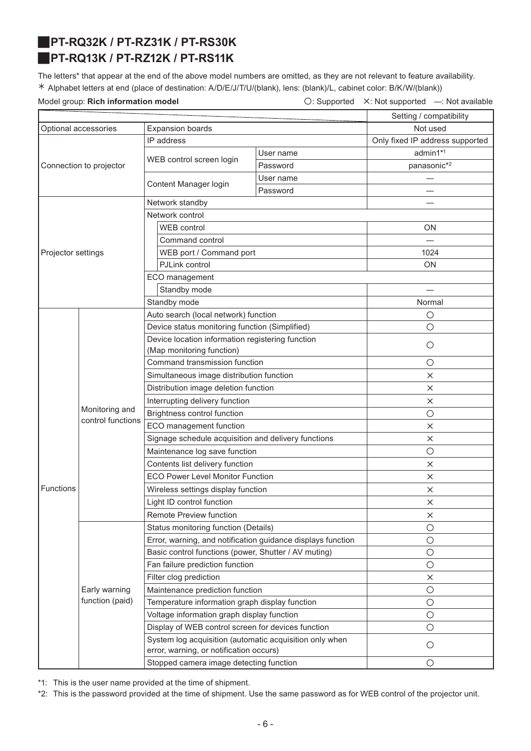# <span id="page-5-1"></span><span id="page-5-0"></span>J**PT-RQ32K / PT-RZ31K / PT-RS30K** J**PT-RQ13K / PT-RZ12K / PT-RS11K**

The letters\* that appear at the end of the above model numbers are omitted, as they are not relevant to feature availability. ½ Alphabet letters at end (place of destination: A/D/E/J/T/U/(blank), lens: (blank)/L, cabinet color: B/K/W/(blank))

Model group: **Rich information model Conservation Conservation**  $\bigcirc$ : Supported X: Not supported —: Not available

|                                                 |                                     |                                                                                                    |           | Setting / compatibility         |
|-------------------------------------------------|-------------------------------------|----------------------------------------------------------------------------------------------------|-----------|---------------------------------|
| Optional accessories<br><b>Expansion boards</b> |                                     | Not used                                                                                           |           |                                 |
|                                                 |                                     | IP address                                                                                         |           | Only fixed IP address supported |
|                                                 |                                     |                                                                                                    | User name | admin1*1                        |
|                                                 | Connection to projector             | WEB control screen login                                                                           | Password  | panasonic*2                     |
|                                                 |                                     |                                                                                                    | User name |                                 |
|                                                 |                                     | Content Manager login                                                                              | Password  |                                 |
|                                                 |                                     | Network standby                                                                                    |           |                                 |
|                                                 |                                     | Network control                                                                                    |           |                                 |
|                                                 |                                     | <b>WEB</b> control                                                                                 |           | <b>ON</b>                       |
|                                                 |                                     | Command control                                                                                    |           |                                 |
| Projector settings                              |                                     | WEB port / Command port                                                                            |           | 1024                            |
|                                                 |                                     | PJLink control                                                                                     |           | ON                              |
|                                                 |                                     | ECO management                                                                                     |           |                                 |
|                                                 |                                     | Standby mode                                                                                       |           |                                 |
|                                                 |                                     | Standby mode                                                                                       |           | Normal                          |
|                                                 |                                     | Auto search (local network) function                                                               |           | $\circ$                         |
|                                                 |                                     | Device status monitoring function (Simplified)                                                     |           | $\circ$                         |
|                                                 |                                     | Device location information registering function                                                   |           |                                 |
|                                                 |                                     | (Map monitoring function)                                                                          |           | $\circ$                         |
|                                                 | Monitoring and<br>control functions | Command transmission function                                                                      |           | $\circ$                         |
|                                                 |                                     | Simultaneous image distribution function                                                           |           | $\times$                        |
|                                                 |                                     | Distribution image deletion function                                                               |           | X                               |
|                                                 |                                     | Interrupting delivery function                                                                     |           | $\times$                        |
|                                                 |                                     | Brightness control function                                                                        |           | $\bigcirc$                      |
|                                                 |                                     | ECO management function                                                                            |           | $\times$                        |
|                                                 |                                     | Signage schedule acquisition and delivery functions                                                |           | $\times$                        |
|                                                 |                                     | Maintenance log save function                                                                      |           | $\circ$                         |
|                                                 |                                     | Contents list delivery function                                                                    |           | $\times$                        |
|                                                 |                                     | <b>ECO Power Level Monitor Function</b>                                                            |           | $\times$                        |
| <b>Functions</b>                                |                                     | Wireless settings display function                                                                 |           | $\times$                        |
|                                                 |                                     | Light ID control function                                                                          |           | $\times$                        |
|                                                 |                                     | Remote Preview function                                                                            |           | X                               |
|                                                 |                                     | Status monitoring function (Details)                                                               |           | O                               |
|                                                 |                                     | Error, warning, and notification guidance displays function                                        |           | $\bigcirc$                      |
|                                                 |                                     | Basic control functions (power, Shutter / AV muting)                                               |           | $\bigcirc$                      |
|                                                 |                                     | Fan failure prediction function                                                                    |           | $\bigcirc$                      |
|                                                 |                                     | Filter clog prediction                                                                             |           | $\times$                        |
|                                                 | Early warning                       | Maintenance prediction function                                                                    |           | $\bigcirc$                      |
|                                                 | function (paid)                     | Temperature information graph display function                                                     |           | $\bigcirc$                      |
|                                                 |                                     | Voltage information graph display function                                                         |           | $\bigcirc$                      |
|                                                 |                                     | Display of WEB control screen for devices function                                                 |           | $\bigcirc$                      |
|                                                 |                                     | System log acquisition (automatic acquisition only when<br>error, warning, or notification occurs) |           | $\circ$                         |
| Stopped camera image detecting function         |                                     |                                                                                                    | O         |                                 |

\*1: This is the user name provided at the time of shipment.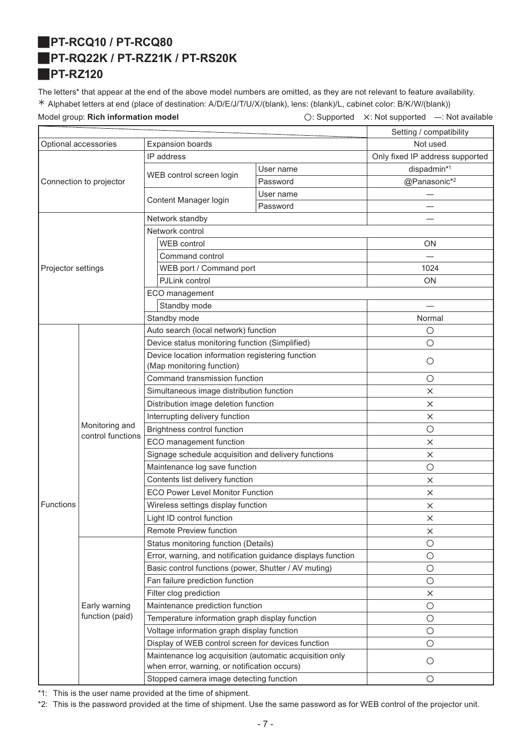# <span id="page-6-1"></span><span id="page-6-0"></span>J**PT-RCQ10 / PT-RCQ80** J**PT-RQ22K / PT-RZ21K / PT-RS20K** J**PT-RZ120**

<span id="page-6-2"></span>The letters\* that appear at the end of the above model numbers are omitted, as they are not relevant to feature availability. ½ Alphabet letters at end (place of destination: A/D/E/J/T/U/X/(blank), lens: (blank)/L, cabinet color: B/K/W/(blank))

Model group: **Rich information model C: Supported X: Not supported —: Not available** 

|                                                 |                                     |                                                                                                         |           | Setting / compatibility         |
|-------------------------------------------------|-------------------------------------|---------------------------------------------------------------------------------------------------------|-----------|---------------------------------|
| <b>Expansion boards</b><br>Optional accessories |                                     | Not used                                                                                                |           |                                 |
|                                                 |                                     | IP address                                                                                              |           | Only fixed IP address supported |
|                                                 |                                     |                                                                                                         | User name | dispadmin*1                     |
|                                                 | Connection to projector             | WEB control screen login                                                                                | Password  | @Panasonic*2                    |
|                                                 |                                     |                                                                                                         | User name |                                 |
|                                                 |                                     | Content Manager login                                                                                   | Password  |                                 |
|                                                 |                                     | Network standby                                                                                         |           |                                 |
|                                                 |                                     | Network control                                                                                         |           |                                 |
|                                                 |                                     | <b>WEB</b> control                                                                                      |           | ON                              |
|                                                 |                                     | Command control                                                                                         |           |                                 |
| Projector settings                              |                                     | WEB port / Command port                                                                                 |           | 1024                            |
|                                                 |                                     | PJLink control                                                                                          |           | <b>ON</b>                       |
|                                                 |                                     | ECO management                                                                                          |           |                                 |
|                                                 |                                     | Standby mode                                                                                            |           |                                 |
|                                                 |                                     | Standby mode                                                                                            |           | Normal                          |
|                                                 |                                     | Auto search (local network) function                                                                    |           | $\circ$                         |
|                                                 |                                     | Device status monitoring function (Simplified)                                                          |           | $\circ$                         |
|                                                 |                                     | Device location information registering function                                                        |           |                                 |
|                                                 |                                     | (Map monitoring function)                                                                               |           | $\circ$                         |
|                                                 | Monitoring and<br>control functions | Command transmission function                                                                           |           | O                               |
|                                                 |                                     | Simultaneous image distribution function                                                                |           | $\times$                        |
|                                                 |                                     | Distribution image deletion function                                                                    |           | $\times$                        |
|                                                 |                                     | Interrupting delivery function                                                                          |           | ×                               |
|                                                 |                                     | Brightness control function                                                                             |           | $\circ$                         |
|                                                 |                                     | ECO management function                                                                                 |           | $\times$                        |
|                                                 |                                     | Signage schedule acquisition and delivery functions                                                     |           | X                               |
|                                                 |                                     | Maintenance log save function                                                                           |           | $\bigcirc$                      |
|                                                 |                                     | Contents list delivery function                                                                         |           | ×                               |
|                                                 |                                     | <b>ECO Power Level Monitor Function</b>                                                                 |           | $\times$                        |
| <b>Functions</b>                                |                                     | Wireless settings display function                                                                      |           | $\times$                        |
|                                                 |                                     | Light ID control function                                                                               |           | ×                               |
|                                                 |                                     | Remote Preview function                                                                                 |           | ×                               |
|                                                 |                                     | Status monitoring function (Details)                                                                    |           | $\circ$                         |
|                                                 |                                     | Error, warning, and notification guidance displays function                                             |           | $\circ$                         |
|                                                 |                                     | Basic control functions (power, Shutter / AV muting)                                                    |           | $\bigcirc$                      |
|                                                 |                                     | Fan failure prediction function                                                                         |           | $\bigcirc$                      |
|                                                 |                                     | Filter clog prediction                                                                                  |           | ×                               |
|                                                 | Early warning                       | Maintenance prediction function                                                                         |           | $\bigcirc$                      |
|                                                 | function (paid)                     | Temperature information graph display function                                                          |           | $\bigcirc$                      |
|                                                 |                                     | Voltage information graph display function                                                              |           | $\circ$                         |
|                                                 |                                     | Display of WEB control screen for devices function                                                      |           | $\bigcirc$                      |
|                                                 |                                     | Maintenance log acquisition (automatic acquisition only<br>when error, warning, or notification occurs) |           | $\circ$                         |
|                                                 |                                     | Stopped camera image detecting function                                                                 |           | О                               |
|                                                 |                                     |                                                                                                         |           |                                 |

\*1: This is the user name provided at the time of shipment.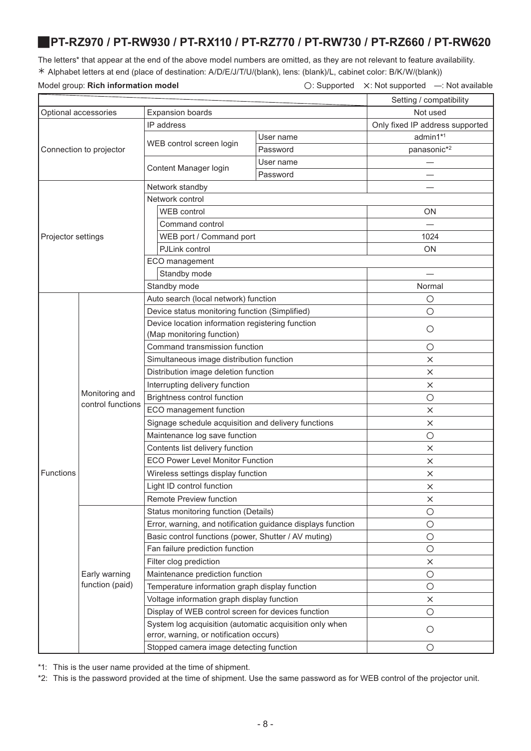### <span id="page-7-0"></span>J**PT-RZ970 / PT-RW930 / PT-RX110 / PT-RZ770 / PT-RW730 / PT-RZ660 / PT-RW620**

The letters\* that appear at the end of the above model numbers are omitted, as they are not relevant to feature availability. ½ Alphabet letters at end (place of destination: A/D/E/J/T/U/(blank), lens: (blank)/L, cabinet color: B/K/W/(blank))

Model group: **Rich information model C: Supported X: Not supported —: Not available** 

|                      |                                     |                                                                                                    |           | Setting / compatibility         |
|----------------------|-------------------------------------|----------------------------------------------------------------------------------------------------|-----------|---------------------------------|
| Optional accessories |                                     | <b>Expansion boards</b>                                                                            |           | Not used                        |
|                      |                                     | IP address                                                                                         |           | Only fixed IP address supported |
|                      |                                     |                                                                                                    | User name | admin1*1                        |
|                      | Connection to projector             | WEB control screen login                                                                           | Password  | panasonic*2                     |
|                      |                                     |                                                                                                    | User name |                                 |
|                      |                                     | Content Manager login                                                                              | Password  |                                 |
|                      |                                     | Network standby                                                                                    |           |                                 |
|                      |                                     | Network control                                                                                    |           |                                 |
|                      |                                     | WEB control                                                                                        |           | <b>ON</b>                       |
|                      |                                     | Command control                                                                                    |           |                                 |
| Projector settings   |                                     | WEB port / Command port                                                                            |           | 1024                            |
|                      |                                     | PJLink control                                                                                     |           | ON                              |
|                      |                                     | ECO management                                                                                     |           |                                 |
|                      |                                     | Standby mode                                                                                       |           |                                 |
|                      |                                     | Standby mode                                                                                       |           | Normal                          |
|                      |                                     | Auto search (local network) function                                                               |           | $\circ$                         |
|                      |                                     | Device status monitoring function (Simplified)                                                     |           | $\circ$                         |
|                      |                                     | Device location information registering function                                                   |           |                                 |
|                      |                                     | (Map monitoring function)                                                                          |           | $\circ$                         |
|                      | Monitoring and<br>control functions | Command transmission function                                                                      |           | $\circ$                         |
|                      |                                     | Simultaneous image distribution function                                                           |           | X                               |
|                      |                                     | Distribution image deletion function                                                               |           | $\times$                        |
|                      |                                     | Interrupting delivery function                                                                     |           | X                               |
|                      |                                     | Brightness control function                                                                        |           | $\circ$                         |
|                      |                                     | ECO management function                                                                            |           | $\times$                        |
|                      |                                     | Signage schedule acquisition and delivery functions                                                |           | $\times$                        |
|                      |                                     | Maintenance log save function                                                                      |           | $\circ$                         |
|                      |                                     | Contents list delivery function                                                                    |           | $\times$                        |
|                      |                                     | <b>ECO Power Level Monitor Function</b>                                                            |           | X                               |
| Functions            |                                     | Wireless settings display function                                                                 |           | $\times$                        |
|                      |                                     | Light ID control function                                                                          |           | X                               |
|                      |                                     | Remote Preview function                                                                            |           | $\times$                        |
|                      |                                     | Status monitoring function (Details)                                                               |           | $\circ$                         |
|                      |                                     | Error, warning, and notification guidance displays function                                        |           | $\bigcirc$                      |
|                      |                                     | Basic control functions (power, Shutter / AV muting)                                               |           | $\bigcirc$                      |
|                      |                                     | Fan failure prediction function                                                                    |           | $\bigcirc$                      |
|                      |                                     | Filter clog prediction                                                                             |           | $\times$                        |
|                      | Early warning                       | Maintenance prediction function                                                                    |           | $\bigcirc$                      |
|                      | function (paid)                     | Temperature information graph display function                                                     |           | $\circ$                         |
|                      |                                     | Voltage information graph display function                                                         |           | $\times$                        |
|                      |                                     | Display of WEB control screen for devices function                                                 |           | $\bigcirc$                      |
|                      |                                     | System log acquisition (automatic acquisition only when<br>error, warning, or notification occurs) |           | $\bigcirc$                      |
|                      |                                     | Stopped camera image detecting function                                                            |           | O                               |
|                      |                                     |                                                                                                    |           |                                 |

\*1: This is the user name provided at the time of shipment.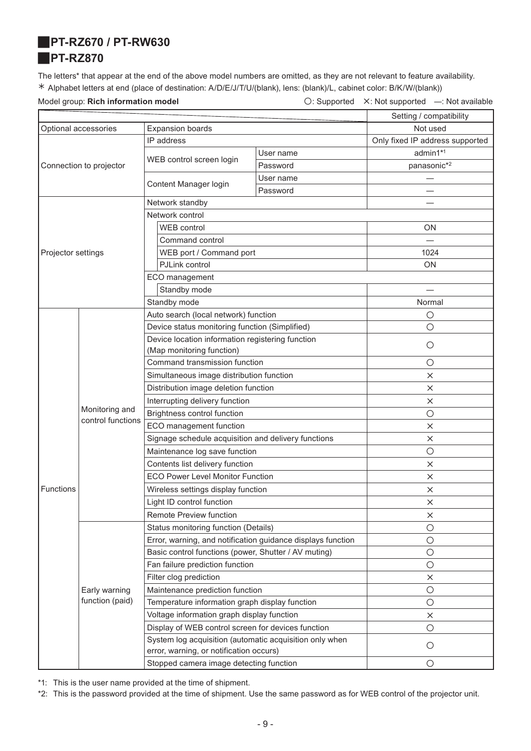<span id="page-8-1"></span><span id="page-8-0"></span>J**PT-RZ670 / PT-RW630**

### J**PT-RZ870**

The letters\* that appear at the end of the above model numbers are omitted, as they are not relevant to feature availability. ½ Alphabet letters at end (place of destination: A/D/E/J/T/U/(blank), lens: (blank)/L, cabinet color: B/K/W/(blank))

Model group: **Rich information model Conservation Conservation**  $\bigcirc$ : Supported X: Not supported —: Not available

|                                                 |                                         |                                                                                                    |           | Setting / compatibility         |
|-------------------------------------------------|-----------------------------------------|----------------------------------------------------------------------------------------------------|-----------|---------------------------------|
| <b>Expansion boards</b><br>Optional accessories |                                         | Not used                                                                                           |           |                                 |
|                                                 |                                         | IP address                                                                                         |           | Only fixed IP address supported |
|                                                 |                                         |                                                                                                    | User name | admin1*1                        |
|                                                 | Connection to projector                 | WEB control screen login                                                                           | Password  | panasonic* <sup>2</sup>         |
|                                                 |                                         | Content Manager login                                                                              | User name |                                 |
|                                                 |                                         |                                                                                                    | Password  |                                 |
|                                                 |                                         | Network standby                                                                                    |           |                                 |
|                                                 |                                         | Network control                                                                                    |           |                                 |
|                                                 |                                         | <b>WEB</b> control                                                                                 |           | ON                              |
|                                                 |                                         | Command control                                                                                    |           |                                 |
| Projector settings                              |                                         | WEB port / Command port                                                                            |           | 1024                            |
|                                                 |                                         | PJLink control                                                                                     |           | <b>ON</b>                       |
|                                                 |                                         | ECO management                                                                                     |           |                                 |
|                                                 |                                         | Standby mode                                                                                       |           |                                 |
|                                                 |                                         | Standby mode                                                                                       |           | Normal                          |
|                                                 |                                         | Auto search (local network) function                                                               |           | $\circ$                         |
|                                                 |                                         | Device status monitoring function (Simplified)                                                     |           | $\circ$                         |
|                                                 |                                         | Device location information registering function                                                   |           | $\circ$                         |
|                                                 |                                         | (Map monitoring function)                                                                          |           |                                 |
|                                                 | Monitoring and<br>control functions     | Command transmission function                                                                      |           | $\circ$                         |
|                                                 |                                         | Simultaneous image distribution function                                                           |           | $\times$                        |
|                                                 |                                         | Distribution image deletion function                                                               |           | $\times$                        |
|                                                 |                                         | Interrupting delivery function                                                                     |           | $\times$                        |
|                                                 |                                         | Brightness control function                                                                        |           | $\circ$                         |
|                                                 |                                         | ECO management function                                                                            |           | ×                               |
|                                                 |                                         | Signage schedule acquisition and delivery functions                                                |           | $\times$                        |
|                                                 |                                         | Maintenance log save function                                                                      |           | $\circ$                         |
|                                                 |                                         | Contents list delivery function                                                                    |           | $\times$                        |
|                                                 |                                         | <b>ECO Power Level Monitor Function</b>                                                            |           | $\times$                        |
| Functions                                       |                                         | Wireless settings display function                                                                 |           | $\times$                        |
|                                                 |                                         | Light ID control function                                                                          |           | X                               |
|                                                 |                                         | <b>Remote Preview function</b>                                                                     |           | $\times$                        |
|                                                 |                                         | Status monitoring function (Details)                                                               |           | $\circ$                         |
|                                                 |                                         | Error, warning, and notification guidance displays function                                        |           | $\bigcirc$                      |
|                                                 |                                         | Basic control functions (power, Shutter / AV muting)                                               |           | $\bigcirc$                      |
|                                                 |                                         | Fan failure prediction function                                                                    |           | $\bigcirc$                      |
|                                                 |                                         | Filter clog prediction                                                                             |           | $\times$                        |
|                                                 | Early warning                           | Maintenance prediction function                                                                    |           | $\bigcirc$                      |
|                                                 | function (paid)                         | Temperature information graph display function                                                     |           | $\bigcirc$                      |
|                                                 |                                         | Voltage information graph display function                                                         |           | $\times$                        |
|                                                 |                                         | Display of WEB control screen for devices function                                                 |           | $\bigcirc$                      |
|                                                 |                                         | System log acquisition (automatic acquisition only when<br>error, warning, or notification occurs) |           | $\bigcirc$                      |
|                                                 | Stopped camera image detecting function |                                                                                                    |           | $\bigcirc$                      |

\*1: This is the user name provided at the time of shipment.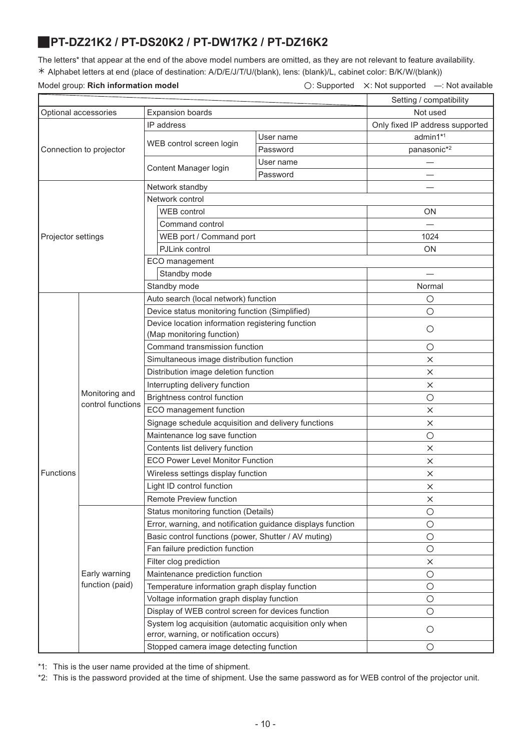### <span id="page-9-0"></span>J**PT-DZ21K2 / PT-DS20K2 / PT-DW17K2 / PT-DZ16K2**

The letters\* that appear at the end of the above model numbers are omitted, as they are not relevant to feature availability. ½ Alphabet letters at end (place of destination: A/D/E/J/T/U/(blank), lens: (blank)/L, cabinet color: B/K/W/(blank))

|  | Model group: Rich information model |  |
|--|-------------------------------------|--|
|  |                                     |  |

|--|

|                      |                                     |                                                                                                    |           | Setting / compatibility         |
|----------------------|-------------------------------------|----------------------------------------------------------------------------------------------------|-----------|---------------------------------|
| Optional accessories |                                     | <b>Expansion boards</b>                                                                            | Not used  |                                 |
|                      |                                     | IP address                                                                                         |           | Only fixed IP address supported |
|                      |                                     |                                                                                                    | User name | admin1*1                        |
|                      | Connection to projector             | WEB control screen login                                                                           | Password  | panasonic*2                     |
|                      |                                     |                                                                                                    | User name |                                 |
|                      |                                     | Content Manager login                                                                              | Password  |                                 |
|                      |                                     | Network standby                                                                                    |           |                                 |
|                      |                                     | Network control                                                                                    |           |                                 |
|                      |                                     | <b>WEB</b> control                                                                                 |           | ON                              |
|                      |                                     | Command control                                                                                    |           |                                 |
| Projector settings   |                                     | WEB port / Command port                                                                            |           | 1024                            |
|                      |                                     | PJLink control                                                                                     |           | ON                              |
|                      |                                     | ECO management                                                                                     |           |                                 |
|                      |                                     | Standby mode                                                                                       |           |                                 |
|                      |                                     | Standby mode                                                                                       |           | Normal                          |
|                      |                                     | Auto search (local network) function                                                               |           | O                               |
|                      |                                     | Device status monitoring function (Simplified)                                                     |           | $\bigcirc$                      |
|                      |                                     | Device location information registering function                                                   |           |                                 |
|                      |                                     | (Map monitoring function)                                                                          |           | O                               |
|                      | Monitoring and<br>control functions | Command transmission function                                                                      |           | $\circ$                         |
|                      |                                     | Simultaneous image distribution function                                                           |           | $\times$                        |
|                      |                                     | Distribution image deletion function                                                               |           | $\times$                        |
|                      |                                     | Interrupting delivery function                                                                     |           | $\times$                        |
|                      |                                     | Brightness control function                                                                        |           | $\circ$                         |
|                      |                                     | ECO management function                                                                            |           | X                               |
|                      |                                     | Signage schedule acquisition and delivery functions                                                |           | $\times$                        |
|                      |                                     | Maintenance log save function                                                                      |           | $\circ$                         |
|                      |                                     | Contents list delivery function                                                                    |           | X                               |
|                      |                                     | <b>ECO Power Level Monitor Function</b>                                                            |           | ×                               |
| Functions            |                                     | Wireless settings display function                                                                 |           | $\times$                        |
|                      |                                     | Light ID control function                                                                          |           | $\times$                        |
|                      |                                     | Remote Preview function                                                                            |           | ×                               |
|                      |                                     | Status monitoring function (Details)                                                               |           | $\circ$                         |
|                      |                                     | Error, warning, and notification guidance displays function                                        |           | $\bigcirc$                      |
|                      |                                     | Basic control functions (power, Shutter / AV muting)                                               |           | $\bigcirc$                      |
|                      |                                     | Fan failure prediction function                                                                    |           | $\circ$                         |
|                      |                                     | Filter clog prediction                                                                             |           | $\times$                        |
|                      | Early warning                       | Maintenance prediction function                                                                    |           | $\bigcirc$                      |
|                      | function (paid)                     | Temperature information graph display function                                                     |           | $\bigcirc$                      |
|                      |                                     | Voltage information graph display function                                                         |           | $\bigcirc$                      |
|                      |                                     | Display of WEB control screen for devices function                                                 |           | $\bigcirc$                      |
|                      |                                     | System log acquisition (automatic acquisition only when<br>error, warning, or notification occurs) |           | $\circ$                         |
|                      |                                     | Stopped camera image detecting function                                                            |           | О                               |

\*1: This is the user name provided at the time of shipment.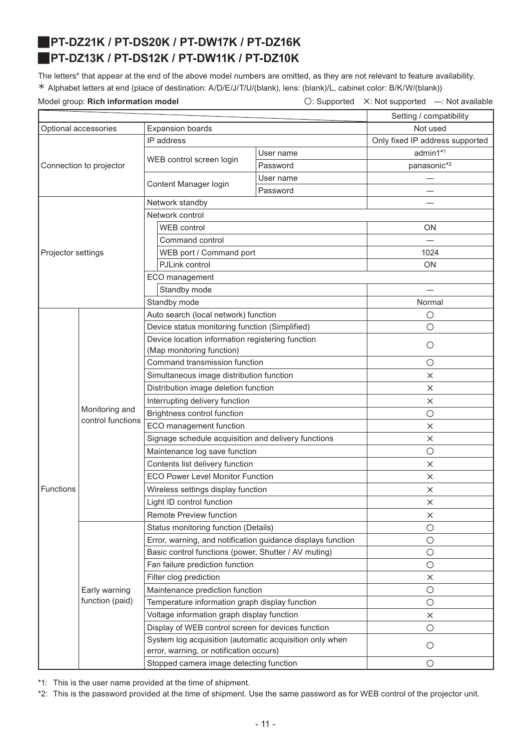# <span id="page-10-1"></span><span id="page-10-0"></span>J**PT-DZ21K / PT-DS20K / PT-DW17K / PT-DZ16K** J**PT-DZ13K / PT-DS12K / PT-DW11K / PT-DZ10K**

The letters\* that appear at the end of the above model numbers are omitted, as they are not relevant to feature availability. ½ Alphabet letters at end (place of destination: A/D/E/J/T/U/(blank), lens: (blank)/L, cabinet color: B/K/W/(blank))

Model group: **Rich information model Conservation Conservation**  $\bigcirc$ : Supported X: Not supported —: Not available

|                                                 |                                     | Setting / compatibility                                                                            |           |                                 |
|-------------------------------------------------|-------------------------------------|----------------------------------------------------------------------------------------------------|-----------|---------------------------------|
| Optional accessories<br><b>Expansion boards</b> |                                     |                                                                                                    | Not used  |                                 |
|                                                 |                                     | IP address                                                                                         |           | Only fixed IP address supported |
|                                                 |                                     |                                                                                                    | User name | admin1*1                        |
|                                                 | Connection to projector             | WEB control screen login                                                                           | Password  | panasonic*2                     |
|                                                 |                                     |                                                                                                    | User name |                                 |
|                                                 |                                     | Content Manager login                                                                              | Password  |                                 |
|                                                 |                                     | Network standby                                                                                    |           |                                 |
|                                                 |                                     | Network control                                                                                    |           |                                 |
|                                                 |                                     | WEB control                                                                                        |           | ON                              |
|                                                 |                                     | Command control                                                                                    |           |                                 |
| Projector settings                              |                                     | WEB port / Command port                                                                            |           | 1024                            |
|                                                 |                                     | PJLink control                                                                                     |           | ON                              |
|                                                 |                                     | ECO management                                                                                     |           |                                 |
|                                                 |                                     | Standby mode                                                                                       |           |                                 |
|                                                 |                                     | Standby mode                                                                                       |           | Normal                          |
|                                                 |                                     | Auto search (local network) function                                                               |           | $\circ$                         |
|                                                 |                                     | Device status monitoring function (Simplified)                                                     |           | $\circ$                         |
|                                                 |                                     | Device location information registering function                                                   |           | $\circ$                         |
|                                                 |                                     | (Map monitoring function)                                                                          |           |                                 |
|                                                 | Monitoring and<br>control functions | Command transmission function                                                                      |           | $\circ$                         |
|                                                 |                                     | Simultaneous image distribution function                                                           |           | $\times$                        |
|                                                 |                                     | Distribution image deletion function                                                               |           | $\times$                        |
|                                                 |                                     | Interrupting delivery function                                                                     |           | $\times$                        |
|                                                 |                                     | Brightness control function                                                                        |           | $\circ$                         |
|                                                 |                                     | ECO management function                                                                            |           | $\times$                        |
|                                                 |                                     | Signage schedule acquisition and delivery functions                                                |           | $\times$                        |
|                                                 |                                     | Maintenance log save function                                                                      |           | $\bigcirc$                      |
|                                                 |                                     | Contents list delivery function                                                                    |           | $\times$                        |
|                                                 |                                     | <b>ECO Power Level Monitor Function</b>                                                            |           | X                               |
| Functions                                       |                                     | Wireless settings display function                                                                 |           | x                               |
|                                                 |                                     | Light ID control function                                                                          |           | X                               |
|                                                 |                                     | Remote Preview function                                                                            |           | $\times$                        |
|                                                 |                                     | Status monitoring function (Details)                                                               |           | $\bigcirc$                      |
|                                                 |                                     | Error, warning, and notification guidance displays function                                        |           | $\bigcirc$                      |
|                                                 |                                     | Basic control functions (power, Shutter / AV muting)                                               |           | $\bigcirc$                      |
|                                                 |                                     | Fan failure prediction function                                                                    |           | $\bigcirc$                      |
|                                                 | Early warning<br>function (paid)    | Filter clog prediction                                                                             |           | $\times$                        |
|                                                 |                                     | Maintenance prediction function                                                                    |           | $\circ$                         |
|                                                 |                                     | Temperature information graph display function                                                     |           | $\bigcirc$                      |
|                                                 |                                     | Voltage information graph display function                                                         |           | $\times$                        |
|                                                 |                                     | Display of WEB control screen for devices function                                                 |           | $\bigcirc$                      |
|                                                 |                                     | System log acquisition (automatic acquisition only when<br>error, warning, or notification occurs) |           | $\circ$                         |
|                                                 |                                     | Stopped camera image detecting function                                                            |           | $\bigcirc$                      |

\*1: This is the user name provided at the time of shipment.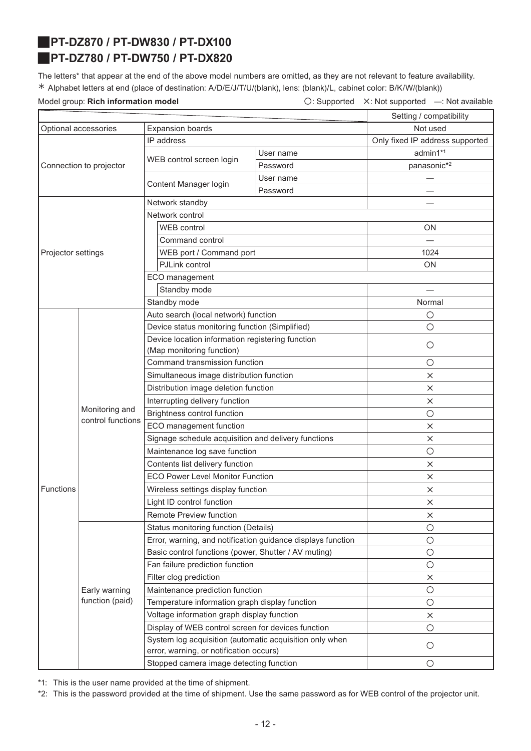# <span id="page-11-0"></span>J**PT-DZ870 / PT-DW830 / PT-DX100**

# <span id="page-11-1"></span>J**PT-DZ780 / PT-DW750 / PT-DX820**

The letters\* that appear at the end of the above model numbers are omitted, as they are not relevant to feature availability. ½ Alphabet letters at end (place of destination: A/D/E/J/T/U/(blank), lens: (blank)/L, cabinet color: B/K/W/(blank))

Model group: **Rich information model Conservation Conservation**  $\bigcirc$ : Supported X: Not supported —: Not available

|                      |                                     |                                                                                                    |           | Setting / compatibility         |
|----------------------|-------------------------------------|----------------------------------------------------------------------------------------------------|-----------|---------------------------------|
| Optional accessories |                                     | <b>Expansion boards</b>                                                                            | Not used  |                                 |
|                      |                                     | IP address                                                                                         |           | Only fixed IP address supported |
|                      |                                     |                                                                                                    | User name | admin1*1                        |
|                      | Connection to projector             | WEB control screen login                                                                           | Password  | panasonic*2                     |
|                      |                                     |                                                                                                    | User name |                                 |
|                      |                                     | Content Manager login                                                                              | Password  |                                 |
|                      |                                     | Network standby                                                                                    |           |                                 |
|                      |                                     | Network control                                                                                    |           |                                 |
|                      |                                     | <b>WEB</b> control                                                                                 |           | ON.                             |
|                      |                                     | Command control                                                                                    |           |                                 |
| Projector settings   |                                     | WEB port / Command port                                                                            |           | 1024                            |
|                      |                                     | PJLink control                                                                                     |           | ON                              |
|                      |                                     | ECO management                                                                                     |           |                                 |
|                      |                                     | Standby mode                                                                                       |           |                                 |
|                      |                                     | Standby mode                                                                                       |           | Normal                          |
|                      |                                     | Auto search (local network) function                                                               |           | $\circ$                         |
|                      |                                     | Device status monitoring function (Simplified)                                                     |           | $\circ$                         |
|                      |                                     | Device location information registering function                                                   |           | $\circ$                         |
|                      |                                     | (Map monitoring function)                                                                          |           |                                 |
|                      | Monitoring and<br>control functions | Command transmission function                                                                      |           | $\circ$                         |
|                      |                                     | Simultaneous image distribution function                                                           |           | $\times$                        |
|                      |                                     | Distribution image deletion function                                                               |           | $\times$                        |
|                      |                                     | Interrupting delivery function                                                                     |           | $\times$                        |
|                      |                                     | Brightness control function                                                                        |           | $\circ$                         |
|                      |                                     | ECO management function                                                                            |           | $\times$                        |
|                      |                                     | Signage schedule acquisition and delivery functions                                                |           | $\times$                        |
|                      |                                     | Maintenance log save function                                                                      |           | $\circ$                         |
|                      |                                     | Contents list delivery function                                                                    |           | $\times$                        |
|                      |                                     | <b>ECO Power Level Monitor Function</b>                                                            |           | X                               |
| Functions            |                                     | Wireless settings display function                                                                 |           | X                               |
|                      |                                     | Light ID control function                                                                          |           | X                               |
|                      |                                     | <b>Remote Preview function</b>                                                                     |           | $\times$                        |
|                      |                                     | Status monitoring function (Details)                                                               |           | $\circ$                         |
|                      |                                     | Error, warning, and notification guidance displays function                                        |           | $\bigcirc$                      |
|                      |                                     | Basic control functions (power, Shutter / AV muting)                                               |           | $\bigcirc$                      |
|                      |                                     | Fan failure prediction function                                                                    |           | $\bigcirc$                      |
|                      |                                     | Filter clog prediction                                                                             |           | $\times$                        |
|                      | Early warning<br>function (paid)    | Maintenance prediction function                                                                    |           | $\bigcirc$                      |
|                      |                                     | Temperature information graph display function                                                     |           | $\bigcirc$                      |
|                      |                                     | Voltage information graph display function                                                         |           | $\times$                        |
|                      |                                     | Display of WEB control screen for devices function                                                 |           | $\bigcirc$                      |
|                      |                                     | System log acquisition (automatic acquisition only when<br>error, warning, or notification occurs) |           | $\circ$                         |
|                      |                                     | Stopped camera image detecting function                                                            |           | O                               |

\*1: This is the user name provided at the time of shipment.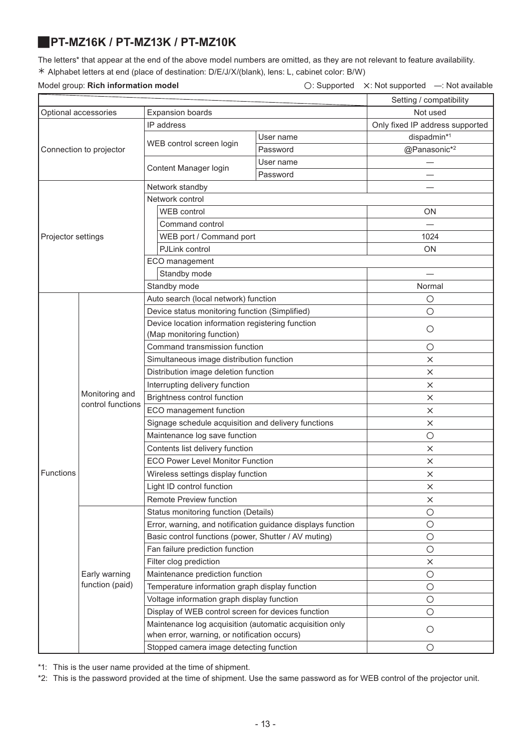### <span id="page-12-0"></span>J**PT-MZ16K / PT-MZ13K / PT-MZ10K**

The letters\* that appear at the end of the above model numbers are omitted, as they are not relevant to feature availability. ½ Alphabet letters at end (place of destination: D/E/J/X/(blank), lens: L, cabinet color: B/W)

### Model group: Rich information model

| $\bigcirc$ : Supported $\times$ : Not supported | -: Not available |
|-------------------------------------------------|------------------|
|                                                 |                  |

|                      |                                     |                                                                                                         |           | Setting / compatibility         |
|----------------------|-------------------------------------|---------------------------------------------------------------------------------------------------------|-----------|---------------------------------|
| Optional accessories |                                     | <b>Expansion boards</b>                                                                                 | Not used  |                                 |
|                      |                                     | IP address                                                                                              |           | Only fixed IP address supported |
|                      |                                     |                                                                                                         | User name | dispadmin*1                     |
|                      | Connection to projector             | WEB control screen login                                                                                | Password  | @Panasonic*2                    |
|                      |                                     |                                                                                                         | User name |                                 |
|                      |                                     | Content Manager login                                                                                   | Password  |                                 |
|                      |                                     | Network standby                                                                                         |           |                                 |
|                      |                                     | Network control                                                                                         |           |                                 |
|                      |                                     | WEB control                                                                                             |           | <b>ON</b>                       |
|                      |                                     | Command control                                                                                         |           |                                 |
| Projector settings   |                                     | WEB port / Command port                                                                                 |           | 1024                            |
|                      |                                     | PJLink control                                                                                          |           | ON                              |
|                      |                                     | ECO management                                                                                          |           |                                 |
|                      |                                     | Standby mode                                                                                            |           |                                 |
|                      |                                     | Standby mode                                                                                            |           | Normal                          |
|                      |                                     | Auto search (local network) function                                                                    |           | $\circ$                         |
|                      |                                     | Device status monitoring function (Simplified)                                                          |           | $\circ$                         |
|                      |                                     | Device location information registering function                                                        |           | $\circ$                         |
|                      |                                     | (Map monitoring function)                                                                               |           |                                 |
|                      | Monitoring and<br>control functions | Command transmission function                                                                           |           | $\circ$                         |
|                      |                                     | Simultaneous image distribution function                                                                |           | X                               |
|                      |                                     | Distribution image deletion function                                                                    |           | $\times$                        |
|                      |                                     | Interrupting delivery function                                                                          |           | X                               |
|                      |                                     | Brightness control function                                                                             |           | X                               |
|                      |                                     | ECO management function                                                                                 |           | ×                               |
|                      |                                     | Signage schedule acquisition and delivery functions                                                     |           | $\times$                        |
|                      |                                     | Maintenance log save function                                                                           |           | $\circ$                         |
|                      |                                     | Contents list delivery function                                                                         |           | $\times$                        |
|                      |                                     | <b>ECO Power Level Monitor Function</b>                                                                 |           | X                               |
| Functions            |                                     | Wireless settings display function                                                                      |           | X                               |
|                      |                                     | Light ID control function                                                                               |           | X                               |
|                      |                                     | Remote Preview function                                                                                 |           | $\times$                        |
|                      |                                     | Status monitoring function (Details)                                                                    |           | $\circ$                         |
|                      |                                     | Error, warning, and notification guidance displays function                                             |           | $\circ$                         |
|                      |                                     | Basic control functions (power, Shutter / AV muting)                                                    |           | $\bigcirc$                      |
|                      |                                     | Fan failure prediction function                                                                         |           | $\circ$                         |
|                      |                                     | Filter clog prediction                                                                                  |           | $\times$                        |
|                      | Early warning<br>function (paid)    | Maintenance prediction function                                                                         |           | $\bigcirc$                      |
|                      |                                     | Temperature information graph display function                                                          |           | $\bigcirc$                      |
|                      |                                     | Voltage information graph display function                                                              |           | $\bigcirc$                      |
|                      |                                     | Display of WEB control screen for devices function                                                      |           | $\bigcirc$                      |
|                      |                                     | Maintenance log acquisition (automatic acquisition only<br>when error, warning, or notification occurs) |           | $\bigcirc$                      |
|                      |                                     | Stopped camera image detecting function                                                                 |           | O                               |

\*1: This is the user name provided at the time of shipment.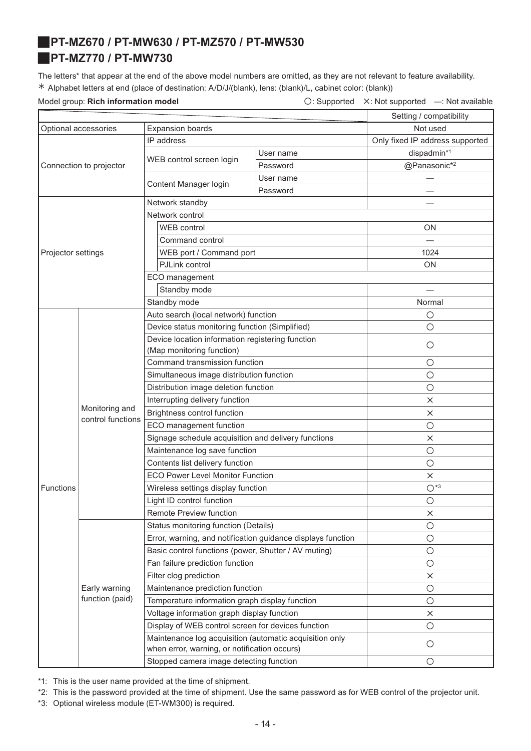### <span id="page-13-1"></span><span id="page-13-0"></span>J**PT-MZ670 / PT-MW630 / PT-MZ570 / PT-MW530** J**PT-MZ770 / PT-MW730**

The letters\* that appear at the end of the above model numbers are omitted, as they are not relevant to feature availability. ½ Alphabet letters at end (place of destination: A/D/J/(blank), lens: (blank)/L, cabinet color: (blank))

Model group: **Rich information model Conservation Conservation**  $\bigcirc$ : Supported X: Not supported —: Not available

|                      |                                     |                                                                                                         | Setting / compatibility |                                 |
|----------------------|-------------------------------------|---------------------------------------------------------------------------------------------------------|-------------------------|---------------------------------|
| Optional accessories |                                     | <b>Expansion boards</b>                                                                                 | Not used                |                                 |
|                      |                                     | IP address                                                                                              |                         | Only fixed IP address supported |
|                      |                                     | WEB control screen login                                                                                | User name               | dispadmin*1                     |
|                      | Connection to projector             |                                                                                                         | Password                | @Panasonic*2                    |
|                      |                                     |                                                                                                         | User name               |                                 |
|                      |                                     | Content Manager login                                                                                   | Password                |                                 |
|                      |                                     | Network standby                                                                                         |                         |                                 |
|                      |                                     | Network control                                                                                         |                         |                                 |
|                      |                                     | <b>WEB</b> control                                                                                      |                         | <b>ON</b>                       |
|                      |                                     | Command control                                                                                         |                         |                                 |
| Projector settings   |                                     | WEB port / Command port                                                                                 |                         | 1024                            |
|                      |                                     | PJLink control                                                                                          |                         | <b>ON</b>                       |
|                      |                                     | ECO management                                                                                          |                         |                                 |
|                      |                                     | Standby mode                                                                                            |                         |                                 |
|                      |                                     | Standby mode                                                                                            |                         | Normal                          |
|                      |                                     | Auto search (local network) function                                                                    |                         | $\circ$                         |
|                      |                                     | Device status monitoring function (Simplified)                                                          |                         | $\circ$                         |
|                      |                                     | Device location information registering function                                                        |                         |                                 |
|                      | Monitoring and<br>control functions | (Map monitoring function)                                                                               |                         | $\circ$                         |
|                      |                                     | Command transmission function                                                                           |                         | $\circ$                         |
|                      |                                     | Simultaneous image distribution function                                                                |                         | $\circ$                         |
|                      |                                     | Distribution image deletion function                                                                    |                         | $\bigcirc$                      |
|                      |                                     | Interrupting delivery function                                                                          |                         | $\times$                        |
|                      |                                     | Brightness control function                                                                             |                         | $\times$                        |
|                      |                                     | ECO management function                                                                                 |                         | $\circ$                         |
|                      |                                     | Signage schedule acquisition and delivery functions                                                     |                         | ×                               |
|                      |                                     | Maintenance log save function                                                                           |                         | $\circ$                         |
|                      |                                     | Contents list delivery function                                                                         |                         | $\circ$                         |
|                      |                                     | <b>ECO Power Level Monitor Function</b>                                                                 |                         | $\times$                        |
| <b>Functions</b>     |                                     | Wireless settings display function                                                                      |                         | $O*3$                           |
|                      |                                     | Light ID control function                                                                               |                         | $\bigcirc$                      |
|                      |                                     | Remote Preview function                                                                                 |                         | ×                               |
|                      |                                     | Status monitoring function (Details)                                                                    |                         | $\bigcirc$                      |
|                      |                                     | Error, warning, and notification guidance displays function                                             |                         | $\bigcirc$                      |
|                      |                                     | Basic control functions (power, Shutter / AV muting)                                                    |                         | $\bigcirc$                      |
|                      |                                     | Fan failure prediction function                                                                         |                         | $\bigcirc$                      |
|                      | Early warning<br>function (paid)    | Filter clog prediction                                                                                  |                         | $\times$                        |
|                      |                                     | Maintenance prediction function                                                                         |                         | $\bigcirc$                      |
|                      |                                     | Temperature information graph display function                                                          |                         | $\bigcirc$                      |
|                      |                                     | Voltage information graph display function                                                              |                         | $\times$                        |
|                      |                                     | Display of WEB control screen for devices function                                                      |                         | $\bigcirc$                      |
|                      |                                     | Maintenance log acquisition (automatic acquisition only<br>when error, warning, or notification occurs) |                         | $\bigcirc$                      |
|                      |                                     | Stopped camera image detecting function                                                                 |                         | $\bigcirc$                      |
|                      |                                     |                                                                                                         |                         |                                 |

\*1: This is the user name provided at the time of shipment.

\*2: This is the password provided at the time of shipment. Use the same password as for WEB control of the projector unit.

\*3: Optional wireless module (ET-WM300) is required.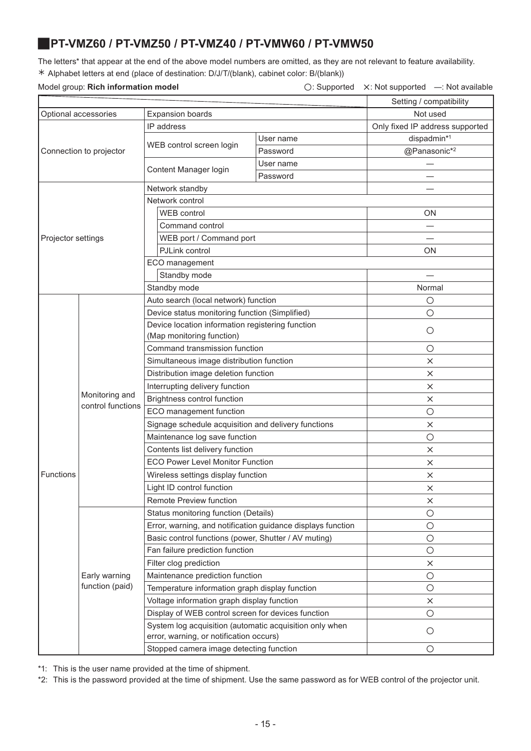### <span id="page-14-0"></span>J**PT-VMZ60 / PT-VMZ50 / PT-VMZ40 / PT-VMW60 / PT-VMW50**

The letters\* that appear at the end of the above model numbers are omitted, as they are not relevant to feature availability. ½ Alphabet letters at end (place of destination: D/J/T/(blank), cabinet color: B/(blank))

### Model group: Rich information model

| $\bigcirc$ : Supported | X: Not supported | -: Not available |
|------------------------|------------------|------------------|
|                        |                  |                  |

|                      |                                     | Setting / compatibility                                                                            |                                 |              |
|----------------------|-------------------------------------|----------------------------------------------------------------------------------------------------|---------------------------------|--------------|
| Optional accessories |                                     | <b>Expansion boards</b>                                                                            | Not used                        |              |
|                      |                                     | IP address                                                                                         | Only fixed IP address supported |              |
|                      |                                     |                                                                                                    | User name                       | dispadmin*1  |
|                      | Connection to projector             | WEB control screen login                                                                           | Password                        | @Panasonic*2 |
|                      |                                     |                                                                                                    | User name                       |              |
|                      |                                     | Content Manager login                                                                              | Password                        |              |
|                      |                                     | Network standby                                                                                    |                                 |              |
|                      |                                     | Network control                                                                                    |                                 |              |
|                      |                                     | <b>WEB</b> control                                                                                 |                                 | ON           |
|                      |                                     | Command control                                                                                    |                                 |              |
| Projector settings   |                                     | WEB port / Command port                                                                            |                                 |              |
|                      |                                     | PJLink control                                                                                     |                                 | ON           |
|                      |                                     | ECO management                                                                                     |                                 |              |
|                      |                                     | Standby mode                                                                                       |                                 |              |
|                      |                                     | Standby mode                                                                                       |                                 | Normal       |
|                      |                                     | Auto search (local network) function                                                               |                                 | $\circ$      |
|                      |                                     | Device status monitoring function (Simplified)                                                     |                                 | $\circ$      |
|                      |                                     | Device location information registering function                                                   |                                 |              |
|                      | Monitoring and<br>control functions | (Map monitoring function)                                                                          |                                 | $\circ$      |
|                      |                                     | Command transmission function                                                                      |                                 | $\circ$      |
|                      |                                     | Simultaneous image distribution function                                                           |                                 | $\times$     |
|                      |                                     | Distribution image deletion function                                                               |                                 | $\times$     |
|                      |                                     | Interrupting delivery function                                                                     |                                 | $\times$     |
|                      |                                     | Brightness control function                                                                        |                                 | $\times$     |
|                      |                                     | ECO management function                                                                            |                                 | $\circ$      |
|                      |                                     | Signage schedule acquisition and delivery functions                                                |                                 | $\times$     |
|                      |                                     | Maintenance log save function                                                                      |                                 | $\bigcirc$   |
|                      |                                     | Contents list delivery function                                                                    |                                 | $\times$     |
|                      |                                     | ECO Power Level Monitor Function                                                                   |                                 | $\times$     |
| <b>Functions</b>     |                                     | Wireless settings display function                                                                 |                                 | $\times$     |
|                      |                                     | Light ID control function                                                                          |                                 | $\times$     |
|                      |                                     | Remote Preview function                                                                            |                                 | ×            |
|                      |                                     | Status monitoring function (Details)                                                               |                                 | $\circ$      |
|                      |                                     | Error, warning, and notification guidance displays function                                        |                                 | $\bigcirc$   |
|                      |                                     | Basic control functions (power, Shutter / AV muting)                                               |                                 | $\circ$      |
|                      |                                     | Fan failure prediction function                                                                    |                                 | $\circ$      |
|                      |                                     | Filter clog prediction                                                                             |                                 | $\times$     |
|                      | Early warning<br>function (paid)    | Maintenance prediction function                                                                    |                                 | $\circ$      |
|                      |                                     | Temperature information graph display function                                                     |                                 | $\circ$      |
|                      |                                     | Voltage information graph display function                                                         |                                 | $\times$     |
|                      |                                     | Display of WEB control screen for devices function                                                 |                                 | $\circ$      |
|                      |                                     | System log acquisition (automatic acquisition only when<br>error, warning, or notification occurs) |                                 | $\circ$      |
|                      |                                     | Stopped camera image detecting function                                                            |                                 | $\circ$      |

\*1: This is the user name provided at the time of shipment.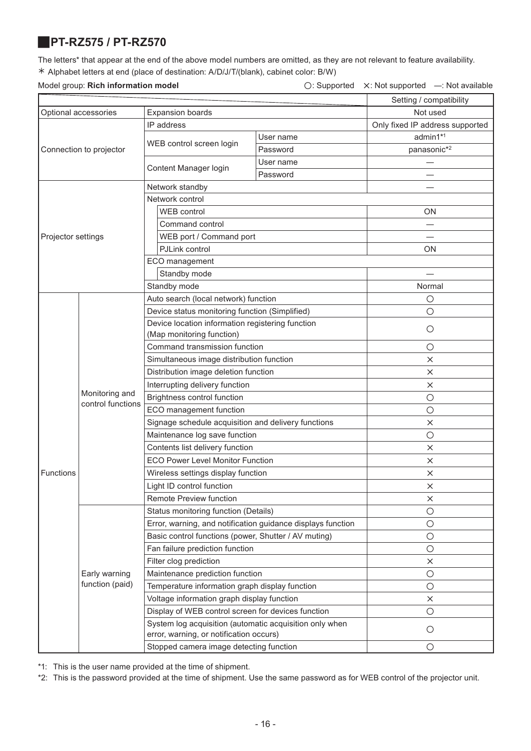# <span id="page-15-0"></span>J**PT-RZ575 / PT-RZ570**

The letters\* that appear at the end of the above model numbers are omitted, as they are not relevant to feature availability. ½ Alphabet letters at end (place of destination: A/D/J/T/(blank), cabinet color: B/W)

Model group: **Rich information model Conserverse Conserverse Conserverse Conserverse Conserverse A: Not supported —: Not available** 

|                      |                                     |                                                                                                    |           | Setting / compatibility         |
|----------------------|-------------------------------------|----------------------------------------------------------------------------------------------------|-----------|---------------------------------|
| Optional accessories |                                     | <b>Expansion boards</b>                                                                            | Not used  |                                 |
|                      |                                     | IP address                                                                                         |           | Only fixed IP address supported |
|                      |                                     |                                                                                                    | User name | admin1*1                        |
|                      | Connection to projector             | WEB control screen login                                                                           | Password  | panasonic*2                     |
|                      |                                     |                                                                                                    | User name |                                 |
|                      |                                     | Content Manager login                                                                              | Password  |                                 |
|                      |                                     | Network standby                                                                                    |           |                                 |
|                      |                                     | Network control                                                                                    |           |                                 |
|                      |                                     | <b>WEB</b> control                                                                                 |           | ON                              |
|                      |                                     | Command control                                                                                    |           |                                 |
| Projector settings   |                                     | WEB port / Command port                                                                            |           |                                 |
|                      |                                     | PJLink control                                                                                     |           | ON                              |
|                      |                                     | ECO management                                                                                     |           |                                 |
|                      |                                     | Standby mode                                                                                       |           |                                 |
|                      |                                     | Standby mode                                                                                       |           | Normal                          |
|                      |                                     | Auto search (local network) function                                                               |           | О                               |
|                      |                                     | Device status monitoring function (Simplified)                                                     |           | $\circ$                         |
|                      |                                     | Device location information registering function                                                   |           |                                 |
|                      |                                     | (Map monitoring function)                                                                          |           | $\circ$                         |
|                      | Monitoring and<br>control functions | Command transmission function                                                                      |           | $\circ$                         |
|                      |                                     | Simultaneous image distribution function                                                           |           | $\times$                        |
|                      |                                     | Distribution image deletion function                                                               |           | X                               |
|                      |                                     | Interrupting delivery function                                                                     |           | X                               |
|                      |                                     | Brightness control function                                                                        |           | $\circ$                         |
|                      |                                     | ECO management function                                                                            |           | $\bigcirc$                      |
|                      |                                     | Signage schedule acquisition and delivery functions                                                |           | $\times$                        |
|                      |                                     | Maintenance log save function                                                                      |           | $\circ$                         |
|                      |                                     | Contents list delivery function                                                                    |           | X                               |
|                      |                                     | <b>ECO Power Level Monitor Function</b>                                                            |           | $\times$                        |
| Functions            |                                     | Wireless settings display function                                                                 |           | $\times$                        |
|                      |                                     | Light ID control function                                                                          |           | $\times$                        |
|                      |                                     | Remote Preview function                                                                            |           | X                               |
|                      |                                     | Status monitoring function (Details)                                                               |           | $\circ$                         |
|                      |                                     | Error, warning, and notification guidance displays function                                        |           | $\bigcirc$                      |
|                      |                                     | Basic control functions (power, Shutter / AV muting)                                               |           | $\bigcirc$                      |
|                      |                                     | Fan failure prediction function                                                                    |           | $\bigcirc$                      |
|                      |                                     | Filter clog prediction                                                                             |           | $\times$                        |
|                      | Early warning                       | Maintenance prediction function                                                                    |           | $\circ$                         |
|                      | function (paid)                     | Temperature information graph display function                                                     |           | $\circ$                         |
|                      |                                     | Voltage information graph display function                                                         |           | $\times$                        |
|                      |                                     | Display of WEB control screen for devices function                                                 |           | $\circ$                         |
|                      |                                     | System log acquisition (automatic acquisition only when<br>error, warning, or notification occurs) |           | $\circ$                         |
|                      |                                     | Stopped camera image detecting function                                                            |           | $\circ$                         |

\*1: This is the user name provided at the time of shipment.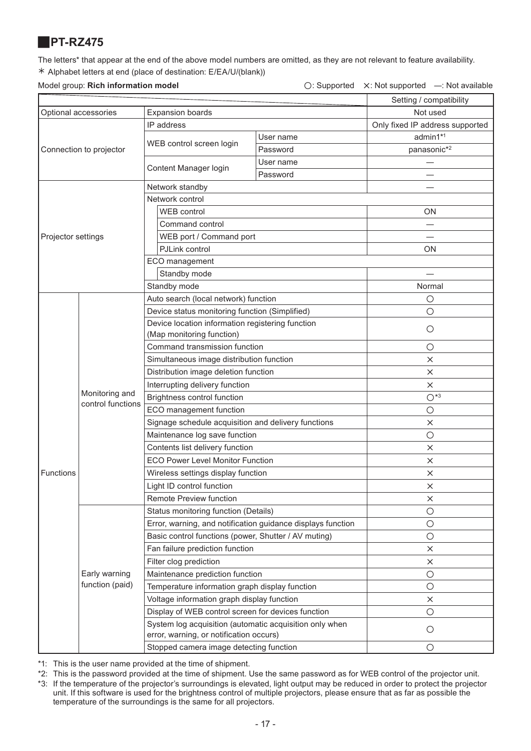# <span id="page-16-0"></span>J**PT-RZ475**

The letters\* that appear at the end of the above model numbers are omitted, as they are not relevant to feature availability. ½ Alphabet letters at end (place of destination: E/EA/U/(blank))

Model group: **Rich information model** △ △: Supported △: Not supported —: Not available

|                                                 | MOUTH UNDER SIGNALISMENT AND USE    |                                                                                                    |           | $\cup$ . Supported $\cup$ . Not supported $\cup$ . Not available |
|-------------------------------------------------|-------------------------------------|----------------------------------------------------------------------------------------------------|-----------|------------------------------------------------------------------|
|                                                 |                                     | Setting / compatibility                                                                            |           |                                                                  |
| <b>Expansion boards</b><br>Optional accessories |                                     |                                                                                                    | Not used  |                                                                  |
|                                                 |                                     | IP address                                                                                         |           | Only fixed IP address supported                                  |
|                                                 |                                     | WEB control screen login                                                                           | User name | admin1*1                                                         |
|                                                 | Connection to projector             |                                                                                                    | Password  | panasonic*2                                                      |
|                                                 |                                     | Content Manager login                                                                              | User name | $\overline{\phantom{0}}$                                         |
|                                                 |                                     |                                                                                                    | Password  |                                                                  |
|                                                 |                                     | Network standby                                                                                    |           |                                                                  |
|                                                 |                                     | Network control                                                                                    |           |                                                                  |
|                                                 |                                     | <b>WEB</b> control                                                                                 |           | ΟN                                                               |
|                                                 |                                     | Command control                                                                                    |           |                                                                  |
| Projector settings                              |                                     | WEB port / Command port                                                                            |           |                                                                  |
|                                                 |                                     | PJLink control                                                                                     |           | <b>ON</b>                                                        |
|                                                 |                                     | ECO management                                                                                     |           |                                                                  |
|                                                 |                                     | Standby mode                                                                                       |           |                                                                  |
|                                                 |                                     | Standby mode                                                                                       |           | Normal                                                           |
|                                                 |                                     | Auto search (local network) function                                                               |           | $\circ$                                                          |
|                                                 |                                     | Device status monitoring function (Simplified)                                                     |           | $\circ$                                                          |
|                                                 |                                     | Device location information registering function                                                   |           | $\circ$                                                          |
|                                                 |                                     | (Map monitoring function)                                                                          |           |                                                                  |
|                                                 | Monitoring and<br>control functions | Command transmission function                                                                      |           | $\circ$                                                          |
|                                                 |                                     | Simultaneous image distribution function                                                           |           | $\times$                                                         |
|                                                 |                                     | Distribution image deletion function                                                               |           | $\times$                                                         |
|                                                 |                                     | Interrupting delivery function                                                                     |           | $\times$                                                         |
|                                                 |                                     | Brightness control function                                                                        |           | $O*3$                                                            |
|                                                 |                                     | ECO management function                                                                            |           | $\bigcirc$                                                       |
|                                                 |                                     | Signage schedule acquisition and delivery functions                                                |           | $\times$                                                         |
|                                                 |                                     | Maintenance log save function                                                                      |           | $\circ$                                                          |
|                                                 |                                     | Contents list delivery function                                                                    |           | $\times$                                                         |
|                                                 |                                     | <b>ECO Power Level Monitor Function</b>                                                            |           | $\times$                                                         |
| Functions                                       |                                     | Wireless settings display function                                                                 |           | ×                                                                |
|                                                 |                                     | Light ID control function                                                                          |           | ×                                                                |
|                                                 |                                     | <b>Remote Preview function</b>                                                                     |           | ×                                                                |
|                                                 |                                     | Status monitoring function (Details)                                                               |           | $\bigcirc$                                                       |
|                                                 |                                     | Error, warning, and notification guidance displays function                                        |           | $\bigcirc$                                                       |
|                                                 |                                     | Basic control functions (power, Shutter / AV muting)                                               |           | $\circ$                                                          |
|                                                 |                                     | Fan failure prediction function                                                                    |           | $\times$                                                         |
|                                                 |                                     | Filter clog prediction                                                                             |           | $\times$                                                         |
|                                                 | Early warning                       | Maintenance prediction function                                                                    |           | $\bigcirc$                                                       |
|                                                 | function (paid)                     | Temperature information graph display function                                                     |           | $\bigcirc$                                                       |
|                                                 |                                     | Voltage information graph display function                                                         |           | $\times$                                                         |
|                                                 |                                     | Display of WEB control screen for devices function                                                 |           | $\circ$                                                          |
|                                                 |                                     | System log acquisition (automatic acquisition only when<br>error, warning, or notification occurs) |           | O                                                                |
|                                                 |                                     | Stopped camera image detecting function                                                            |           | $\bigcirc$                                                       |

\*1: This is the user name provided at the time of shipment.

\*2: This is the password provided at the time of shipment. Use the same password as for WEB control of the projector unit.

\*3: If the temperature of the projector's surroundings is elevated, light output may be reduced in order to protect the projector unit. If this software is used for the brightness control of multiple projectors, please ensure that as far as possible the temperature of the surroundings is the same for all projectors.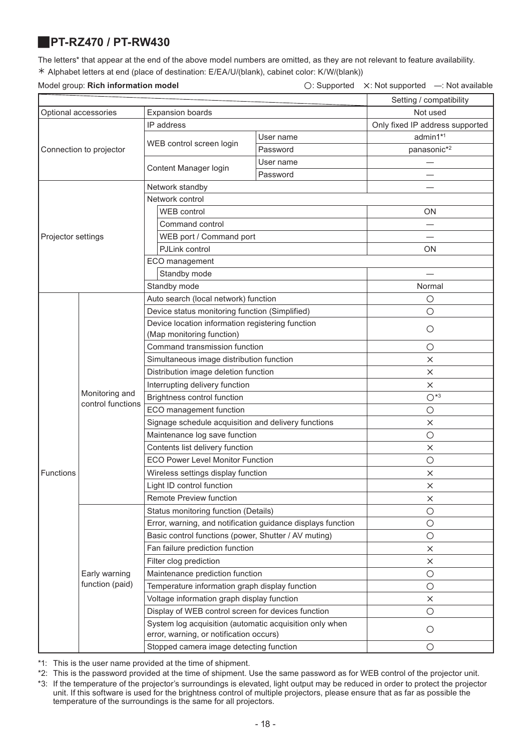### <span id="page-17-0"></span>J**PT-RZ470 / PT-RW430**

The letters\* that appear at the end of the above model numbers are omitted, as they are not relevant to feature availability. ½ Alphabet letters at end (place of destination: E/EA/U/(blank), cabinet color: K/W/(blank))

Model group: **Rich information model O: Supported X: Not supported —: Not available** 

|                      |                         | Setting / compatibility                                                                      |           |                                 |
|----------------------|-------------------------|----------------------------------------------------------------------------------------------|-----------|---------------------------------|
| Optional accessories |                         | <b>Expansion boards</b>                                                                      | Not used  |                                 |
|                      |                         | IP address                                                                                   |           | Only fixed IP address supported |
|                      |                         |                                                                                              | User name | admin1*1                        |
|                      | Connection to projector | WEB control screen login                                                                     | Password  | panasonic*2                     |
|                      |                         |                                                                                              | User name |                                 |
|                      |                         | Content Manager login                                                                        | Password  |                                 |
|                      |                         | Network standby                                                                              |           |                                 |
|                      |                         | Network control                                                                              |           |                                 |
|                      |                         | <b>WEB</b> control                                                                           |           | ON                              |
|                      |                         | Command control                                                                              |           |                                 |
| Projector settings   |                         | WEB port / Command port                                                                      |           |                                 |
|                      |                         | PJLink control                                                                               |           | <b>ON</b>                       |
|                      |                         | ECO management                                                                               |           |                                 |
|                      |                         | Standby mode                                                                                 |           |                                 |
|                      |                         | Standby mode                                                                                 |           | Normal                          |
|                      |                         | Auto search (local network) function                                                         |           | $\bigcirc$                      |
|                      |                         | Device status monitoring function (Simplified)                                               |           | $\circ$                         |
|                      |                         | Device location information registering function                                             |           |                                 |
|                      |                         | (Map monitoring function)                                                                    |           | $\circ$                         |
|                      | Monitoring and          | Command transmission function                                                                |           | $\bigcirc$                      |
|                      |                         | Simultaneous image distribution function                                                     |           | $\times$                        |
|                      |                         | Distribution image deletion function                                                         |           | $\times$                        |
|                      |                         | Interrupting delivery function                                                               |           | $\times$                        |
|                      |                         | <b>Brightness control function</b>                                                           |           | $O*3$                           |
|                      | control functions       | ECO management function                                                                      |           | $\bigcirc$                      |
|                      |                         | Signage schedule acquisition and delivery functions                                          |           | ×                               |
|                      |                         | Maintenance log save function                                                                |           | $\bigcirc$                      |
|                      |                         | Contents list delivery function                                                              |           | $\times$                        |
|                      |                         | <b>ECO Power Level Monitor Function</b>                                                      |           | $\bigcirc$                      |
| <b>Functions</b>     |                         | Wireless settings display function                                                           |           | $\times$                        |
|                      |                         | Light ID control function                                                                    |           | $\times$                        |
|                      |                         | Remote Preview function                                                                      |           | X                               |
|                      |                         | Status monitoring function (Details)                                                         |           | $\circ$                         |
|                      |                         | Error, warning, and notification guidance displays function                                  |           | $\bigcirc$                      |
|                      |                         |                                                                                              |           | $\bigcirc$                      |
|                      |                         | Basic control functions (power, Shutter / AV muting)<br>Fan failure prediction function      |           | $\times$                        |
|                      |                         |                                                                                              |           | X                               |
|                      | Early warning           | Filter clog prediction                                                                       |           | $\bigcirc$                      |
|                      | function (paid)         | Maintenance prediction function                                                              |           | $\bigcirc$                      |
|                      |                         | Temperature information graph display function<br>Voltage information graph display function |           |                                 |
|                      |                         | Display of WEB control screen for devices function                                           |           | ×<br>$\bigcirc$                 |
|                      |                         | System log acquisition (automatic acquisition only when                                      |           |                                 |
|                      |                         | error, warning, or notification occurs)                                                      |           | $\bigcirc$                      |
|                      |                         | Stopped camera image detecting function                                                      |           | $\bigcirc$                      |

\*1: This is the user name provided at the time of shipment.

\*2: This is the password provided at the time of shipment. Use the same password as for WEB control of the projector unit.

\*3: If the temperature of the projector's surroundings is elevated, light output may be reduced in order to protect the projector unit. If this software is used for the brightness control of multiple projectors, please ensure that as far as possible the temperature of the surroundings is the same for all projectors.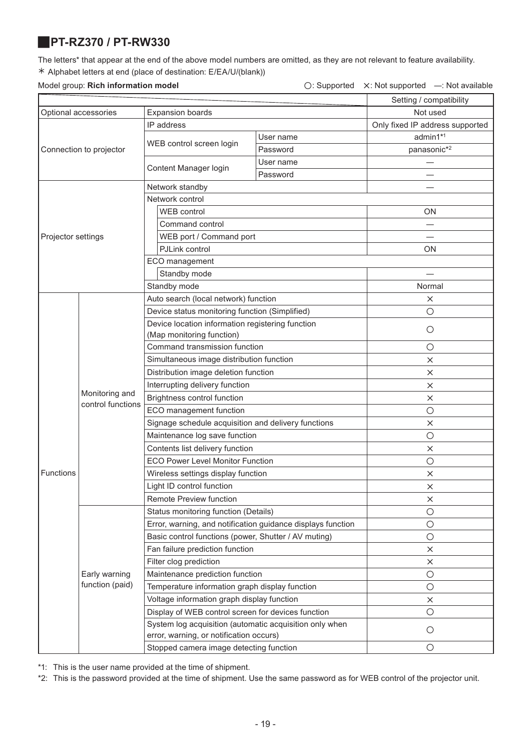### <span id="page-18-0"></span>J**PT-RZ370 / PT-RW330**

The letters\* that appear at the end of the above model numbers are omitted, as they are not relevant to feature availability. ½ Alphabet letters at end (place of destination: E/EA/U/(blank))

### Model group: **Rich information model** △ **Consumersed A: Not supported A: Not supported —: Not available**

| Setting / compatibility<br>Not used<br>Optional accessories<br><b>Expansion boards</b><br>IP address<br>Only fixed IP address supported<br>admin1*1<br>User name<br>WEB control screen login<br>panasonic*2<br>Password<br>Connection to projector<br>User name<br>Content Manager login<br>Password<br>Network standby<br>Network control<br><b>WEB</b> control<br>ΟN<br>Command control<br>WEB port / Command port<br>Projector settings<br>PJLink control<br>ON<br>ECO management<br>Standby mode<br>Standby mode<br>Normal<br>Auto search (local network) function<br>×<br>Device status monitoring function (Simplified)<br>$\circ$<br>Device location information registering function<br>$\circ$<br>(Map monitoring function)<br>Command transmission function<br>$\circ$<br>Simultaneous image distribution function<br>$\times$<br>Distribution image deletion function<br>×<br>Interrupting delivery function<br>×<br>Monitoring and<br>Brightness control function<br>$\times$<br>control functions<br>ECO management function<br>$\bigcirc$<br>Signage schedule acquisition and delivery functions<br>$\times$<br>Maintenance log save function<br>О<br>Contents list delivery function<br>X<br><b>ECO Power Level Monitor Function</b><br>$\bigcirc$ |
|-------------------------------------------------------------------------------------------------------------------------------------------------------------------------------------------------------------------------------------------------------------------------------------------------------------------------------------------------------------------------------------------------------------------------------------------------------------------------------------------------------------------------------------------------------------------------------------------------------------------------------------------------------------------------------------------------------------------------------------------------------------------------------------------------------------------------------------------------------------------------------------------------------------------------------------------------------------------------------------------------------------------------------------------------------------------------------------------------------------------------------------------------------------------------------------------------------------------------------------------------------------------|
|                                                                                                                                                                                                                                                                                                                                                                                                                                                                                                                                                                                                                                                                                                                                                                                                                                                                                                                                                                                                                                                                                                                                                                                                                                                                   |
|                                                                                                                                                                                                                                                                                                                                                                                                                                                                                                                                                                                                                                                                                                                                                                                                                                                                                                                                                                                                                                                                                                                                                                                                                                                                   |
|                                                                                                                                                                                                                                                                                                                                                                                                                                                                                                                                                                                                                                                                                                                                                                                                                                                                                                                                                                                                                                                                                                                                                                                                                                                                   |
|                                                                                                                                                                                                                                                                                                                                                                                                                                                                                                                                                                                                                                                                                                                                                                                                                                                                                                                                                                                                                                                                                                                                                                                                                                                                   |
|                                                                                                                                                                                                                                                                                                                                                                                                                                                                                                                                                                                                                                                                                                                                                                                                                                                                                                                                                                                                                                                                                                                                                                                                                                                                   |
|                                                                                                                                                                                                                                                                                                                                                                                                                                                                                                                                                                                                                                                                                                                                                                                                                                                                                                                                                                                                                                                                                                                                                                                                                                                                   |
|                                                                                                                                                                                                                                                                                                                                                                                                                                                                                                                                                                                                                                                                                                                                                                                                                                                                                                                                                                                                                                                                                                                                                                                                                                                                   |
|                                                                                                                                                                                                                                                                                                                                                                                                                                                                                                                                                                                                                                                                                                                                                                                                                                                                                                                                                                                                                                                                                                                                                                                                                                                                   |
|                                                                                                                                                                                                                                                                                                                                                                                                                                                                                                                                                                                                                                                                                                                                                                                                                                                                                                                                                                                                                                                                                                                                                                                                                                                                   |
|                                                                                                                                                                                                                                                                                                                                                                                                                                                                                                                                                                                                                                                                                                                                                                                                                                                                                                                                                                                                                                                                                                                                                                                                                                                                   |
|                                                                                                                                                                                                                                                                                                                                                                                                                                                                                                                                                                                                                                                                                                                                                                                                                                                                                                                                                                                                                                                                                                                                                                                                                                                                   |
|                                                                                                                                                                                                                                                                                                                                                                                                                                                                                                                                                                                                                                                                                                                                                                                                                                                                                                                                                                                                                                                                                                                                                                                                                                                                   |
|                                                                                                                                                                                                                                                                                                                                                                                                                                                                                                                                                                                                                                                                                                                                                                                                                                                                                                                                                                                                                                                                                                                                                                                                                                                                   |
|                                                                                                                                                                                                                                                                                                                                                                                                                                                                                                                                                                                                                                                                                                                                                                                                                                                                                                                                                                                                                                                                                                                                                                                                                                                                   |
|                                                                                                                                                                                                                                                                                                                                                                                                                                                                                                                                                                                                                                                                                                                                                                                                                                                                                                                                                                                                                                                                                                                                                                                                                                                                   |
|                                                                                                                                                                                                                                                                                                                                                                                                                                                                                                                                                                                                                                                                                                                                                                                                                                                                                                                                                                                                                                                                                                                                                                                                                                                                   |
|                                                                                                                                                                                                                                                                                                                                                                                                                                                                                                                                                                                                                                                                                                                                                                                                                                                                                                                                                                                                                                                                                                                                                                                                                                                                   |
|                                                                                                                                                                                                                                                                                                                                                                                                                                                                                                                                                                                                                                                                                                                                                                                                                                                                                                                                                                                                                                                                                                                                                                                                                                                                   |
|                                                                                                                                                                                                                                                                                                                                                                                                                                                                                                                                                                                                                                                                                                                                                                                                                                                                                                                                                                                                                                                                                                                                                                                                                                                                   |
|                                                                                                                                                                                                                                                                                                                                                                                                                                                                                                                                                                                                                                                                                                                                                                                                                                                                                                                                                                                                                                                                                                                                                                                                                                                                   |
|                                                                                                                                                                                                                                                                                                                                                                                                                                                                                                                                                                                                                                                                                                                                                                                                                                                                                                                                                                                                                                                                                                                                                                                                                                                                   |
|                                                                                                                                                                                                                                                                                                                                                                                                                                                                                                                                                                                                                                                                                                                                                                                                                                                                                                                                                                                                                                                                                                                                                                                                                                                                   |
|                                                                                                                                                                                                                                                                                                                                                                                                                                                                                                                                                                                                                                                                                                                                                                                                                                                                                                                                                                                                                                                                                                                                                                                                                                                                   |
|                                                                                                                                                                                                                                                                                                                                                                                                                                                                                                                                                                                                                                                                                                                                                                                                                                                                                                                                                                                                                                                                                                                                                                                                                                                                   |
|                                                                                                                                                                                                                                                                                                                                                                                                                                                                                                                                                                                                                                                                                                                                                                                                                                                                                                                                                                                                                                                                                                                                                                                                                                                                   |
|                                                                                                                                                                                                                                                                                                                                                                                                                                                                                                                                                                                                                                                                                                                                                                                                                                                                                                                                                                                                                                                                                                                                                                                                                                                                   |
|                                                                                                                                                                                                                                                                                                                                                                                                                                                                                                                                                                                                                                                                                                                                                                                                                                                                                                                                                                                                                                                                                                                                                                                                                                                                   |
|                                                                                                                                                                                                                                                                                                                                                                                                                                                                                                                                                                                                                                                                                                                                                                                                                                                                                                                                                                                                                                                                                                                                                                                                                                                                   |
|                                                                                                                                                                                                                                                                                                                                                                                                                                                                                                                                                                                                                                                                                                                                                                                                                                                                                                                                                                                                                                                                                                                                                                                                                                                                   |
|                                                                                                                                                                                                                                                                                                                                                                                                                                                                                                                                                                                                                                                                                                                                                                                                                                                                                                                                                                                                                                                                                                                                                                                                                                                                   |
| Functions<br>Wireless settings display function<br>×                                                                                                                                                                                                                                                                                                                                                                                                                                                                                                                                                                                                                                                                                                                                                                                                                                                                                                                                                                                                                                                                                                                                                                                                              |
| Light ID control function<br>$\times$                                                                                                                                                                                                                                                                                                                                                                                                                                                                                                                                                                                                                                                                                                                                                                                                                                                                                                                                                                                                                                                                                                                                                                                                                             |
| Remote Preview function<br>X                                                                                                                                                                                                                                                                                                                                                                                                                                                                                                                                                                                                                                                                                                                                                                                                                                                                                                                                                                                                                                                                                                                                                                                                                                      |
| $\bigcirc$<br>Status monitoring function (Details)                                                                                                                                                                                                                                                                                                                                                                                                                                                                                                                                                                                                                                                                                                                                                                                                                                                                                                                                                                                                                                                                                                                                                                                                                |
| Error, warning, and notification guidance displays function<br>$\bigcirc$                                                                                                                                                                                                                                                                                                                                                                                                                                                                                                                                                                                                                                                                                                                                                                                                                                                                                                                                                                                                                                                                                                                                                                                         |
| Basic control functions (power, Shutter / AV muting)<br>$\bigcirc$                                                                                                                                                                                                                                                                                                                                                                                                                                                                                                                                                                                                                                                                                                                                                                                                                                                                                                                                                                                                                                                                                                                                                                                                |
| Fan failure prediction function<br>×                                                                                                                                                                                                                                                                                                                                                                                                                                                                                                                                                                                                                                                                                                                                                                                                                                                                                                                                                                                                                                                                                                                                                                                                                              |
| Filter clog prediction<br>×                                                                                                                                                                                                                                                                                                                                                                                                                                                                                                                                                                                                                                                                                                                                                                                                                                                                                                                                                                                                                                                                                                                                                                                                                                       |
| Maintenance prediction function<br>Early warning<br>$\bigcirc$                                                                                                                                                                                                                                                                                                                                                                                                                                                                                                                                                                                                                                                                                                                                                                                                                                                                                                                                                                                                                                                                                                                                                                                                    |
| function (paid)<br>Temperature information graph display function<br>$\circ$                                                                                                                                                                                                                                                                                                                                                                                                                                                                                                                                                                                                                                                                                                                                                                                                                                                                                                                                                                                                                                                                                                                                                                                      |
| Voltage information graph display function<br>$\times$                                                                                                                                                                                                                                                                                                                                                                                                                                                                                                                                                                                                                                                                                                                                                                                                                                                                                                                                                                                                                                                                                                                                                                                                            |
| Display of WEB control screen for devices function<br>$\bigcirc$                                                                                                                                                                                                                                                                                                                                                                                                                                                                                                                                                                                                                                                                                                                                                                                                                                                                                                                                                                                                                                                                                                                                                                                                  |
| System log acquisition (automatic acquisition only when<br>$\circ$<br>error, warning, or notification occurs)                                                                                                                                                                                                                                                                                                                                                                                                                                                                                                                                                                                                                                                                                                                                                                                                                                                                                                                                                                                                                                                                                                                                                     |
| Stopped camera image detecting function<br>$\bigcirc$                                                                                                                                                                                                                                                                                                                                                                                                                                                                                                                                                                                                                                                                                                                                                                                                                                                                                                                                                                                                                                                                                                                                                                                                             |

\*1: This is the user name provided at the time of shipment.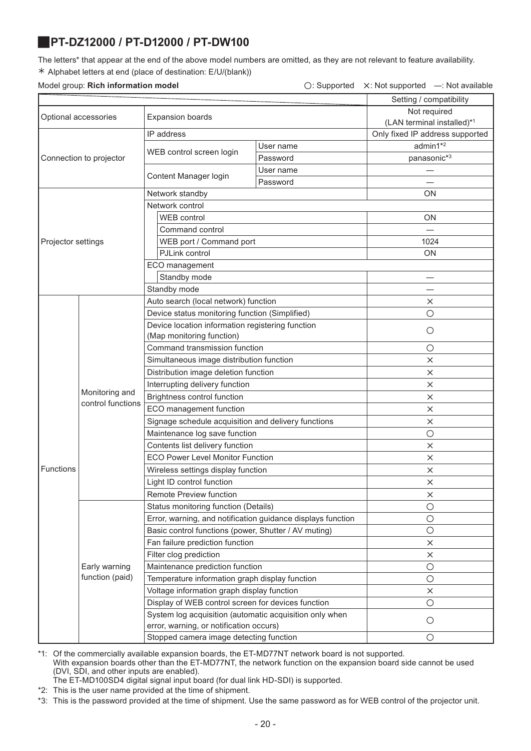# <span id="page-19-0"></span>J**PT-DZ12000 / PT-D12000 / PT-DW100**

The letters\* that appear at the end of the above model numbers are omitted, as they are not relevant to feature availability. ½ Alphabet letters at end (place of destination: E/U/(blank))

### Model group: **Rich information model** ○: Supported <sup>Î</sup>: Not supported ―: Not available

| Setting / compatibility<br>Not required<br><b>Expansion boards</b><br>Optional accessories<br>(LAN terminal installed)*1<br>IP address<br>Only fixed IP address supported<br>admin1*2<br>User name<br>WEB control screen login<br>panasonic*3<br>Connection to projector<br>Password |  |
|--------------------------------------------------------------------------------------------------------------------------------------------------------------------------------------------------------------------------------------------------------------------------------------|--|
|                                                                                                                                                                                                                                                                                      |  |
|                                                                                                                                                                                                                                                                                      |  |
|                                                                                                                                                                                                                                                                                      |  |
|                                                                                                                                                                                                                                                                                      |  |
|                                                                                                                                                                                                                                                                                      |  |
|                                                                                                                                                                                                                                                                                      |  |
| User name<br>Content Manager login                                                                                                                                                                                                                                                   |  |
| Password                                                                                                                                                                                                                                                                             |  |
| Network standby<br>ON                                                                                                                                                                                                                                                                |  |
| Network control                                                                                                                                                                                                                                                                      |  |
| WEB control<br>ON                                                                                                                                                                                                                                                                    |  |
| Command control                                                                                                                                                                                                                                                                      |  |
| Projector settings<br>WEB port / Command port<br>1024                                                                                                                                                                                                                                |  |
| PJLink control<br>ON                                                                                                                                                                                                                                                                 |  |
| ECO management                                                                                                                                                                                                                                                                       |  |
| Standby mode                                                                                                                                                                                                                                                                         |  |
| Standby mode                                                                                                                                                                                                                                                                         |  |
| Auto search (local network) function<br>×                                                                                                                                                                                                                                            |  |
| Device status monitoring function (Simplified)<br>О                                                                                                                                                                                                                                  |  |
| Device location information registering function<br>$\circ$                                                                                                                                                                                                                          |  |
| (Map monitoring function)                                                                                                                                                                                                                                                            |  |
| Command transmission function<br>$\bigcirc$                                                                                                                                                                                                                                          |  |
| Simultaneous image distribution function<br>×                                                                                                                                                                                                                                        |  |
| Distribution image deletion function<br>X                                                                                                                                                                                                                                            |  |
| Interrupting delivery function<br>×<br>Monitoring and                                                                                                                                                                                                                                |  |
| Brightness control function<br>$\times$<br>control functions                                                                                                                                                                                                                         |  |
| ECO management function<br>×                                                                                                                                                                                                                                                         |  |
| Signage schedule acquisition and delivery functions<br>×                                                                                                                                                                                                                             |  |
| Maintenance log save function<br>$\circ$                                                                                                                                                                                                                                             |  |
| Contents list delivery function<br>X                                                                                                                                                                                                                                                 |  |
| <b>ECO Power Level Monitor Function</b><br>×                                                                                                                                                                                                                                         |  |
| Functions<br>Wireless settings display function<br>×                                                                                                                                                                                                                                 |  |
| Light ID control function<br>×                                                                                                                                                                                                                                                       |  |
| Remote Preview function<br>×                                                                                                                                                                                                                                                         |  |
| Status monitoring function (Details)<br>$\bigcirc$                                                                                                                                                                                                                                   |  |
| Error, warning, and notification guidance displays function<br>$\bigcirc$                                                                                                                                                                                                            |  |
| Basic control functions (power, Shutter / AV muting)<br>$\bigcirc$                                                                                                                                                                                                                   |  |
| Fan failure prediction function<br>×                                                                                                                                                                                                                                                 |  |
| Filter clog prediction<br>$\times$                                                                                                                                                                                                                                                   |  |
| Early warning<br>Maintenance prediction function<br>$\bigcirc$                                                                                                                                                                                                                       |  |
| function (paid)<br>Temperature information graph display function<br>$\bigcirc$                                                                                                                                                                                                      |  |
| Voltage information graph display function<br>×                                                                                                                                                                                                                                      |  |
| Display of WEB control screen for devices function<br>$\circ$                                                                                                                                                                                                                        |  |
| System log acquisition (automatic acquisition only when<br>$\bigcirc$<br>error, warning, or notification occurs)                                                                                                                                                                     |  |
| Stopped camera image detecting function<br>О                                                                                                                                                                                                                                         |  |

\*1: Of the commercially available expansion boards, the ET-MD77NT network board is not supported.

With expansion boards other than the ET-MD77NT, the network function on the expansion board side cannot be used (DVI, SDI, and other inputs are enabled).

The ET-MD100SD4 digital signal input board (for dual link HD-SDI) is supported.

\*2: This is the user name provided at the time of shipment.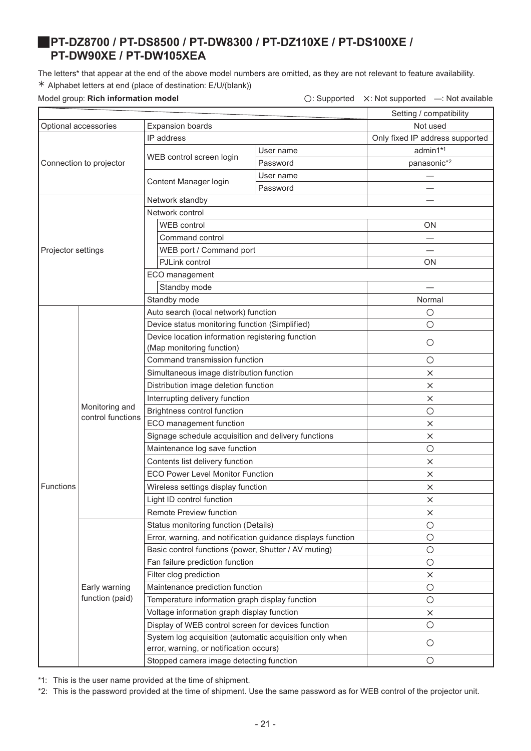### <span id="page-20-1"></span><span id="page-20-0"></span>J**PT-DZ8700 / PT-DS8500 / PT-DW8300 / PT-DZ110XE / PT-DS100XE / PT-DW90XE / PT-DW105XEA**

The letters\* that appear at the end of the above model numbers are omitted, as they are not relevant to feature availability. ½ Alphabet letters at end (place of destination: E/U/(blank))

Model group: **Rich information model C: Supported X: Not supported —: Not available** 

|                      |                                     |                                                                                                    | Setting / compatibility         |             |
|----------------------|-------------------------------------|----------------------------------------------------------------------------------------------------|---------------------------------|-------------|
| Optional accessories |                                     | <b>Expansion boards</b>                                                                            | Not used                        |             |
|                      |                                     | IP address                                                                                         | Only fixed IP address supported |             |
|                      |                                     |                                                                                                    | User name                       | admin1*1    |
|                      | Connection to projector             | WEB control screen login                                                                           | Password                        | panasonic*2 |
|                      |                                     |                                                                                                    | User name                       |             |
|                      |                                     | Content Manager login                                                                              | Password                        |             |
|                      |                                     | Network standby                                                                                    |                                 |             |
|                      |                                     | Network control                                                                                    |                                 |             |
|                      |                                     | <b>WEB</b> control                                                                                 |                                 | <b>ON</b>   |
|                      |                                     | Command control                                                                                    |                                 |             |
| Projector settings   |                                     | WEB port / Command port                                                                            |                                 |             |
|                      |                                     | PJLink control                                                                                     |                                 | ΟN          |
|                      |                                     | ECO management                                                                                     |                                 |             |
|                      |                                     | Standby mode                                                                                       |                                 |             |
|                      |                                     | Standby mode                                                                                       |                                 | Normal      |
|                      |                                     | Auto search (local network) function                                                               |                                 | $\circ$     |
|                      |                                     | Device status monitoring function (Simplified)                                                     |                                 | $\circ$     |
|                      |                                     | Device location information registering function                                                   |                                 |             |
|                      | Monitoring and<br>control functions | (Map monitoring function)                                                                          |                                 | $\circ$     |
|                      |                                     | Command transmission function                                                                      |                                 | $\circ$     |
|                      |                                     | Simultaneous image distribution function                                                           |                                 | $\times$    |
|                      |                                     | Distribution image deletion function                                                               |                                 | $\times$    |
|                      |                                     | Interrupting delivery function                                                                     |                                 | $\times$    |
|                      |                                     | Brightness control function                                                                        |                                 | $\circ$     |
|                      |                                     | ECO management function                                                                            |                                 | $\times$    |
|                      |                                     | Signage schedule acquisition and delivery functions                                                |                                 | ×           |
|                      |                                     | Maintenance log save function                                                                      |                                 | $\circ$     |
|                      |                                     | Contents list delivery function                                                                    |                                 | $\times$    |
|                      |                                     | <b>ECO Power Level Monitor Function</b>                                                            |                                 | $\times$    |
| Functions            |                                     | Wireless settings display function                                                                 |                                 | ×           |
|                      |                                     | Light ID control function                                                                          |                                 | $\times$    |
|                      |                                     | Remote Preview function                                                                            |                                 | ×           |
|                      |                                     | Status monitoring function (Details)                                                               |                                 | $\circ$     |
|                      |                                     | Error, warning, and notification guidance displays function                                        |                                 | $\bigcirc$  |
|                      |                                     | Basic control functions (power, Shutter / AV muting)                                               |                                 | $\bigcirc$  |
|                      |                                     | Fan failure prediction function                                                                    |                                 | $\bigcirc$  |
|                      |                                     | Filter clog prediction                                                                             |                                 | ×           |
|                      | Early warning                       | Maintenance prediction function                                                                    |                                 | $\bigcirc$  |
|                      | function (paid)                     | Temperature information graph display function                                                     |                                 | $\circ$     |
|                      |                                     | Voltage information graph display function                                                         |                                 | ×           |
|                      |                                     | Display of WEB control screen for devices function                                                 |                                 | $\bigcirc$  |
|                      |                                     | System log acquisition (automatic acquisition only when<br>error, warning, or notification occurs) |                                 | $\bigcirc$  |
|                      |                                     | Stopped camera image detecting function                                                            |                                 | $\bigcirc$  |
|                      |                                     |                                                                                                    |                                 |             |

\*1: This is the user name provided at the time of shipment.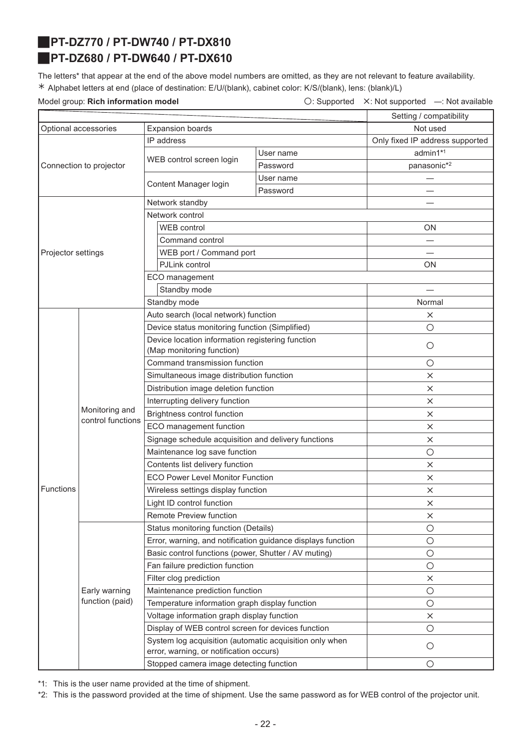### <span id="page-21-1"></span>J**PT-DZ770 / PT-DW740 / PT-DX810**

# <span id="page-21-0"></span>J**PT-DZ680 / PT-DW640 / PT-DX610**

The letters\* that appear at the end of the above model numbers are omitted, as they are not relevant to feature availability. ½ Alphabet letters at end (place of destination: E/U/(blank), cabinet color: K/S/(blank), lens: (blank)/L)

Model group: **Rich information model Conservation Conservation**  $\bigcirc$ : Supported X: Not supported —: Not available

|                      |                                     |                                                                                                    | Setting / compatibility |                                 |
|----------------------|-------------------------------------|----------------------------------------------------------------------------------------------------|-------------------------|---------------------------------|
| Optional accessories |                                     | <b>Expansion boards</b>                                                                            | Not used                |                                 |
|                      |                                     | IP address                                                                                         |                         | Only fixed IP address supported |
|                      |                                     |                                                                                                    | User name               | admin1*1                        |
|                      | Connection to projector             | WEB control screen login                                                                           | Password                | panasonic*2                     |
|                      |                                     |                                                                                                    | User name               |                                 |
|                      |                                     | Content Manager login                                                                              | Password                |                                 |
|                      |                                     | Network standby                                                                                    |                         |                                 |
|                      |                                     | Network control                                                                                    |                         |                                 |
|                      |                                     | <b>WEB</b> control                                                                                 |                         | ON                              |
|                      |                                     | Command control                                                                                    |                         |                                 |
| Projector settings   |                                     | WEB port / Command port                                                                            |                         |                                 |
|                      |                                     | PJLink control                                                                                     |                         | <b>ON</b>                       |
|                      |                                     | ECO management                                                                                     |                         |                                 |
|                      |                                     | Standby mode                                                                                       |                         |                                 |
|                      |                                     | Standby mode                                                                                       |                         | Normal                          |
|                      |                                     | Auto search (local network) function                                                               |                         | $\times$                        |
|                      |                                     | Device status monitoring function (Simplified)                                                     |                         | $\circ$                         |
|                      |                                     | Device location information registering function                                                   | $\circ$                 |                                 |
|                      | Monitoring and<br>control functions | (Map monitoring function)                                                                          |                         |                                 |
|                      |                                     | Command transmission function                                                                      |                         | $\circ$                         |
|                      |                                     | Simultaneous image distribution function                                                           |                         | $\times$                        |
|                      |                                     | Distribution image deletion function                                                               |                         | $\times$                        |
|                      |                                     | Interrupting delivery function                                                                     |                         | $\times$                        |
|                      |                                     | Brightness control function                                                                        |                         | $\times$                        |
|                      |                                     | ECO management function                                                                            |                         | ×                               |
|                      |                                     | Signage schedule acquisition and delivery functions                                                |                         | $\times$                        |
|                      |                                     | Maintenance log save function                                                                      |                         | $\circ$                         |
|                      |                                     | Contents list delivery function                                                                    |                         | $\times$                        |
|                      |                                     | <b>ECO Power Level Monitor Function</b>                                                            |                         | $\times$                        |
| Functions            |                                     | Wireless settings display function                                                                 |                         | $\times$                        |
|                      |                                     | Light ID control function                                                                          |                         | X                               |
|                      |                                     | <b>Remote Preview function</b>                                                                     |                         | $\times$                        |
|                      |                                     | Status monitoring function (Details)                                                               |                         | $\circ$                         |
|                      |                                     | Error, warning, and notification guidance displays function                                        |                         | $\bigcirc$                      |
|                      |                                     | Basic control functions (power, Shutter / AV muting)                                               |                         | $\bigcirc$                      |
|                      |                                     | Fan failure prediction function                                                                    |                         | $\bigcirc$                      |
|                      |                                     | Filter clog prediction                                                                             |                         | $\times$                        |
|                      | Early warning                       | Maintenance prediction function                                                                    |                         | $\bigcirc$                      |
|                      | function (paid)                     | Temperature information graph display function                                                     |                         | $\bigcirc$                      |
|                      |                                     | Voltage information graph display function                                                         |                         | $\times$                        |
|                      |                                     | Display of WEB control screen for devices function                                                 |                         | $\bigcirc$                      |
|                      |                                     | System log acquisition (automatic acquisition only when<br>error, warning, or notification occurs) |                         | $\circ$                         |
|                      |                                     | Stopped camera image detecting function                                                            |                         | $\circ$                         |

\*1: This is the user name provided at the time of shipment.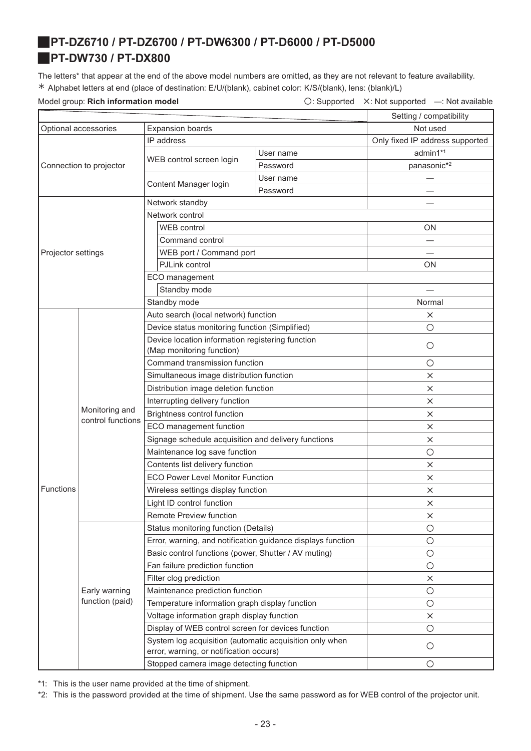# <span id="page-22-1"></span><span id="page-22-0"></span>J**PT-DZ6710 / PT-DZ6700 / PT-DW6300 / PT-D6000 / PT-D5000** J**PT-DW730 / PT-DX800**

The letters\* that appear at the end of the above model numbers are omitted, as they are not relevant to feature availability. ½ Alphabet letters at end (place of destination: E/U/(blank), cabinet color: K/S/(blank), lens: (blank)/L)

Model group: **Rich information model Conservation Conservation**  $\bigcirc$ : Supported X: Not supported —: Not available

|                      |                                     |                                                                                                    | Setting / compatibility |                                 |
|----------------------|-------------------------------------|----------------------------------------------------------------------------------------------------|-------------------------|---------------------------------|
| Optional accessories |                                     | <b>Expansion boards</b>                                                                            | Not used                |                                 |
|                      |                                     | IP address                                                                                         |                         | Only fixed IP address supported |
|                      |                                     |                                                                                                    | User name               | admin1*1                        |
|                      | Connection to projector             | WEB control screen login                                                                           | Password                | panasonic* <sup>2</sup>         |
|                      |                                     |                                                                                                    | User name               |                                 |
|                      |                                     | Content Manager login                                                                              | Password                |                                 |
|                      |                                     | Network standby                                                                                    |                         |                                 |
|                      |                                     | Network control                                                                                    |                         |                                 |
|                      |                                     | <b>WEB</b> control                                                                                 |                         | <b>ON</b>                       |
|                      |                                     | Command control                                                                                    |                         |                                 |
| Projector settings   |                                     | WEB port / Command port                                                                            |                         |                                 |
|                      |                                     | PJLink control                                                                                     |                         | ΟN                              |
|                      |                                     | ECO management                                                                                     |                         |                                 |
|                      |                                     | Standby mode                                                                                       |                         |                                 |
|                      |                                     | Standby mode                                                                                       |                         | Normal                          |
|                      |                                     | Auto search (local network) function                                                               |                         | $\times$                        |
|                      |                                     | Device status monitoring function (Simplified)                                                     |                         | $\circ$                         |
|                      |                                     | Device location information registering function                                                   |                         | $\circ$                         |
|                      |                                     | (Map monitoring function)                                                                          |                         |                                 |
|                      | Monitoring and<br>control functions | Command transmission function                                                                      |                         | $\circ$                         |
|                      |                                     | Simultaneous image distribution function                                                           |                         | $\times$                        |
|                      |                                     | Distribution image deletion function                                                               |                         | $\times$                        |
|                      |                                     | Interrupting delivery function                                                                     |                         | $\times$                        |
|                      |                                     | Brightness control function                                                                        |                         | $\times$                        |
|                      |                                     | ECO management function                                                                            |                         | $\times$                        |
|                      |                                     | Signage schedule acquisition and delivery functions                                                |                         | $\times$                        |
|                      |                                     | Maintenance log save function                                                                      |                         | $\bigcirc$                      |
|                      |                                     | Contents list delivery function                                                                    |                         | $\times$                        |
|                      |                                     | <b>ECO Power Level Monitor Function</b>                                                            |                         | $\times$                        |
| <b>Functions</b>     |                                     | Wireless settings display function                                                                 |                         | ×                               |
|                      |                                     | Light ID control function                                                                          |                         | X                               |
|                      |                                     | Remote Preview function                                                                            |                         | $\times$                        |
|                      |                                     | Status monitoring function (Details)                                                               |                         | $\circ$                         |
|                      |                                     | Error, warning, and notification guidance displays function                                        |                         | $\circ$                         |
|                      |                                     | Basic control functions (power, Shutter / AV muting)                                               |                         | $\bigcirc$                      |
|                      |                                     | Fan failure prediction function                                                                    |                         | $\bigcirc$                      |
|                      |                                     | Filter clog prediction                                                                             |                         | $\times$                        |
|                      | Early warning                       | Maintenance prediction function                                                                    |                         | $\circ$                         |
|                      | function (paid)                     | Temperature information graph display function                                                     |                         | $\bigcirc$                      |
|                      |                                     | Voltage information graph display function                                                         |                         | $\times$                        |
|                      |                                     | Display of WEB control screen for devices function                                                 |                         | $\circ$                         |
|                      |                                     | System log acquisition (automatic acquisition only when<br>error, warning, or notification occurs) |                         | $\circ$                         |
|                      |                                     | Stopped camera image detecting function                                                            |                         | $\bigcirc$                      |

\*1: This is the user name provided at the time of shipment.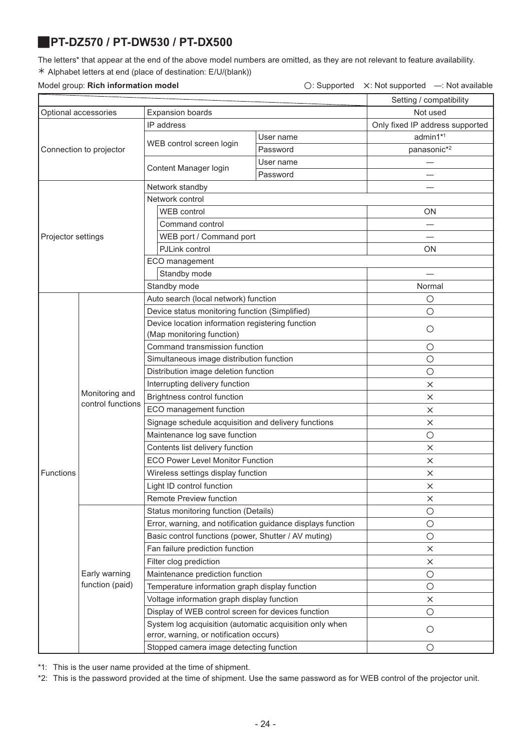## <span id="page-23-0"></span>J**PT-DZ570 / PT-DW530 / PT-DX500**

The letters\* that appear at the end of the above model numbers are omitted, as they are not relevant to feature availability. ½ Alphabet letters at end (place of destination: E/U/(blank))

### Model group: Rich information model

Optional accessories | Expansion

|           | $\bigcirc$ : Supported $\times$ : Not supported $-$ : Not available |
|-----------|---------------------------------------------------------------------|
|           | Setting / compatibility                                             |
| boards    | Not used                                                            |
|           | Only fixed IP address supported                                     |
| User name | admin1 <sup>*1</sup>                                                |

|                         |                                     | IP address                                                  | Only fixed IP address supported                      |             |
|-------------------------|-------------------------------------|-------------------------------------------------------------|------------------------------------------------------|-------------|
| Connection to projector |                                     |                                                             | User name                                            | admin1*1    |
|                         |                                     | WEB control screen login                                    | Password                                             | panasonic*2 |
|                         |                                     | Content Manager login                                       | User name                                            |             |
|                         |                                     |                                                             | Password                                             |             |
|                         |                                     | Network standby                                             |                                                      |             |
|                         |                                     | Network control                                             |                                                      |             |
|                         |                                     | WEB control                                                 | ON                                                   |             |
|                         |                                     | Command control                                             |                                                      |             |
| Projector settings      |                                     | WEB port / Command port                                     |                                                      |             |
|                         |                                     | PJLink control                                              |                                                      | <b>ON</b>   |
|                         |                                     | ECO management                                              |                                                      |             |
|                         |                                     | Standby mode                                                |                                                      |             |
|                         |                                     | Standby mode                                                |                                                      | Normal      |
|                         |                                     | Auto search (local network) function                        |                                                      | $\circ$     |
|                         |                                     | Device status monitoring function (Simplified)              |                                                      | $\circ$     |
|                         |                                     | Device location information registering function            |                                                      |             |
|                         |                                     | (Map monitoring function)                                   | O                                                    |             |
|                         | Monitoring and<br>control functions | Command transmission function                               | $\circ$                                              |             |
|                         |                                     | Simultaneous image distribution function                    | $\circ$                                              |             |
|                         |                                     | Distribution image deletion function                        | $\bigcirc$                                           |             |
|                         |                                     | Interrupting delivery function                              |                                                      | X           |
|                         |                                     | Brightness control function                                 | $\times$                                             |             |
|                         |                                     | ECO management function                                     | X                                                    |             |
|                         |                                     | Signage schedule acquisition and delivery functions         | $\times$                                             |             |
|                         |                                     | Maintenance log save function                               | $\circ$                                              |             |
|                         |                                     | Contents list delivery function                             | $\times$                                             |             |
|                         |                                     | <b>ECO Power Level Monitor Function</b>                     | $\times$                                             |             |
| Functions               |                                     | Wireless settings display function                          | $\times$                                             |             |
|                         |                                     | Light ID control function                                   |                                                      | X           |
|                         |                                     | Remote Preview function                                     |                                                      | X           |
|                         |                                     | Status monitoring function (Details)                        |                                                      | $\circ$     |
|                         |                                     | Error, warning, and notification guidance displays function |                                                      | O           |
|                         |                                     |                                                             | Basic control functions (power, Shutter / AV muting) |             |
|                         |                                     | Fan failure prediction function                             | $\times$                                             |             |
|                         |                                     | Filter clog prediction                                      |                                                      | $\times$    |
|                         | Early warning                       | Maintenance prediction function                             | $\bigcirc$                                           |             |
|                         | function (paid)                     | Temperature information graph display function              | $\circ$                                              |             |
|                         |                                     | Voltage information graph display function                  |                                                      | $\times$    |
|                         |                                     | Display of WEB control screen for devices function          |                                                      | $\circ$     |
|                         |                                     | System log acquisition (automatic acquisition only when     |                                                      |             |
|                         |                                     | error, warning, or notification occurs)                     |                                                      | $\circ$     |
|                         |                                     | Stopped camera image detecting function                     |                                                      | $\circ$     |

\*1: This is the user name provided at the time of shipment.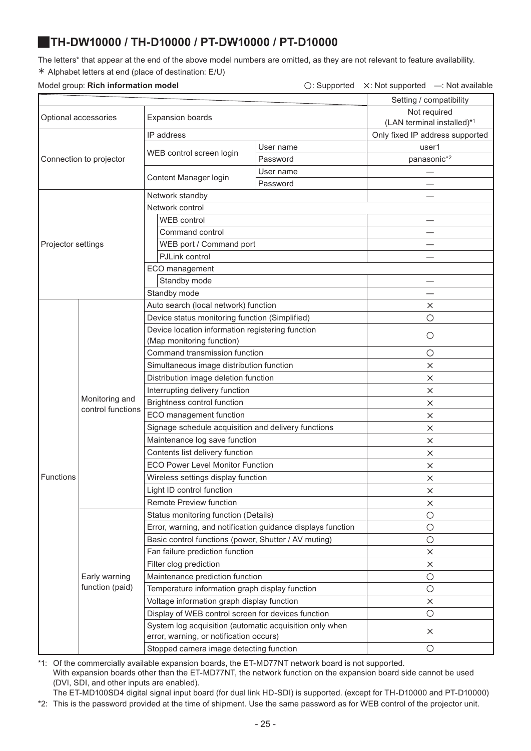## <span id="page-24-0"></span>J**TH-DW10000 / TH-D10000 / PT-DW10000 / PT-D10000**

The letters\* that appear at the end of the above model numbers are omitted, as they are not relevant to feature availability. ½ Alphabet letters at end (place of destination: E/U)

### Model group: **Rich information model** △ △: Supported △: Not supported —: Not available

|                      |                                     | Setting / compatibility                                                                            |           |                                 |
|----------------------|-------------------------------------|----------------------------------------------------------------------------------------------------|-----------|---------------------------------|
|                      |                                     | Not required                                                                                       |           |                                 |
| Optional accessories |                                     | <b>Expansion boards</b>                                                                            |           | (LAN terminal installed)*1      |
|                      |                                     | IP address                                                                                         |           | Only fixed IP address supported |
|                      |                                     |                                                                                                    | User name | user1                           |
|                      | Connection to projector             | WEB control screen login                                                                           | Password  | panasonic*2                     |
|                      |                                     |                                                                                                    | User name |                                 |
|                      |                                     | Content Manager login                                                                              | Password  |                                 |
|                      |                                     | Network standby                                                                                    |           |                                 |
|                      |                                     | Network control                                                                                    |           |                                 |
|                      |                                     | WEB control                                                                                        |           |                                 |
|                      |                                     | Command control                                                                                    |           |                                 |
| Projector settings   |                                     | WEB port / Command port                                                                            |           |                                 |
|                      |                                     | PJLink control                                                                                     |           |                                 |
|                      |                                     | ECO management                                                                                     |           |                                 |
|                      |                                     | Standby mode                                                                                       |           |                                 |
|                      |                                     | Standby mode                                                                                       |           |                                 |
|                      |                                     | Auto search (local network) function                                                               |           | ×                               |
|                      |                                     | Device status monitoring function (Simplified)                                                     |           | $\circ$                         |
|                      |                                     | Device location information registering function                                                   |           |                                 |
|                      |                                     | (Map monitoring function)                                                                          |           | $\circ$                         |
|                      | Monitoring and<br>control functions | Command transmission function                                                                      |           | $\circ$                         |
|                      |                                     | Simultaneous image distribution function                                                           |           | $\times$                        |
|                      |                                     | Distribution image deletion function                                                               |           | $\times$                        |
|                      |                                     | Interrupting delivery function                                                                     |           | $\times$                        |
|                      |                                     | Brightness control function                                                                        |           | $\times$                        |
|                      |                                     | ECO management function                                                                            | ×         |                                 |
|                      |                                     | Signage schedule acquisition and delivery functions                                                | $\times$  |                                 |
|                      |                                     | Maintenance log save function                                                                      | $\times$  |                                 |
|                      |                                     | Contents list delivery function                                                                    | X         |                                 |
|                      |                                     | <b>ECO Power Level Monitor Function</b>                                                            | $\times$  |                                 |
| Functions            |                                     | Wireless settings display function                                                                 | X         |                                 |
|                      |                                     | Light ID control function                                                                          |           | ×                               |
|                      |                                     | <b>Remote Preview function</b>                                                                     |           | $\times$                        |
|                      |                                     | Status monitoring function (Details)                                                               |           | $\bigcirc$                      |
|                      |                                     | Error, warning, and notification guidance displays function                                        |           | $\bigcirc$                      |
|                      |                                     | Basic control functions (power, Shutter / AV muting)                                               |           | $\circ$                         |
|                      |                                     | Fan failure prediction function                                                                    |           | X                               |
|                      |                                     | Filter clog prediction                                                                             |           | ×                               |
|                      | Early warning                       | Maintenance prediction function                                                                    |           | $\circ$                         |
|                      | function (paid)                     | Temperature information graph display function                                                     |           | $\bigcirc$                      |
|                      |                                     | Voltage information graph display function                                                         |           | $\times$                        |
|                      |                                     | Display of WEB control screen for devices function                                                 |           | $\bigcirc$                      |
|                      |                                     | System log acquisition (automatic acquisition only when<br>error, warning, or notification occurs) |           | X                               |
|                      |                                     | Stopped camera image detecting function                                                            |           | $\circ$                         |
|                      |                                     |                                                                                                    |           |                                 |

\*1: Of the commercially available expansion boards, the ET-MD77NT network board is not supported.

With expansion boards other than the ET-MD77NT, the network function on the expansion board side cannot be used (DVI, SDI, and other inputs are enabled).

The ET-MD100SD4 digital signal input board (for dual link HD-SDI) is supported. (except for TH-D10000 and PT-D10000)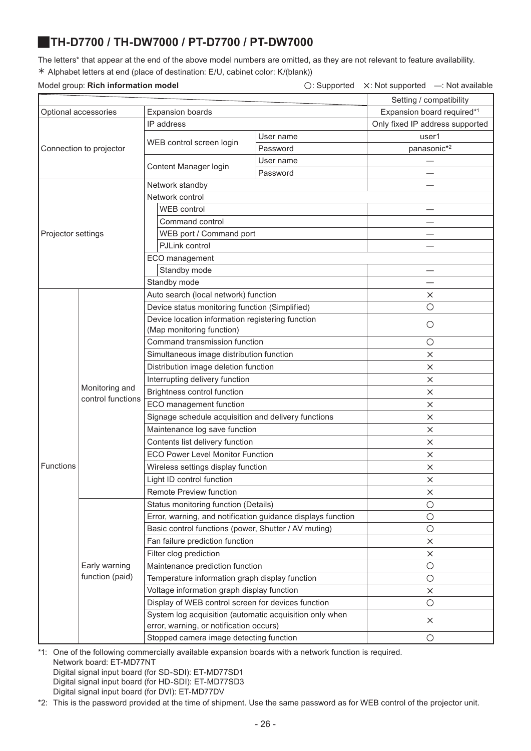# <span id="page-25-0"></span>J**TH-D7700 / TH-DW7000 / PT-D7700 / PT-DW7000**

The letters\* that appear at the end of the above model numbers are omitted, as they are not relevant to feature availability. ½ Alphabet letters at end (place of destination: E/U, cabinet color: K/(blank))

|                         |                                                                                                    |           | Setting / compatibility         |
|-------------------------|----------------------------------------------------------------------------------------------------|-----------|---------------------------------|
| Optional accessories    | <b>Expansion boards</b>                                                                            |           | Expansion board required*1      |
|                         | IP address                                                                                         |           | Only fixed IP address supported |
|                         | WEB control screen login                                                                           | User name | user1                           |
| Connection to projector |                                                                                                    | Password  | panasonic*2                     |
|                         | Content Manager login                                                                              | User name |                                 |
|                         |                                                                                                    | Password  |                                 |
|                         | Network standby                                                                                    |           |                                 |
|                         | Network control                                                                                    |           |                                 |
|                         | WEB control                                                                                        |           |                                 |
|                         | Command control                                                                                    |           |                                 |
| Projector settings      | WEB port / Command port                                                                            |           |                                 |
|                         | PJLink control                                                                                     |           |                                 |
|                         | ECO management                                                                                     |           |                                 |
|                         | Standby mode                                                                                       |           |                                 |
|                         | Standby mode                                                                                       |           |                                 |
|                         | Auto search (local network) function                                                               |           | ×                               |
|                         | Device status monitoring function (Simplified)                                                     |           | О                               |
|                         | Device location information registering function                                                   |           | О                               |
|                         | (Map monitoring function)                                                                          |           |                                 |
|                         | Command transmission function                                                                      |           | $\bigcirc$                      |
|                         | Simultaneous image distribution function                                                           |           | $\times$                        |
|                         | Distribution image deletion function                                                               |           | X                               |
| Monitoring and          | Interrupting delivery function                                                                     |           | $\times$                        |
| control functions       | Brightness control function                                                                        |           | X                               |
|                         | ECO management function                                                                            |           | $\times$                        |
|                         | Signage schedule acquisition and delivery functions                                                |           | $\times$                        |
|                         | Maintenance log save function                                                                      |           | X                               |
|                         | Contents list delivery function                                                                    |           | $\times$                        |
|                         | <b>ECO Power Level Monitor Function</b>                                                            |           | $\times$                        |
| Functions               | Wireless settings display function                                                                 |           | $\times$                        |
|                         | Light ID control function                                                                          |           | $\times$                        |
|                         | Remote Preview function                                                                            |           | $\times$                        |
|                         | Status monitoring function (Details)                                                               |           | $\bigcirc$                      |
|                         | Error, warning, and notification guidance displays function                                        |           | $\bigcirc$                      |
|                         | Basic control functions (power, Shutter / AV muting)                                               |           | $\bigcirc$                      |
|                         | Fan failure prediction function                                                                    |           | $\times$                        |
|                         | Filter clog prediction                                                                             |           | $\times$                        |
| Early warning           | Maintenance prediction function                                                                    |           | $\bigcirc$                      |
| function (paid)         | Temperature information graph display function                                                     |           | $\bigcirc$                      |
|                         | Voltage information graph display function                                                         |           | $\times$                        |
|                         | Display of WEB control screen for devices function                                                 |           | $\bigcirc$                      |
|                         | System log acquisition (automatic acquisition only when<br>error, warning, or notification occurs) |           | $\times$                        |
|                         | Stopped camera image detecting function                                                            |           | $\bigcirc$                      |

\*1: One of the following commercially available expansion boards with a network function is required. Network board: ET-MD77NT Digital signal input board (for SD-SDI): ET-MD77SD1 Digital signal input board (for HD-SDI): ET-MD77SD3

Digital signal input board (for DVI): ET-MD77DV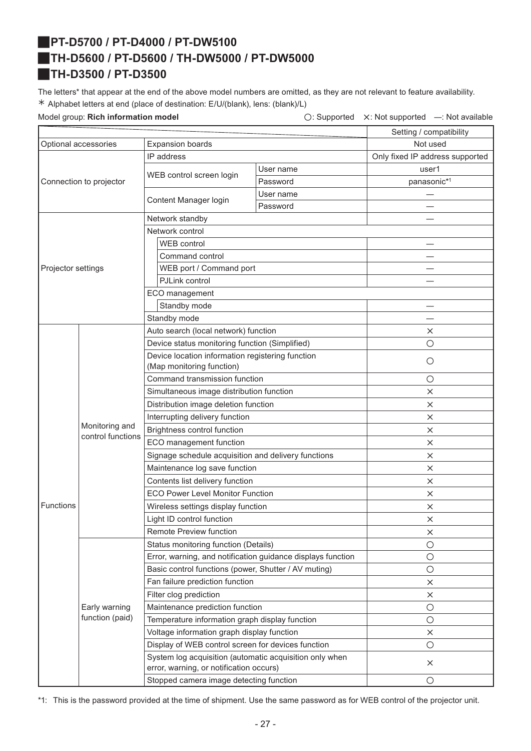# <span id="page-26-2"></span><span id="page-26-1"></span>J**PT-D5700 / PT-D4000 / PT-DW5100** J**TH-D5600 / PT-D5600 / TH-DW5000 / PT-DW5000** J**TH-D3500 / PT-D3500**

<span id="page-26-0"></span>The letters\* that appear at the end of the above model numbers are omitted, as they are not relevant to feature availability. ½ Alphabet letters at end (place of destination: E/U/(blank), lens: (blank)/L)

| Setting / compatibility<br><b>Expansion boards</b><br>Not used<br>Optional accessories<br>IP address<br>Only fixed IP address supported<br>User name<br>user1<br>WEB control screen login<br>panasonic*1<br>Connection to projector<br>Password<br>User name<br>Content Manager login<br>Password<br>Network standby<br>Network control<br><b>WEB</b> control<br>Command control<br>WEB port / Command port<br>Projector settings<br>PJLink control<br>ECO management<br>Standby mode<br>Standby mode<br>Auto search (local network) function<br>×<br>Device status monitoring function (Simplified)<br>О<br>Device location information registering function<br>О<br>(Map monitoring function)<br>Command transmission function<br>О<br>Simultaneous image distribution function<br>$\times$<br>Distribution image deletion function<br>$\times$<br>Interrupting delivery function<br>$\times$<br>Monitoring and<br>Brightness control function<br>$\times$<br>control functions<br>ECO management function<br>$\times$<br>Signage schedule acquisition and delivery functions<br>X<br>Maintenance log save function<br>$\times$<br>Contents list delivery function<br>X<br><b>ECO Power Level Monitor Function</b><br>$\times$<br><b>Functions</b><br>Wireless settings display function<br>$\times$<br>Light ID control function<br>$\times$<br>Remote Preview function<br>$\times$<br>Status monitoring function (Details)<br>$\bigcirc$<br>Error, warning, and notification guidance displays function<br>$\bigcirc$<br>Basic control functions (power, Shutter / AV muting)<br>$\bigcirc$<br>Fan failure prediction function<br>$\times$<br>Filter clog prediction<br>$\times$<br>Early warning<br>Maintenance prediction function<br>$\bigcirc$<br>function (paid)<br>Temperature information graph display function<br>$\bigcirc$<br>Voltage information graph display function<br>$\times$<br>Display of WEB control screen for devices function<br>$\bigcirc$<br>System log acquisition (automatic acquisition only when<br>$\times$<br>error, warning, or notification occurs)<br>Stopped camera image detecting function<br>$\bigcirc$ |  | Model group: Rich information model |  | $\bigcirc$ : Supported | X: Not supported - Not available |
|----------------------------------------------------------------------------------------------------------------------------------------------------------------------------------------------------------------------------------------------------------------------------------------------------------------------------------------------------------------------------------------------------------------------------------------------------------------------------------------------------------------------------------------------------------------------------------------------------------------------------------------------------------------------------------------------------------------------------------------------------------------------------------------------------------------------------------------------------------------------------------------------------------------------------------------------------------------------------------------------------------------------------------------------------------------------------------------------------------------------------------------------------------------------------------------------------------------------------------------------------------------------------------------------------------------------------------------------------------------------------------------------------------------------------------------------------------------------------------------------------------------------------------------------------------------------------------------------------------------------------------------------------------------------------------------------------------------------------------------------------------------------------------------------------------------------------------------------------------------------------------------------------------------------------------------------------------------------------------------------------------------------------------------------------------------------------------------------------------------------------------------------------|--|-------------------------------------|--|------------------------|----------------------------------|
|                                                                                                                                                                                                                                                                                                                                                                                                                                                                                                                                                                                                                                                                                                                                                                                                                                                                                                                                                                                                                                                                                                                                                                                                                                                                                                                                                                                                                                                                                                                                                                                                                                                                                                                                                                                                                                                                                                                                                                                                                                                                                                                                                    |  |                                     |  |                        |                                  |
|                                                                                                                                                                                                                                                                                                                                                                                                                                                                                                                                                                                                                                                                                                                                                                                                                                                                                                                                                                                                                                                                                                                                                                                                                                                                                                                                                                                                                                                                                                                                                                                                                                                                                                                                                                                                                                                                                                                                                                                                                                                                                                                                                    |  |                                     |  |                        |                                  |
|                                                                                                                                                                                                                                                                                                                                                                                                                                                                                                                                                                                                                                                                                                                                                                                                                                                                                                                                                                                                                                                                                                                                                                                                                                                                                                                                                                                                                                                                                                                                                                                                                                                                                                                                                                                                                                                                                                                                                                                                                                                                                                                                                    |  |                                     |  |                        |                                  |
|                                                                                                                                                                                                                                                                                                                                                                                                                                                                                                                                                                                                                                                                                                                                                                                                                                                                                                                                                                                                                                                                                                                                                                                                                                                                                                                                                                                                                                                                                                                                                                                                                                                                                                                                                                                                                                                                                                                                                                                                                                                                                                                                                    |  |                                     |  |                        |                                  |
|                                                                                                                                                                                                                                                                                                                                                                                                                                                                                                                                                                                                                                                                                                                                                                                                                                                                                                                                                                                                                                                                                                                                                                                                                                                                                                                                                                                                                                                                                                                                                                                                                                                                                                                                                                                                                                                                                                                                                                                                                                                                                                                                                    |  |                                     |  |                        |                                  |
|                                                                                                                                                                                                                                                                                                                                                                                                                                                                                                                                                                                                                                                                                                                                                                                                                                                                                                                                                                                                                                                                                                                                                                                                                                                                                                                                                                                                                                                                                                                                                                                                                                                                                                                                                                                                                                                                                                                                                                                                                                                                                                                                                    |  |                                     |  |                        |                                  |
|                                                                                                                                                                                                                                                                                                                                                                                                                                                                                                                                                                                                                                                                                                                                                                                                                                                                                                                                                                                                                                                                                                                                                                                                                                                                                                                                                                                                                                                                                                                                                                                                                                                                                                                                                                                                                                                                                                                                                                                                                                                                                                                                                    |  |                                     |  |                        |                                  |
|                                                                                                                                                                                                                                                                                                                                                                                                                                                                                                                                                                                                                                                                                                                                                                                                                                                                                                                                                                                                                                                                                                                                                                                                                                                                                                                                                                                                                                                                                                                                                                                                                                                                                                                                                                                                                                                                                                                                                                                                                                                                                                                                                    |  |                                     |  |                        |                                  |
|                                                                                                                                                                                                                                                                                                                                                                                                                                                                                                                                                                                                                                                                                                                                                                                                                                                                                                                                                                                                                                                                                                                                                                                                                                                                                                                                                                                                                                                                                                                                                                                                                                                                                                                                                                                                                                                                                                                                                                                                                                                                                                                                                    |  |                                     |  |                        |                                  |
|                                                                                                                                                                                                                                                                                                                                                                                                                                                                                                                                                                                                                                                                                                                                                                                                                                                                                                                                                                                                                                                                                                                                                                                                                                                                                                                                                                                                                                                                                                                                                                                                                                                                                                                                                                                                                                                                                                                                                                                                                                                                                                                                                    |  |                                     |  |                        |                                  |
|                                                                                                                                                                                                                                                                                                                                                                                                                                                                                                                                                                                                                                                                                                                                                                                                                                                                                                                                                                                                                                                                                                                                                                                                                                                                                                                                                                                                                                                                                                                                                                                                                                                                                                                                                                                                                                                                                                                                                                                                                                                                                                                                                    |  |                                     |  |                        |                                  |
|                                                                                                                                                                                                                                                                                                                                                                                                                                                                                                                                                                                                                                                                                                                                                                                                                                                                                                                                                                                                                                                                                                                                                                                                                                                                                                                                                                                                                                                                                                                                                                                                                                                                                                                                                                                                                                                                                                                                                                                                                                                                                                                                                    |  |                                     |  |                        |                                  |
|                                                                                                                                                                                                                                                                                                                                                                                                                                                                                                                                                                                                                                                                                                                                                                                                                                                                                                                                                                                                                                                                                                                                                                                                                                                                                                                                                                                                                                                                                                                                                                                                                                                                                                                                                                                                                                                                                                                                                                                                                                                                                                                                                    |  |                                     |  |                        |                                  |
|                                                                                                                                                                                                                                                                                                                                                                                                                                                                                                                                                                                                                                                                                                                                                                                                                                                                                                                                                                                                                                                                                                                                                                                                                                                                                                                                                                                                                                                                                                                                                                                                                                                                                                                                                                                                                                                                                                                                                                                                                                                                                                                                                    |  |                                     |  |                        |                                  |
|                                                                                                                                                                                                                                                                                                                                                                                                                                                                                                                                                                                                                                                                                                                                                                                                                                                                                                                                                                                                                                                                                                                                                                                                                                                                                                                                                                                                                                                                                                                                                                                                                                                                                                                                                                                                                                                                                                                                                                                                                                                                                                                                                    |  |                                     |  |                        |                                  |
|                                                                                                                                                                                                                                                                                                                                                                                                                                                                                                                                                                                                                                                                                                                                                                                                                                                                                                                                                                                                                                                                                                                                                                                                                                                                                                                                                                                                                                                                                                                                                                                                                                                                                                                                                                                                                                                                                                                                                                                                                                                                                                                                                    |  |                                     |  |                        |                                  |
|                                                                                                                                                                                                                                                                                                                                                                                                                                                                                                                                                                                                                                                                                                                                                                                                                                                                                                                                                                                                                                                                                                                                                                                                                                                                                                                                                                                                                                                                                                                                                                                                                                                                                                                                                                                                                                                                                                                                                                                                                                                                                                                                                    |  |                                     |  |                        |                                  |
|                                                                                                                                                                                                                                                                                                                                                                                                                                                                                                                                                                                                                                                                                                                                                                                                                                                                                                                                                                                                                                                                                                                                                                                                                                                                                                                                                                                                                                                                                                                                                                                                                                                                                                                                                                                                                                                                                                                                                                                                                                                                                                                                                    |  |                                     |  |                        |                                  |
|                                                                                                                                                                                                                                                                                                                                                                                                                                                                                                                                                                                                                                                                                                                                                                                                                                                                                                                                                                                                                                                                                                                                                                                                                                                                                                                                                                                                                                                                                                                                                                                                                                                                                                                                                                                                                                                                                                                                                                                                                                                                                                                                                    |  |                                     |  |                        |                                  |
|                                                                                                                                                                                                                                                                                                                                                                                                                                                                                                                                                                                                                                                                                                                                                                                                                                                                                                                                                                                                                                                                                                                                                                                                                                                                                                                                                                                                                                                                                                                                                                                                                                                                                                                                                                                                                                                                                                                                                                                                                                                                                                                                                    |  |                                     |  |                        |                                  |
|                                                                                                                                                                                                                                                                                                                                                                                                                                                                                                                                                                                                                                                                                                                                                                                                                                                                                                                                                                                                                                                                                                                                                                                                                                                                                                                                                                                                                                                                                                                                                                                                                                                                                                                                                                                                                                                                                                                                                                                                                                                                                                                                                    |  |                                     |  |                        |                                  |
|                                                                                                                                                                                                                                                                                                                                                                                                                                                                                                                                                                                                                                                                                                                                                                                                                                                                                                                                                                                                                                                                                                                                                                                                                                                                                                                                                                                                                                                                                                                                                                                                                                                                                                                                                                                                                                                                                                                                                                                                                                                                                                                                                    |  |                                     |  |                        |                                  |
|                                                                                                                                                                                                                                                                                                                                                                                                                                                                                                                                                                                                                                                                                                                                                                                                                                                                                                                                                                                                                                                                                                                                                                                                                                                                                                                                                                                                                                                                                                                                                                                                                                                                                                                                                                                                                                                                                                                                                                                                                                                                                                                                                    |  |                                     |  |                        |                                  |
|                                                                                                                                                                                                                                                                                                                                                                                                                                                                                                                                                                                                                                                                                                                                                                                                                                                                                                                                                                                                                                                                                                                                                                                                                                                                                                                                                                                                                                                                                                                                                                                                                                                                                                                                                                                                                                                                                                                                                                                                                                                                                                                                                    |  |                                     |  |                        |                                  |
|                                                                                                                                                                                                                                                                                                                                                                                                                                                                                                                                                                                                                                                                                                                                                                                                                                                                                                                                                                                                                                                                                                                                                                                                                                                                                                                                                                                                                                                                                                                                                                                                                                                                                                                                                                                                                                                                                                                                                                                                                                                                                                                                                    |  |                                     |  |                        |                                  |
|                                                                                                                                                                                                                                                                                                                                                                                                                                                                                                                                                                                                                                                                                                                                                                                                                                                                                                                                                                                                                                                                                                                                                                                                                                                                                                                                                                                                                                                                                                                                                                                                                                                                                                                                                                                                                                                                                                                                                                                                                                                                                                                                                    |  |                                     |  |                        |                                  |
|                                                                                                                                                                                                                                                                                                                                                                                                                                                                                                                                                                                                                                                                                                                                                                                                                                                                                                                                                                                                                                                                                                                                                                                                                                                                                                                                                                                                                                                                                                                                                                                                                                                                                                                                                                                                                                                                                                                                                                                                                                                                                                                                                    |  |                                     |  |                        |                                  |
|                                                                                                                                                                                                                                                                                                                                                                                                                                                                                                                                                                                                                                                                                                                                                                                                                                                                                                                                                                                                                                                                                                                                                                                                                                                                                                                                                                                                                                                                                                                                                                                                                                                                                                                                                                                                                                                                                                                                                                                                                                                                                                                                                    |  |                                     |  |                        |                                  |
|                                                                                                                                                                                                                                                                                                                                                                                                                                                                                                                                                                                                                                                                                                                                                                                                                                                                                                                                                                                                                                                                                                                                                                                                                                                                                                                                                                                                                                                                                                                                                                                                                                                                                                                                                                                                                                                                                                                                                                                                                                                                                                                                                    |  |                                     |  |                        |                                  |
|                                                                                                                                                                                                                                                                                                                                                                                                                                                                                                                                                                                                                                                                                                                                                                                                                                                                                                                                                                                                                                                                                                                                                                                                                                                                                                                                                                                                                                                                                                                                                                                                                                                                                                                                                                                                                                                                                                                                                                                                                                                                                                                                                    |  |                                     |  |                        |                                  |
|                                                                                                                                                                                                                                                                                                                                                                                                                                                                                                                                                                                                                                                                                                                                                                                                                                                                                                                                                                                                                                                                                                                                                                                                                                                                                                                                                                                                                                                                                                                                                                                                                                                                                                                                                                                                                                                                                                                                                                                                                                                                                                                                                    |  |                                     |  |                        |                                  |
|                                                                                                                                                                                                                                                                                                                                                                                                                                                                                                                                                                                                                                                                                                                                                                                                                                                                                                                                                                                                                                                                                                                                                                                                                                                                                                                                                                                                                                                                                                                                                                                                                                                                                                                                                                                                                                                                                                                                                                                                                                                                                                                                                    |  |                                     |  |                        |                                  |
|                                                                                                                                                                                                                                                                                                                                                                                                                                                                                                                                                                                                                                                                                                                                                                                                                                                                                                                                                                                                                                                                                                                                                                                                                                                                                                                                                                                                                                                                                                                                                                                                                                                                                                                                                                                                                                                                                                                                                                                                                                                                                                                                                    |  |                                     |  |                        |                                  |
|                                                                                                                                                                                                                                                                                                                                                                                                                                                                                                                                                                                                                                                                                                                                                                                                                                                                                                                                                                                                                                                                                                                                                                                                                                                                                                                                                                                                                                                                                                                                                                                                                                                                                                                                                                                                                                                                                                                                                                                                                                                                                                                                                    |  |                                     |  |                        |                                  |
|                                                                                                                                                                                                                                                                                                                                                                                                                                                                                                                                                                                                                                                                                                                                                                                                                                                                                                                                                                                                                                                                                                                                                                                                                                                                                                                                                                                                                                                                                                                                                                                                                                                                                                                                                                                                                                                                                                                                                                                                                                                                                                                                                    |  |                                     |  |                        |                                  |
|                                                                                                                                                                                                                                                                                                                                                                                                                                                                                                                                                                                                                                                                                                                                                                                                                                                                                                                                                                                                                                                                                                                                                                                                                                                                                                                                                                                                                                                                                                                                                                                                                                                                                                                                                                                                                                                                                                                                                                                                                                                                                                                                                    |  |                                     |  |                        |                                  |
|                                                                                                                                                                                                                                                                                                                                                                                                                                                                                                                                                                                                                                                                                                                                                                                                                                                                                                                                                                                                                                                                                                                                                                                                                                                                                                                                                                                                                                                                                                                                                                                                                                                                                                                                                                                                                                                                                                                                                                                                                                                                                                                                                    |  |                                     |  |                        |                                  |
|                                                                                                                                                                                                                                                                                                                                                                                                                                                                                                                                                                                                                                                                                                                                                                                                                                                                                                                                                                                                                                                                                                                                                                                                                                                                                                                                                                                                                                                                                                                                                                                                                                                                                                                                                                                                                                                                                                                                                                                                                                                                                                                                                    |  |                                     |  |                        |                                  |
|                                                                                                                                                                                                                                                                                                                                                                                                                                                                                                                                                                                                                                                                                                                                                                                                                                                                                                                                                                                                                                                                                                                                                                                                                                                                                                                                                                                                                                                                                                                                                                                                                                                                                                                                                                                                                                                                                                                                                                                                                                                                                                                                                    |  |                                     |  |                        |                                  |
|                                                                                                                                                                                                                                                                                                                                                                                                                                                                                                                                                                                                                                                                                                                                                                                                                                                                                                                                                                                                                                                                                                                                                                                                                                                                                                                                                                                                                                                                                                                                                                                                                                                                                                                                                                                                                                                                                                                                                                                                                                                                                                                                                    |  |                                     |  |                        |                                  |
|                                                                                                                                                                                                                                                                                                                                                                                                                                                                                                                                                                                                                                                                                                                                                                                                                                                                                                                                                                                                                                                                                                                                                                                                                                                                                                                                                                                                                                                                                                                                                                                                                                                                                                                                                                                                                                                                                                                                                                                                                                                                                                                                                    |  |                                     |  |                        |                                  |
|                                                                                                                                                                                                                                                                                                                                                                                                                                                                                                                                                                                                                                                                                                                                                                                                                                                                                                                                                                                                                                                                                                                                                                                                                                                                                                                                                                                                                                                                                                                                                                                                                                                                                                                                                                                                                                                                                                                                                                                                                                                                                                                                                    |  |                                     |  |                        |                                  |
|                                                                                                                                                                                                                                                                                                                                                                                                                                                                                                                                                                                                                                                                                                                                                                                                                                                                                                                                                                                                                                                                                                                                                                                                                                                                                                                                                                                                                                                                                                                                                                                                                                                                                                                                                                                                                                                                                                                                                                                                                                                                                                                                                    |  |                                     |  |                        |                                  |
|                                                                                                                                                                                                                                                                                                                                                                                                                                                                                                                                                                                                                                                                                                                                                                                                                                                                                                                                                                                                                                                                                                                                                                                                                                                                                                                                                                                                                                                                                                                                                                                                                                                                                                                                                                                                                                                                                                                                                                                                                                                                                                                                                    |  |                                     |  |                        |                                  |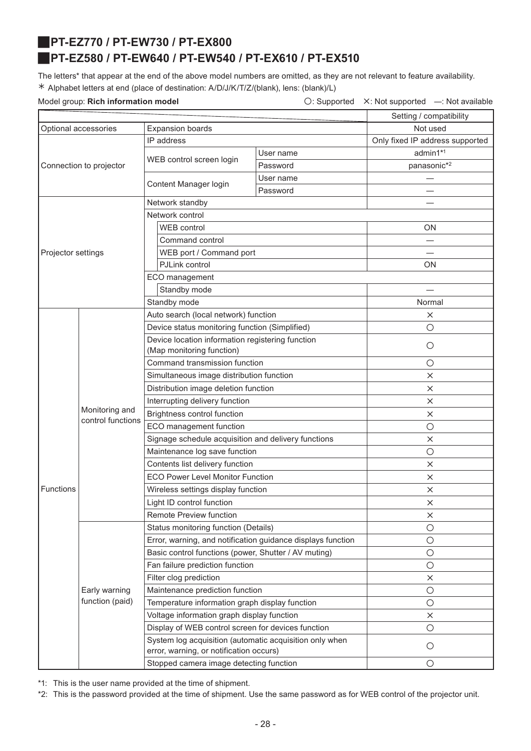<span id="page-27-1"></span><span id="page-27-0"></span>J**PT-EZ770 / PT-EW730 / PT-EX800**

### J**PT-EZ580 / PT-EW640 / PT-EW540 / PT-EX610 / PT-EX510**

The letters\* that appear at the end of the above model numbers are omitted, as they are not relevant to feature availability. ½ Alphabet letters at end (place of destination: A/D/J/K/T/Z/(blank), lens: (blank)/L)

Model group: **Rich information model Conservation Conservation**  $\bigcirc$ : Supported X: Not supported —: Not available

| Not used<br>Optional accessories<br><b>Expansion boards</b><br>IP address<br>Only fixed IP address supported<br>admin1*1<br>User name<br>WEB control screen login<br>panasonic*2<br>Connection to projector<br>Password<br>User name<br>Content Manager login<br>Password<br>Network standby<br>Network control<br><b>WEB</b> control<br><b>ON</b><br>Command control<br>WEB port / Command port<br>Projector settings<br>PJLink control<br>ΟN<br>ECO management<br>Standby mode<br>Standby mode<br>Normal<br>Auto search (local network) function<br>×<br>Device status monitoring function (Simplified)<br>$\circ$<br>Device location information registering function<br>$\circ$<br>(Map monitoring function)<br>Command transmission function<br>$\circ$<br>Simultaneous image distribution function<br>X<br>Distribution image deletion function<br>$\times$<br>Interrupting delivery function<br>$\times$<br>Monitoring and<br>Brightness control function<br>$\times$<br>control functions<br>ECO management function<br>$\circ$<br>Signage schedule acquisition and delivery functions<br>$\times$<br>Maintenance log save function<br>$\circ$<br>Contents list delivery function<br>$\times$<br><b>ECO Power Level Monitor Function</b><br>$\times$<br><b>Functions</b><br>Wireless settings display function<br>$\times$<br>Light ID control function<br>$\times$<br>Remote Preview function<br>$\times$<br>Status monitoring function (Details)<br>$\circ$<br>Error, warning, and notification guidance displays function<br>$\bigcirc$<br>Basic control functions (power, Shutter / AV muting)<br>$\bigcirc$<br>$\bigcirc$<br>Fan failure prediction function<br>Filter clog prediction<br>$\times$<br>Maintenance prediction function<br>Early warning<br>$\bigcirc$<br>function (paid)<br>Temperature information graph display function<br>$\bigcirc$<br>Voltage information graph display function<br>$\times$<br>Display of WEB control screen for devices function<br>$\bigcirc$<br>System log acquisition (automatic acquisition only when<br>$\circ$<br>error, warning, or notification occurs) |  |  |  | Setting / compatibility |  |
|---------------------------------------------------------------------------------------------------------------------------------------------------------------------------------------------------------------------------------------------------------------------------------------------------------------------------------------------------------------------------------------------------------------------------------------------------------------------------------------------------------------------------------------------------------------------------------------------------------------------------------------------------------------------------------------------------------------------------------------------------------------------------------------------------------------------------------------------------------------------------------------------------------------------------------------------------------------------------------------------------------------------------------------------------------------------------------------------------------------------------------------------------------------------------------------------------------------------------------------------------------------------------------------------------------------------------------------------------------------------------------------------------------------------------------------------------------------------------------------------------------------------------------------------------------------------------------------------------------------------------------------------------------------------------------------------------------------------------------------------------------------------------------------------------------------------------------------------------------------------------------------------------------------------------------------------------------------------------------------------------------------------------------------------------------------------------------------------------------------------|--|--|--|-------------------------|--|
|                                                                                                                                                                                                                                                                                                                                                                                                                                                                                                                                                                                                                                                                                                                                                                                                                                                                                                                                                                                                                                                                                                                                                                                                                                                                                                                                                                                                                                                                                                                                                                                                                                                                                                                                                                                                                                                                                                                                                                                                                                                                                                                     |  |  |  |                         |  |
|                                                                                                                                                                                                                                                                                                                                                                                                                                                                                                                                                                                                                                                                                                                                                                                                                                                                                                                                                                                                                                                                                                                                                                                                                                                                                                                                                                                                                                                                                                                                                                                                                                                                                                                                                                                                                                                                                                                                                                                                                                                                                                                     |  |  |  |                         |  |
|                                                                                                                                                                                                                                                                                                                                                                                                                                                                                                                                                                                                                                                                                                                                                                                                                                                                                                                                                                                                                                                                                                                                                                                                                                                                                                                                                                                                                                                                                                                                                                                                                                                                                                                                                                                                                                                                                                                                                                                                                                                                                                                     |  |  |  |                         |  |
|                                                                                                                                                                                                                                                                                                                                                                                                                                                                                                                                                                                                                                                                                                                                                                                                                                                                                                                                                                                                                                                                                                                                                                                                                                                                                                                                                                                                                                                                                                                                                                                                                                                                                                                                                                                                                                                                                                                                                                                                                                                                                                                     |  |  |  |                         |  |
|                                                                                                                                                                                                                                                                                                                                                                                                                                                                                                                                                                                                                                                                                                                                                                                                                                                                                                                                                                                                                                                                                                                                                                                                                                                                                                                                                                                                                                                                                                                                                                                                                                                                                                                                                                                                                                                                                                                                                                                                                                                                                                                     |  |  |  |                         |  |
|                                                                                                                                                                                                                                                                                                                                                                                                                                                                                                                                                                                                                                                                                                                                                                                                                                                                                                                                                                                                                                                                                                                                                                                                                                                                                                                                                                                                                                                                                                                                                                                                                                                                                                                                                                                                                                                                                                                                                                                                                                                                                                                     |  |  |  |                         |  |
|                                                                                                                                                                                                                                                                                                                                                                                                                                                                                                                                                                                                                                                                                                                                                                                                                                                                                                                                                                                                                                                                                                                                                                                                                                                                                                                                                                                                                                                                                                                                                                                                                                                                                                                                                                                                                                                                                                                                                                                                                                                                                                                     |  |  |  |                         |  |
|                                                                                                                                                                                                                                                                                                                                                                                                                                                                                                                                                                                                                                                                                                                                                                                                                                                                                                                                                                                                                                                                                                                                                                                                                                                                                                                                                                                                                                                                                                                                                                                                                                                                                                                                                                                                                                                                                                                                                                                                                                                                                                                     |  |  |  |                         |  |
|                                                                                                                                                                                                                                                                                                                                                                                                                                                                                                                                                                                                                                                                                                                                                                                                                                                                                                                                                                                                                                                                                                                                                                                                                                                                                                                                                                                                                                                                                                                                                                                                                                                                                                                                                                                                                                                                                                                                                                                                                                                                                                                     |  |  |  |                         |  |
|                                                                                                                                                                                                                                                                                                                                                                                                                                                                                                                                                                                                                                                                                                                                                                                                                                                                                                                                                                                                                                                                                                                                                                                                                                                                                                                                                                                                                                                                                                                                                                                                                                                                                                                                                                                                                                                                                                                                                                                                                                                                                                                     |  |  |  |                         |  |
|                                                                                                                                                                                                                                                                                                                                                                                                                                                                                                                                                                                                                                                                                                                                                                                                                                                                                                                                                                                                                                                                                                                                                                                                                                                                                                                                                                                                                                                                                                                                                                                                                                                                                                                                                                                                                                                                                                                                                                                                                                                                                                                     |  |  |  |                         |  |
|                                                                                                                                                                                                                                                                                                                                                                                                                                                                                                                                                                                                                                                                                                                                                                                                                                                                                                                                                                                                                                                                                                                                                                                                                                                                                                                                                                                                                                                                                                                                                                                                                                                                                                                                                                                                                                                                                                                                                                                                                                                                                                                     |  |  |  |                         |  |
|                                                                                                                                                                                                                                                                                                                                                                                                                                                                                                                                                                                                                                                                                                                                                                                                                                                                                                                                                                                                                                                                                                                                                                                                                                                                                                                                                                                                                                                                                                                                                                                                                                                                                                                                                                                                                                                                                                                                                                                                                                                                                                                     |  |  |  |                         |  |
|                                                                                                                                                                                                                                                                                                                                                                                                                                                                                                                                                                                                                                                                                                                                                                                                                                                                                                                                                                                                                                                                                                                                                                                                                                                                                                                                                                                                                                                                                                                                                                                                                                                                                                                                                                                                                                                                                                                                                                                                                                                                                                                     |  |  |  |                         |  |
|                                                                                                                                                                                                                                                                                                                                                                                                                                                                                                                                                                                                                                                                                                                                                                                                                                                                                                                                                                                                                                                                                                                                                                                                                                                                                                                                                                                                                                                                                                                                                                                                                                                                                                                                                                                                                                                                                                                                                                                                                                                                                                                     |  |  |  |                         |  |
|                                                                                                                                                                                                                                                                                                                                                                                                                                                                                                                                                                                                                                                                                                                                                                                                                                                                                                                                                                                                                                                                                                                                                                                                                                                                                                                                                                                                                                                                                                                                                                                                                                                                                                                                                                                                                                                                                                                                                                                                                                                                                                                     |  |  |  |                         |  |
|                                                                                                                                                                                                                                                                                                                                                                                                                                                                                                                                                                                                                                                                                                                                                                                                                                                                                                                                                                                                                                                                                                                                                                                                                                                                                                                                                                                                                                                                                                                                                                                                                                                                                                                                                                                                                                                                                                                                                                                                                                                                                                                     |  |  |  |                         |  |
|                                                                                                                                                                                                                                                                                                                                                                                                                                                                                                                                                                                                                                                                                                                                                                                                                                                                                                                                                                                                                                                                                                                                                                                                                                                                                                                                                                                                                                                                                                                                                                                                                                                                                                                                                                                                                                                                                                                                                                                                                                                                                                                     |  |  |  |                         |  |
|                                                                                                                                                                                                                                                                                                                                                                                                                                                                                                                                                                                                                                                                                                                                                                                                                                                                                                                                                                                                                                                                                                                                                                                                                                                                                                                                                                                                                                                                                                                                                                                                                                                                                                                                                                                                                                                                                                                                                                                                                                                                                                                     |  |  |  |                         |  |
|                                                                                                                                                                                                                                                                                                                                                                                                                                                                                                                                                                                                                                                                                                                                                                                                                                                                                                                                                                                                                                                                                                                                                                                                                                                                                                                                                                                                                                                                                                                                                                                                                                                                                                                                                                                                                                                                                                                                                                                                                                                                                                                     |  |  |  |                         |  |
|                                                                                                                                                                                                                                                                                                                                                                                                                                                                                                                                                                                                                                                                                                                                                                                                                                                                                                                                                                                                                                                                                                                                                                                                                                                                                                                                                                                                                                                                                                                                                                                                                                                                                                                                                                                                                                                                                                                                                                                                                                                                                                                     |  |  |  |                         |  |
|                                                                                                                                                                                                                                                                                                                                                                                                                                                                                                                                                                                                                                                                                                                                                                                                                                                                                                                                                                                                                                                                                                                                                                                                                                                                                                                                                                                                                                                                                                                                                                                                                                                                                                                                                                                                                                                                                                                                                                                                                                                                                                                     |  |  |  |                         |  |
|                                                                                                                                                                                                                                                                                                                                                                                                                                                                                                                                                                                                                                                                                                                                                                                                                                                                                                                                                                                                                                                                                                                                                                                                                                                                                                                                                                                                                                                                                                                                                                                                                                                                                                                                                                                                                                                                                                                                                                                                                                                                                                                     |  |  |  |                         |  |
|                                                                                                                                                                                                                                                                                                                                                                                                                                                                                                                                                                                                                                                                                                                                                                                                                                                                                                                                                                                                                                                                                                                                                                                                                                                                                                                                                                                                                                                                                                                                                                                                                                                                                                                                                                                                                                                                                                                                                                                                                                                                                                                     |  |  |  |                         |  |
|                                                                                                                                                                                                                                                                                                                                                                                                                                                                                                                                                                                                                                                                                                                                                                                                                                                                                                                                                                                                                                                                                                                                                                                                                                                                                                                                                                                                                                                                                                                                                                                                                                                                                                                                                                                                                                                                                                                                                                                                                                                                                                                     |  |  |  |                         |  |
|                                                                                                                                                                                                                                                                                                                                                                                                                                                                                                                                                                                                                                                                                                                                                                                                                                                                                                                                                                                                                                                                                                                                                                                                                                                                                                                                                                                                                                                                                                                                                                                                                                                                                                                                                                                                                                                                                                                                                                                                                                                                                                                     |  |  |  |                         |  |
|                                                                                                                                                                                                                                                                                                                                                                                                                                                                                                                                                                                                                                                                                                                                                                                                                                                                                                                                                                                                                                                                                                                                                                                                                                                                                                                                                                                                                                                                                                                                                                                                                                                                                                                                                                                                                                                                                                                                                                                                                                                                                                                     |  |  |  |                         |  |
|                                                                                                                                                                                                                                                                                                                                                                                                                                                                                                                                                                                                                                                                                                                                                                                                                                                                                                                                                                                                                                                                                                                                                                                                                                                                                                                                                                                                                                                                                                                                                                                                                                                                                                                                                                                                                                                                                                                                                                                                                                                                                                                     |  |  |  |                         |  |
|                                                                                                                                                                                                                                                                                                                                                                                                                                                                                                                                                                                                                                                                                                                                                                                                                                                                                                                                                                                                                                                                                                                                                                                                                                                                                                                                                                                                                                                                                                                                                                                                                                                                                                                                                                                                                                                                                                                                                                                                                                                                                                                     |  |  |  |                         |  |
|                                                                                                                                                                                                                                                                                                                                                                                                                                                                                                                                                                                                                                                                                                                                                                                                                                                                                                                                                                                                                                                                                                                                                                                                                                                                                                                                                                                                                                                                                                                                                                                                                                                                                                                                                                                                                                                                                                                                                                                                                                                                                                                     |  |  |  |                         |  |
|                                                                                                                                                                                                                                                                                                                                                                                                                                                                                                                                                                                                                                                                                                                                                                                                                                                                                                                                                                                                                                                                                                                                                                                                                                                                                                                                                                                                                                                                                                                                                                                                                                                                                                                                                                                                                                                                                                                                                                                                                                                                                                                     |  |  |  |                         |  |
|                                                                                                                                                                                                                                                                                                                                                                                                                                                                                                                                                                                                                                                                                                                                                                                                                                                                                                                                                                                                                                                                                                                                                                                                                                                                                                                                                                                                                                                                                                                                                                                                                                                                                                                                                                                                                                                                                                                                                                                                                                                                                                                     |  |  |  |                         |  |
|                                                                                                                                                                                                                                                                                                                                                                                                                                                                                                                                                                                                                                                                                                                                                                                                                                                                                                                                                                                                                                                                                                                                                                                                                                                                                                                                                                                                                                                                                                                                                                                                                                                                                                                                                                                                                                                                                                                                                                                                                                                                                                                     |  |  |  |                         |  |
|                                                                                                                                                                                                                                                                                                                                                                                                                                                                                                                                                                                                                                                                                                                                                                                                                                                                                                                                                                                                                                                                                                                                                                                                                                                                                                                                                                                                                                                                                                                                                                                                                                                                                                                                                                                                                                                                                                                                                                                                                                                                                                                     |  |  |  |                         |  |
|                                                                                                                                                                                                                                                                                                                                                                                                                                                                                                                                                                                                                                                                                                                                                                                                                                                                                                                                                                                                                                                                                                                                                                                                                                                                                                                                                                                                                                                                                                                                                                                                                                                                                                                                                                                                                                                                                                                                                                                                                                                                                                                     |  |  |  |                         |  |
|                                                                                                                                                                                                                                                                                                                                                                                                                                                                                                                                                                                                                                                                                                                                                                                                                                                                                                                                                                                                                                                                                                                                                                                                                                                                                                                                                                                                                                                                                                                                                                                                                                                                                                                                                                                                                                                                                                                                                                                                                                                                                                                     |  |  |  |                         |  |
|                                                                                                                                                                                                                                                                                                                                                                                                                                                                                                                                                                                                                                                                                                                                                                                                                                                                                                                                                                                                                                                                                                                                                                                                                                                                                                                                                                                                                                                                                                                                                                                                                                                                                                                                                                                                                                                                                                                                                                                                                                                                                                                     |  |  |  |                         |  |
|                                                                                                                                                                                                                                                                                                                                                                                                                                                                                                                                                                                                                                                                                                                                                                                                                                                                                                                                                                                                                                                                                                                                                                                                                                                                                                                                                                                                                                                                                                                                                                                                                                                                                                                                                                                                                                                                                                                                                                                                                                                                                                                     |  |  |  |                         |  |
|                                                                                                                                                                                                                                                                                                                                                                                                                                                                                                                                                                                                                                                                                                                                                                                                                                                                                                                                                                                                                                                                                                                                                                                                                                                                                                                                                                                                                                                                                                                                                                                                                                                                                                                                                                                                                                                                                                                                                                                                                                                                                                                     |  |  |  |                         |  |
|                                                                                                                                                                                                                                                                                                                                                                                                                                                                                                                                                                                                                                                                                                                                                                                                                                                                                                                                                                                                                                                                                                                                                                                                                                                                                                                                                                                                                                                                                                                                                                                                                                                                                                                                                                                                                                                                                                                                                                                                                                                                                                                     |  |  |  |                         |  |
|                                                                                                                                                                                                                                                                                                                                                                                                                                                                                                                                                                                                                                                                                                                                                                                                                                                                                                                                                                                                                                                                                                                                                                                                                                                                                                                                                                                                                                                                                                                                                                                                                                                                                                                                                                                                                                                                                                                                                                                                                                                                                                                     |  |  |  |                         |  |
|                                                                                                                                                                                                                                                                                                                                                                                                                                                                                                                                                                                                                                                                                                                                                                                                                                                                                                                                                                                                                                                                                                                                                                                                                                                                                                                                                                                                                                                                                                                                                                                                                                                                                                                                                                                                                                                                                                                                                                                                                                                                                                                     |  |  |  |                         |  |
| Stopped camera image detecting function<br>$\bigcirc$                                                                                                                                                                                                                                                                                                                                                                                                                                                                                                                                                                                                                                                                                                                                                                                                                                                                                                                                                                                                                                                                                                                                                                                                                                                                                                                                                                                                                                                                                                                                                                                                                                                                                                                                                                                                                                                                                                                                                                                                                                                               |  |  |  |                         |  |

\*1: This is the user name provided at the time of shipment.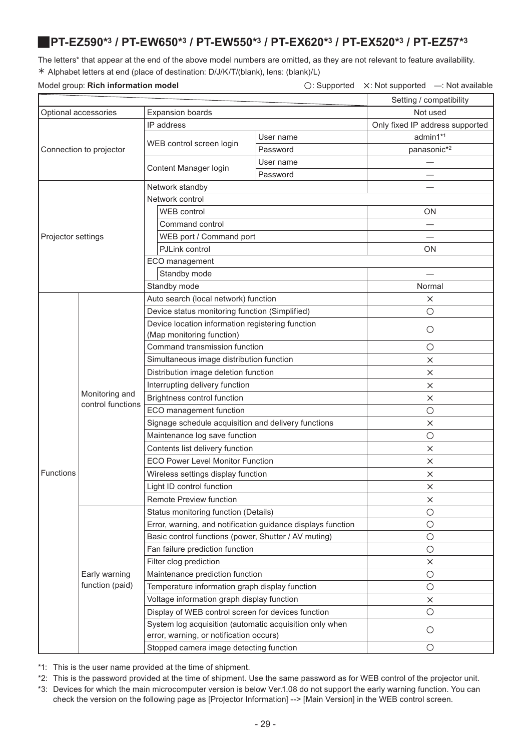### <span id="page-28-5"></span><span id="page-28-4"></span><span id="page-28-3"></span><span id="page-28-2"></span><span id="page-28-1"></span><span id="page-28-0"></span>J**PT-EZ590\*3 / PT-EW650\*3 / PT-EW550\*3 / PT-EX620\*3 / PT-EX520\*3 / PT-EZ57\*3**

The letters\* that appear at the end of the above model numbers are omitted, as they are not relevant to feature availability. ½ Alphabet letters at end (place of destination: D/J/K/T/(blank), lens: (blank)/L)

Model group: **Rich information model**  $\bigcirc$ : Supported  $\bigtimes$ : Not supported —: Not available

|                    |                                     |                                                                                                    |                                 | Setting / compatibility |
|--------------------|-------------------------------------|----------------------------------------------------------------------------------------------------|---------------------------------|-------------------------|
|                    | Optional accessories                | Not used                                                                                           |                                 |                         |
|                    |                                     | <b>Expansion boards</b><br>IP address                                                              | Only fixed IP address supported |                         |
|                    |                                     |                                                                                                    | User name                       | admin1*1                |
|                    | Connection to projector             | WEB control screen login                                                                           | Password                        | panasonic*2             |
|                    |                                     |                                                                                                    | User name                       |                         |
|                    |                                     | Content Manager login                                                                              | Password                        |                         |
|                    |                                     | Network standby                                                                                    |                                 |                         |
|                    |                                     | Network control                                                                                    |                                 |                         |
|                    |                                     | <b>WEB</b> control                                                                                 |                                 | <b>ON</b>               |
|                    |                                     | Command control                                                                                    |                                 |                         |
| Projector settings |                                     | WEB port / Command port                                                                            |                                 |                         |
|                    |                                     | PJLink control                                                                                     |                                 | ΟN                      |
|                    |                                     | ECO management                                                                                     |                                 |                         |
|                    |                                     | Standby mode                                                                                       |                                 |                         |
|                    |                                     | Standby mode                                                                                       |                                 | Normal                  |
|                    |                                     | Auto search (local network) function                                                               |                                 | X                       |
|                    |                                     | Device status monitoring function (Simplified)                                                     |                                 | О                       |
|                    |                                     | Device location information registering function                                                   |                                 |                         |
|                    |                                     | (Map monitoring function)                                                                          |                                 | $\circ$                 |
|                    | Monitoring and<br>control functions | Command transmission function                                                                      |                                 | O                       |
|                    |                                     | Simultaneous image distribution function                                                           | ×                               |                         |
|                    |                                     | Distribution image deletion function                                                               |                                 | ×                       |
|                    |                                     | Interrupting delivery function                                                                     | $\times$                        |                         |
|                    |                                     | Brightness control function                                                                        | $\times$                        |                         |
|                    |                                     | ECO management function                                                                            | $\bigcirc$                      |                         |
|                    |                                     | Signage schedule acquisition and delivery functions                                                | $\times$                        |                         |
|                    |                                     | Maintenance log save function                                                                      | $\circ$                         |                         |
|                    |                                     | Contents list delivery function                                                                    | X                               |                         |
|                    |                                     | <b>ECO Power Level Monitor Function</b>                                                            | ×                               |                         |
| Functions          |                                     | Wireless settings display function                                                                 | $\times$                        |                         |
|                    |                                     | Light ID control function                                                                          |                                 | $\times$                |
|                    |                                     | Remote Preview function                                                                            |                                 | ×                       |
|                    |                                     | Status monitoring function (Details)                                                               |                                 | $\circ$                 |
|                    |                                     | Error, warning, and notification guidance displays function                                        |                                 | $\bigcirc$              |
|                    |                                     | Basic control functions (power, Shutter / AV muting)                                               |                                 | $\circ$                 |
|                    |                                     | Fan failure prediction function                                                                    |                                 | $\circ$                 |
|                    |                                     | Filter clog prediction                                                                             |                                 | X                       |
|                    | Early warning                       | Maintenance prediction function                                                                    |                                 | $\circ$                 |
|                    | function (paid)                     | Temperature information graph display function                                                     |                                 | $\circ$                 |
|                    |                                     | Voltage information graph display function                                                         |                                 | X                       |
|                    |                                     | Display of WEB control screen for devices function                                                 |                                 | $\circ$                 |
|                    |                                     | System log acquisition (automatic acquisition only when<br>error, warning, or notification occurs) |                                 | $\circ$                 |
|                    |                                     | Stopped camera image detecting function                                                            |                                 | О                       |

\*1: This is the user name provided at the time of shipment.

\*2: This is the password provided at the time of shipment. Use the same password as for WEB control of the projector unit.

\*3: Devices for which the main microcomputer version is below Ver.1.08 do not support the early warning function. You can check the version on the following page as [Projector Information] --> [Main Version] in the WEB control screen.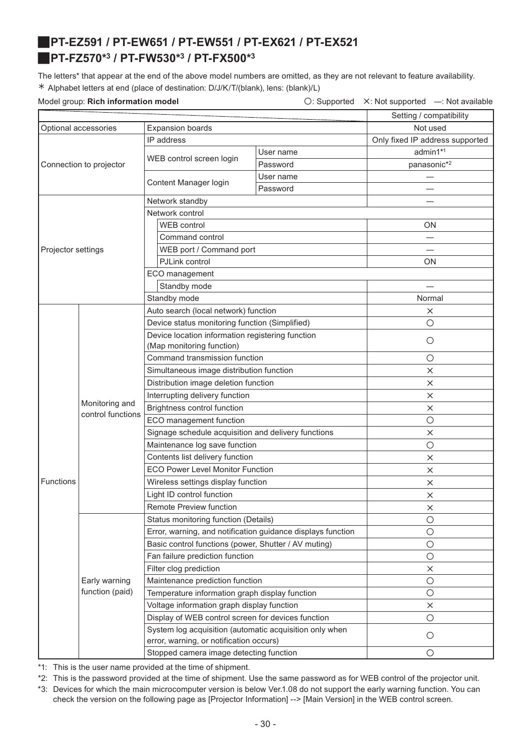# <span id="page-29-3"></span><span id="page-29-2"></span><span id="page-29-1"></span><span id="page-29-0"></span>J**PT-EZ591 / PT-EW651 / PT-EW551 / PT-EX621 / PT-EX521** J**PT-FZ570\*3 / PT-FW530\*3 / PT-FX500\*3**

The letters\* that appear at the end of the above model numbers are omitted, as they are not relevant to feature availability. ½ Alphabet letters at end (place of destination: D/J/K/T/(blank), lens: (blank)/L)

Model group: **Rich information model**  $\bigcirc$ : Supported X: Not supported —: Not available

|                                                 |                   |                                                                                                    |           | Setting / compatibility         |
|-------------------------------------------------|-------------------|----------------------------------------------------------------------------------------------------|-----------|---------------------------------|
| Optional accessories<br><b>Expansion boards</b> |                   |                                                                                                    | Not used  |                                 |
|                                                 |                   | IP address                                                                                         |           | Only fixed IP address supported |
| Connection to projector                         |                   |                                                                                                    | User name | admin1*1                        |
|                                                 |                   | WEB control screen login                                                                           | Password  | panasonic*2                     |
|                                                 |                   |                                                                                                    | User name |                                 |
|                                                 |                   | Content Manager login                                                                              | Password  |                                 |
|                                                 |                   | Network standby                                                                                    |           |                                 |
|                                                 |                   | Network control                                                                                    |           |                                 |
|                                                 |                   | <b>WEB</b> control                                                                                 |           | <b>ON</b>                       |
|                                                 |                   | Command control                                                                                    |           |                                 |
| Projector settings                              |                   | WEB port / Command port                                                                            |           |                                 |
|                                                 |                   | PJLink control                                                                                     |           | ΟN                              |
|                                                 |                   | ECO management                                                                                     |           |                                 |
|                                                 |                   | Standby mode                                                                                       |           |                                 |
|                                                 |                   | Standby mode                                                                                       |           | Normal                          |
|                                                 |                   | Auto search (local network) function                                                               |           | ×                               |
|                                                 |                   | Device status monitoring function (Simplified)                                                     |           | $\circ$                         |
|                                                 |                   | Device location information registering function                                                   |           |                                 |
|                                                 |                   | (Map monitoring function)                                                                          |           | $\circ$                         |
|                                                 | Monitoring and    | Command transmission function                                                                      |           | $\circ$                         |
|                                                 |                   | Simultaneous image distribution function                                                           |           | $\times$                        |
|                                                 |                   | Distribution image deletion function                                                               |           | $\times$                        |
|                                                 |                   | Interrupting delivery function                                                                     |           | $\times$                        |
|                                                 |                   | Brightness control function                                                                        |           | $\times$                        |
|                                                 | control functions | ECO management function                                                                            |           | $\circ$                         |
|                                                 |                   | Signage schedule acquisition and delivery functions                                                |           | $\times$                        |
|                                                 |                   | Maintenance log save function                                                                      |           | $\circ$                         |
|                                                 |                   | Contents list delivery function                                                                    |           | X                               |
|                                                 |                   | <b>ECO Power Level Monitor Function</b>                                                            |           | $\times$                        |
| Functions                                       |                   | Wireless settings display function                                                                 |           | ×                               |
|                                                 |                   | Light ID control function                                                                          |           | X                               |
|                                                 |                   | Remote Preview function                                                                            |           | х                               |
|                                                 |                   | Status monitoring function (Details)                                                               |           | $\circ$                         |
|                                                 |                   | Error, warning, and notification guidance displays function                                        |           | $\circ$                         |
|                                                 |                   | Basic control functions (power, Shutter / AV muting)                                               |           | $\bigcirc$                      |
|                                                 |                   | Fan failure prediction function                                                                    |           | $\bigcirc$                      |
|                                                 |                   | Filter clog prediction                                                                             |           | $\times$                        |
|                                                 | Early warning     | Maintenance prediction function                                                                    |           | $\circ$                         |
|                                                 | function (paid)   | Temperature information graph display function                                                     |           | $\circ$                         |
|                                                 |                   | Voltage information graph display function                                                         |           | $\times$                        |
|                                                 |                   | Display of WEB control screen for devices function                                                 |           | $\circ$                         |
|                                                 |                   | System log acquisition (automatic acquisition only when<br>error, warning, or notification occurs) |           | $\circ$                         |
|                                                 |                   | Stopped camera image detecting function                                                            |           | $\circ$                         |

\*1: This is the user name provided at the time of shipment.

\*2: This is the password provided at the time of shipment. Use the same password as for WEB control of the projector unit.

\*3: Devices for which the main microcomputer version is below Ver.1.08 do not support the early warning function. You can check the version on the following page as [Projector Information] --> [Main Version] in the WEB control screen.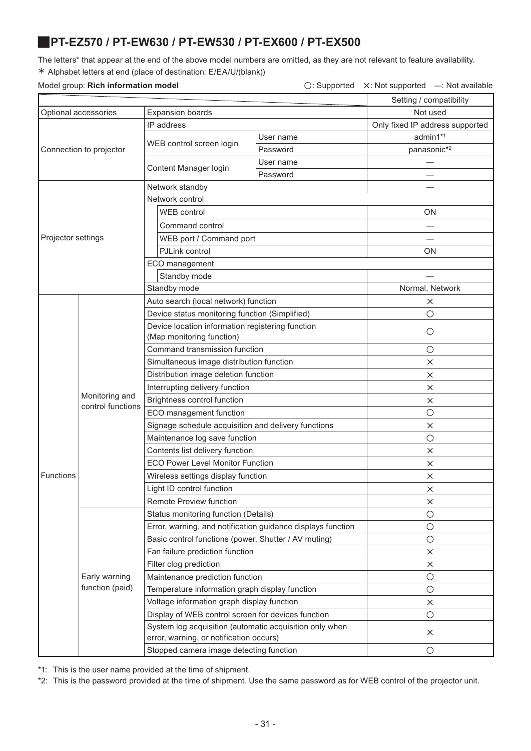### <span id="page-30-0"></span>J**PT-EZ570 / PT-EW630 / PT-EW530 / PT-EX600 / PT-EX500**

The letters\* that appear at the end of the above model numbers are omitted, as they are not relevant to feature availability. ½ Alphabet letters at end (place of destination: E/EA/U/(blank))

### Model group: **Rich information model** △ **Consumersed A: Not supported A: Not supported —: Not available**

|                                                 |                                     |                                                                                                    |           | Setting / compatibility         |
|-------------------------------------------------|-------------------------------------|----------------------------------------------------------------------------------------------------|-----------|---------------------------------|
| Optional accessories<br><b>Expansion boards</b> |                                     |                                                                                                    |           | Not used                        |
|                                                 |                                     | IP address                                                                                         |           | Only fixed IP address supported |
|                                                 |                                     | WEB control screen login                                                                           | User name | admin1*1                        |
|                                                 | Connection to projector             |                                                                                                    | Password  | panasonic*2                     |
|                                                 |                                     | Content Manager login                                                                              | User name | $\overline{\phantom{0}}$        |
|                                                 |                                     |                                                                                                    | Password  |                                 |
|                                                 |                                     | Network standby                                                                                    |           |                                 |
|                                                 |                                     | Network control                                                                                    |           |                                 |
|                                                 |                                     | WEB control                                                                                        |           | <b>ON</b>                       |
|                                                 |                                     | Command control                                                                                    |           |                                 |
| Projector settings                              |                                     | WEB port / Command port                                                                            |           |                                 |
|                                                 |                                     | PJLink control                                                                                     |           | ON                              |
|                                                 |                                     | ECO management                                                                                     |           |                                 |
|                                                 |                                     | Standby mode                                                                                       |           |                                 |
|                                                 |                                     | Standby mode                                                                                       |           | Normal, Network                 |
|                                                 |                                     | Auto search (local network) function                                                               |           | $\times$                        |
|                                                 |                                     | Device status monitoring function (Simplified)                                                     |           | $\circ$                         |
|                                                 |                                     | Device location information registering function                                                   |           | $\circ$                         |
|                                                 |                                     | (Map monitoring function)                                                                          |           |                                 |
|                                                 | Monitoring and<br>control functions | Command transmission function                                                                      |           | О                               |
|                                                 |                                     | Simultaneous image distribution function                                                           |           | $\times$                        |
|                                                 |                                     | Distribution image deletion function                                                               |           | $\times$                        |
|                                                 |                                     | Interrupting delivery function                                                                     | $\times$  |                                 |
|                                                 |                                     | Brightness control function                                                                        | $\times$  |                                 |
|                                                 |                                     | ECO management function                                                                            |           | О                               |
|                                                 |                                     | Signage schedule acquisition and delivery functions                                                |           | ×                               |
|                                                 |                                     | Maintenance log save function                                                                      |           | $\bigcirc$                      |
|                                                 |                                     | Contents list delivery function                                                                    | $\times$  |                                 |
|                                                 |                                     | <b>ECO Power Level Monitor Function</b>                                                            | $\times$  |                                 |
| Functions                                       |                                     | Wireless settings display function                                                                 | $\times$  |                                 |
|                                                 |                                     | Light ID control function                                                                          |           | $\times$                        |
|                                                 |                                     | <b>Remote Preview function</b>                                                                     |           | ×                               |
|                                                 |                                     | Status monitoring function (Details)                                                               |           | $\bigcirc$                      |
|                                                 |                                     | Error, warning, and notification guidance displays function                                        |           | $\bigcirc$                      |
|                                                 |                                     | Basic control functions (power, Shutter / AV muting)                                               |           | $\bigcirc$                      |
|                                                 |                                     | Fan failure prediction function                                                                    |           | $\times$                        |
|                                                 |                                     | Filter clog prediction                                                                             |           | ×                               |
|                                                 | Early warning                       | Maintenance prediction function                                                                    |           | $\bigcirc$                      |
|                                                 | function (paid)                     | Temperature information graph display function                                                     |           | $\bigcirc$                      |
|                                                 |                                     | Voltage information graph display function                                                         |           | ×                               |
|                                                 |                                     | Display of WEB control screen for devices function                                                 |           | $\bigcirc$                      |
|                                                 |                                     | System log acquisition (automatic acquisition only when<br>error, warning, or notification occurs) |           | $\times$                        |
|                                                 |                                     | Stopped camera image detecting function                                                            |           | $\bigcirc$                      |

\*1: This is the user name provided at the time of shipment.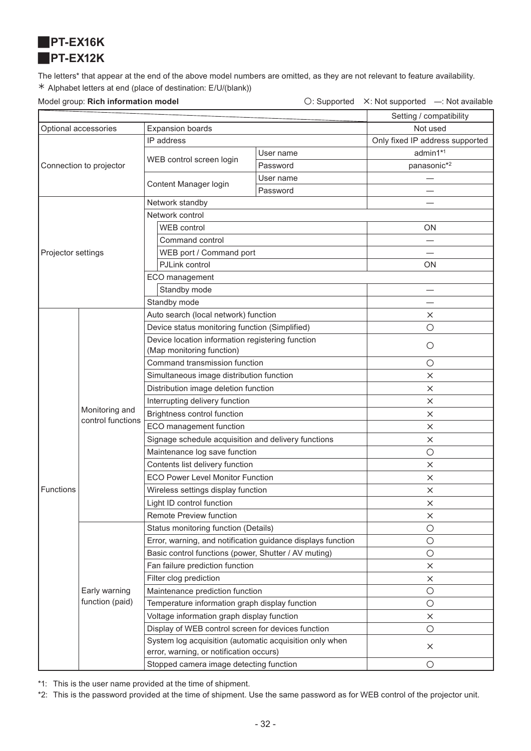<span id="page-31-1"></span><span id="page-31-0"></span>

The letters\* that appear at the end of the above model numbers are omitted, as they are not relevant to feature availability. ½ Alphabet letters at end (place of destination: E/U/(blank))

Model group: **Rich information model Conservation Conservation**  $\bigcirc$ : Supported X: Not supported —: Not available

|                         |                                     |                                                                                                    |           | Setting / compatibility         |
|-------------------------|-------------------------------------|----------------------------------------------------------------------------------------------------|-----------|---------------------------------|
| Optional accessories    |                                     | <b>Expansion boards</b>                                                                            |           | Not used                        |
|                         |                                     | IP address                                                                                         |           | Only fixed IP address supported |
| Connection to projector |                                     |                                                                                                    | User name | admin1*1                        |
|                         |                                     | WEB control screen login                                                                           | Password  | panasonic*2                     |
|                         |                                     |                                                                                                    | User name |                                 |
|                         |                                     | Content Manager login                                                                              | Password  |                                 |
|                         |                                     | Network standby                                                                                    |           |                                 |
|                         |                                     | Network control                                                                                    |           |                                 |
|                         |                                     | WEB control                                                                                        |           | ON                              |
|                         |                                     | Command control                                                                                    |           |                                 |
| Projector settings      |                                     | WEB port / Command port                                                                            |           |                                 |
|                         |                                     | PJLink control                                                                                     |           | ON                              |
|                         |                                     | ECO management                                                                                     |           |                                 |
|                         |                                     | Standby mode                                                                                       |           |                                 |
|                         |                                     | Standby mode                                                                                       |           |                                 |
|                         |                                     | Auto search (local network) function                                                               |           | $\times$                        |
|                         |                                     | Device status monitoring function (Simplified)                                                     |           | $\circ$                         |
|                         |                                     | Device location information registering function                                                   |           | $\circ$                         |
|                         |                                     | (Map monitoring function)                                                                          |           |                                 |
|                         | Monitoring and<br>control functions | Command transmission function                                                                      |           | $\bigcirc$                      |
|                         |                                     | Simultaneous image distribution function                                                           |           | X                               |
|                         |                                     | Distribution image deletion function                                                               |           | $\times$                        |
|                         |                                     | Interrupting delivery function                                                                     |           | $\times$                        |
|                         |                                     | <b>Brightness control function</b>                                                                 |           | $\times$                        |
|                         |                                     | ECO management function                                                                            |           | ×                               |
|                         |                                     | Signage schedule acquisition and delivery functions                                                |           | $\times$                        |
|                         |                                     | Maintenance log save function                                                                      |           | $\bigcirc$                      |
|                         |                                     | Contents list delivery function                                                                    |           | $\times$                        |
|                         |                                     | <b>ECO Power Level Monitor Function</b>                                                            |           | $\times$                        |
| <b>Functions</b>        |                                     | Wireless settings display function                                                                 |           | X                               |
|                         |                                     | Light ID control function                                                                          |           | $\times$                        |
|                         |                                     | Remote Preview function                                                                            |           | $\times$                        |
|                         |                                     | Status monitoring function (Details)                                                               |           | $\bigcirc$                      |
|                         |                                     | Error, warning, and notification guidance displays function                                        |           | $\bigcirc$                      |
|                         |                                     | Basic control functions (power, Shutter / AV muting)                                               |           | $\bigcirc$                      |
|                         |                                     | Fan failure prediction function                                                                    |           | $\times$                        |
|                         |                                     | Filter clog prediction                                                                             |           | $\times$                        |
|                         | Early warning                       | Maintenance prediction function                                                                    |           | $\bigcirc$                      |
|                         | function (paid)                     | Temperature information graph display function                                                     |           | $\bigcirc$                      |
|                         |                                     | Voltage information graph display function                                                         |           | $\times$                        |
|                         |                                     | Display of WEB control screen for devices function                                                 |           | $\bigcirc$                      |
|                         |                                     | System log acquisition (automatic acquisition only when<br>error, warning, or notification occurs) |           | $\times$                        |
|                         |                                     | Stopped camera image detecting function                                                            |           | $\bigcirc$                      |

\*1: This is the user name provided at the time of shipment.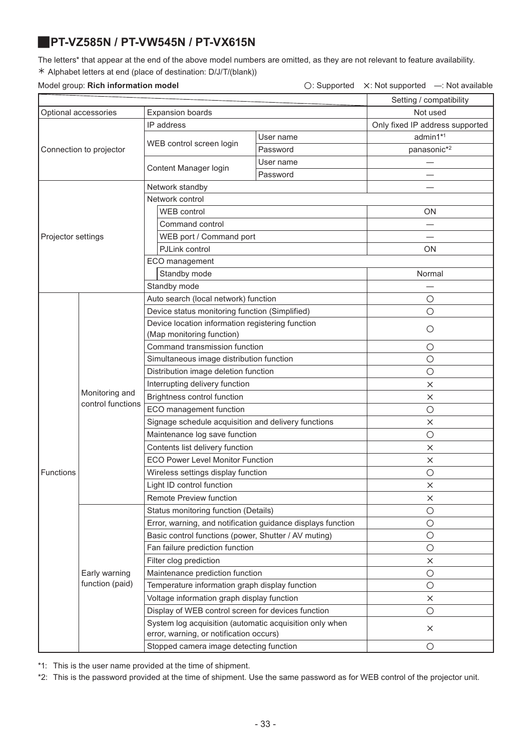# <span id="page-32-0"></span>J**PT-VZ585N / PT-VW545N / PT-VX615N**

The letters\* that appear at the end of the above model numbers are omitted, as they are not relevant to feature availability. ½ Alphabet letters at end (place of destination: D/J/T/(blank))

### Model group: **Rich information model** △ **Consumersed A: Not supported A: Not supported —: Not available**

| Not used<br>Optional accessories<br><b>Expansion boards</b><br>IP address<br>Only fixed IP address supported<br>admin1*1<br>User name<br>WEB control screen login<br>panasonic*2<br>Connection to projector<br>Password<br>User name<br>Content Manager login<br>Password<br>Network standby<br>Network control<br><b>WEB</b> control<br><b>ON</b><br>Command control<br>WEB port / Command port<br>Projector settings<br>PJLink control<br><b>ON</b><br>ECO management<br>Standby mode<br>Normal<br>Standby mode<br>Auto search (local network) function<br>O<br>Device status monitoring function (Simplified)<br>$\circ$<br>Device location information registering function<br>$\circ$<br>(Map monitoring function)<br>Command transmission function<br>$\circ$<br>Simultaneous image distribution function<br>О<br>Distribution image deletion function<br>$\bigcirc$<br>Interrupting delivery function<br>$\times$<br>Monitoring and<br>Brightness control function<br>$\times$<br>control functions<br>ECO management function<br>$\circ$<br>Signage schedule acquisition and delivery functions<br>$\times$<br>Maintenance log save function<br>О<br>Contents list delivery function<br>$\times$<br><b>ECO Power Level Monitor Function</b><br>$\times$<br>Wireless settings display function<br>О<br>Light ID control function<br>$\times$<br>Remote Preview function<br>×<br>Status monitoring function (Details)<br>$\circ$<br>Error, warning, and notification guidance displays function<br>$\bigcirc$<br>Basic control functions (power, Shutter / AV muting)<br>$\bigcirc$<br>Fan failure prediction function<br>О<br>Filter clog prediction<br>$\times$<br>Maintenance prediction function<br>Early warning<br>$\bigcirc$<br>function (paid)<br>Temperature information graph display function<br>$\circ$<br>Voltage information graph display function<br>$\times$<br>Display of WEB control screen for devices function<br>О<br>System log acquisition (automatic acquisition only when<br>$\times$<br>error, warning, or notification occurs)<br>Stopped camera image detecting function<br>O |           | modor group. <b>INOR INTO HILANO II MODO</b> |  |  | $\cup$ . Oupported $\cup$ . Not supported |
|------------------------------------------------------------------------------------------------------------------------------------------------------------------------------------------------------------------------------------------------------------------------------------------------------------------------------------------------------------------------------------------------------------------------------------------------------------------------------------------------------------------------------------------------------------------------------------------------------------------------------------------------------------------------------------------------------------------------------------------------------------------------------------------------------------------------------------------------------------------------------------------------------------------------------------------------------------------------------------------------------------------------------------------------------------------------------------------------------------------------------------------------------------------------------------------------------------------------------------------------------------------------------------------------------------------------------------------------------------------------------------------------------------------------------------------------------------------------------------------------------------------------------------------------------------------------------------------------------------------------------------------------------------------------------------------------------------------------------------------------------------------------------------------------------------------------------------------------------------------------------------------------------------------------------------------------------------------------------------------------------------------------------------------------------------------------------------------------------------------|-----------|----------------------------------------------|--|--|-------------------------------------------|
|                                                                                                                                                                                                                                                                                                                                                                                                                                                                                                                                                                                                                                                                                                                                                                                                                                                                                                                                                                                                                                                                                                                                                                                                                                                                                                                                                                                                                                                                                                                                                                                                                                                                                                                                                                                                                                                                                                                                                                                                                                                                                                                  |           |                                              |  |  | Setting / compatibility                   |
|                                                                                                                                                                                                                                                                                                                                                                                                                                                                                                                                                                                                                                                                                                                                                                                                                                                                                                                                                                                                                                                                                                                                                                                                                                                                                                                                                                                                                                                                                                                                                                                                                                                                                                                                                                                                                                                                                                                                                                                                                                                                                                                  |           |                                              |  |  |                                           |
|                                                                                                                                                                                                                                                                                                                                                                                                                                                                                                                                                                                                                                                                                                                                                                                                                                                                                                                                                                                                                                                                                                                                                                                                                                                                                                                                                                                                                                                                                                                                                                                                                                                                                                                                                                                                                                                                                                                                                                                                                                                                                                                  |           |                                              |  |  |                                           |
|                                                                                                                                                                                                                                                                                                                                                                                                                                                                                                                                                                                                                                                                                                                                                                                                                                                                                                                                                                                                                                                                                                                                                                                                                                                                                                                                                                                                                                                                                                                                                                                                                                                                                                                                                                                                                                                                                                                                                                                                                                                                                                                  |           |                                              |  |  |                                           |
|                                                                                                                                                                                                                                                                                                                                                                                                                                                                                                                                                                                                                                                                                                                                                                                                                                                                                                                                                                                                                                                                                                                                                                                                                                                                                                                                                                                                                                                                                                                                                                                                                                                                                                                                                                                                                                                                                                                                                                                                                                                                                                                  |           |                                              |  |  |                                           |
|                                                                                                                                                                                                                                                                                                                                                                                                                                                                                                                                                                                                                                                                                                                                                                                                                                                                                                                                                                                                                                                                                                                                                                                                                                                                                                                                                                                                                                                                                                                                                                                                                                                                                                                                                                                                                                                                                                                                                                                                                                                                                                                  |           |                                              |  |  |                                           |
|                                                                                                                                                                                                                                                                                                                                                                                                                                                                                                                                                                                                                                                                                                                                                                                                                                                                                                                                                                                                                                                                                                                                                                                                                                                                                                                                                                                                                                                                                                                                                                                                                                                                                                                                                                                                                                                                                                                                                                                                                                                                                                                  |           |                                              |  |  |                                           |
|                                                                                                                                                                                                                                                                                                                                                                                                                                                                                                                                                                                                                                                                                                                                                                                                                                                                                                                                                                                                                                                                                                                                                                                                                                                                                                                                                                                                                                                                                                                                                                                                                                                                                                                                                                                                                                                                                                                                                                                                                                                                                                                  |           |                                              |  |  |                                           |
|                                                                                                                                                                                                                                                                                                                                                                                                                                                                                                                                                                                                                                                                                                                                                                                                                                                                                                                                                                                                                                                                                                                                                                                                                                                                                                                                                                                                                                                                                                                                                                                                                                                                                                                                                                                                                                                                                                                                                                                                                                                                                                                  |           |                                              |  |  |                                           |
|                                                                                                                                                                                                                                                                                                                                                                                                                                                                                                                                                                                                                                                                                                                                                                                                                                                                                                                                                                                                                                                                                                                                                                                                                                                                                                                                                                                                                                                                                                                                                                                                                                                                                                                                                                                                                                                                                                                                                                                                                                                                                                                  |           |                                              |  |  |                                           |
|                                                                                                                                                                                                                                                                                                                                                                                                                                                                                                                                                                                                                                                                                                                                                                                                                                                                                                                                                                                                                                                                                                                                                                                                                                                                                                                                                                                                                                                                                                                                                                                                                                                                                                                                                                                                                                                                                                                                                                                                                                                                                                                  |           |                                              |  |  |                                           |
|                                                                                                                                                                                                                                                                                                                                                                                                                                                                                                                                                                                                                                                                                                                                                                                                                                                                                                                                                                                                                                                                                                                                                                                                                                                                                                                                                                                                                                                                                                                                                                                                                                                                                                                                                                                                                                                                                                                                                                                                                                                                                                                  |           |                                              |  |  |                                           |
|                                                                                                                                                                                                                                                                                                                                                                                                                                                                                                                                                                                                                                                                                                                                                                                                                                                                                                                                                                                                                                                                                                                                                                                                                                                                                                                                                                                                                                                                                                                                                                                                                                                                                                                                                                                                                                                                                                                                                                                                                                                                                                                  |           |                                              |  |  |                                           |
|                                                                                                                                                                                                                                                                                                                                                                                                                                                                                                                                                                                                                                                                                                                                                                                                                                                                                                                                                                                                                                                                                                                                                                                                                                                                                                                                                                                                                                                                                                                                                                                                                                                                                                                                                                                                                                                                                                                                                                                                                                                                                                                  |           |                                              |  |  |                                           |
|                                                                                                                                                                                                                                                                                                                                                                                                                                                                                                                                                                                                                                                                                                                                                                                                                                                                                                                                                                                                                                                                                                                                                                                                                                                                                                                                                                                                                                                                                                                                                                                                                                                                                                                                                                                                                                                                                                                                                                                                                                                                                                                  |           |                                              |  |  |                                           |
|                                                                                                                                                                                                                                                                                                                                                                                                                                                                                                                                                                                                                                                                                                                                                                                                                                                                                                                                                                                                                                                                                                                                                                                                                                                                                                                                                                                                                                                                                                                                                                                                                                                                                                                                                                                                                                                                                                                                                                                                                                                                                                                  |           |                                              |  |  |                                           |
|                                                                                                                                                                                                                                                                                                                                                                                                                                                                                                                                                                                                                                                                                                                                                                                                                                                                                                                                                                                                                                                                                                                                                                                                                                                                                                                                                                                                                                                                                                                                                                                                                                                                                                                                                                                                                                                                                                                                                                                                                                                                                                                  |           |                                              |  |  |                                           |
|                                                                                                                                                                                                                                                                                                                                                                                                                                                                                                                                                                                                                                                                                                                                                                                                                                                                                                                                                                                                                                                                                                                                                                                                                                                                                                                                                                                                                                                                                                                                                                                                                                                                                                                                                                                                                                                                                                                                                                                                                                                                                                                  |           |                                              |  |  |                                           |
|                                                                                                                                                                                                                                                                                                                                                                                                                                                                                                                                                                                                                                                                                                                                                                                                                                                                                                                                                                                                                                                                                                                                                                                                                                                                                                                                                                                                                                                                                                                                                                                                                                                                                                                                                                                                                                                                                                                                                                                                                                                                                                                  |           |                                              |  |  |                                           |
|                                                                                                                                                                                                                                                                                                                                                                                                                                                                                                                                                                                                                                                                                                                                                                                                                                                                                                                                                                                                                                                                                                                                                                                                                                                                                                                                                                                                                                                                                                                                                                                                                                                                                                                                                                                                                                                                                                                                                                                                                                                                                                                  |           |                                              |  |  |                                           |
|                                                                                                                                                                                                                                                                                                                                                                                                                                                                                                                                                                                                                                                                                                                                                                                                                                                                                                                                                                                                                                                                                                                                                                                                                                                                                                                                                                                                                                                                                                                                                                                                                                                                                                                                                                                                                                                                                                                                                                                                                                                                                                                  |           |                                              |  |  |                                           |
|                                                                                                                                                                                                                                                                                                                                                                                                                                                                                                                                                                                                                                                                                                                                                                                                                                                                                                                                                                                                                                                                                                                                                                                                                                                                                                                                                                                                                                                                                                                                                                                                                                                                                                                                                                                                                                                                                                                                                                                                                                                                                                                  |           |                                              |  |  |                                           |
|                                                                                                                                                                                                                                                                                                                                                                                                                                                                                                                                                                                                                                                                                                                                                                                                                                                                                                                                                                                                                                                                                                                                                                                                                                                                                                                                                                                                                                                                                                                                                                                                                                                                                                                                                                                                                                                                                                                                                                                                                                                                                                                  |           |                                              |  |  |                                           |
|                                                                                                                                                                                                                                                                                                                                                                                                                                                                                                                                                                                                                                                                                                                                                                                                                                                                                                                                                                                                                                                                                                                                                                                                                                                                                                                                                                                                                                                                                                                                                                                                                                                                                                                                                                                                                                                                                                                                                                                                                                                                                                                  |           |                                              |  |  |                                           |
|                                                                                                                                                                                                                                                                                                                                                                                                                                                                                                                                                                                                                                                                                                                                                                                                                                                                                                                                                                                                                                                                                                                                                                                                                                                                                                                                                                                                                                                                                                                                                                                                                                                                                                                                                                                                                                                                                                                                                                                                                                                                                                                  |           |                                              |  |  |                                           |
|                                                                                                                                                                                                                                                                                                                                                                                                                                                                                                                                                                                                                                                                                                                                                                                                                                                                                                                                                                                                                                                                                                                                                                                                                                                                                                                                                                                                                                                                                                                                                                                                                                                                                                                                                                                                                                                                                                                                                                                                                                                                                                                  |           |                                              |  |  |                                           |
|                                                                                                                                                                                                                                                                                                                                                                                                                                                                                                                                                                                                                                                                                                                                                                                                                                                                                                                                                                                                                                                                                                                                                                                                                                                                                                                                                                                                                                                                                                                                                                                                                                                                                                                                                                                                                                                                                                                                                                                                                                                                                                                  |           |                                              |  |  |                                           |
|                                                                                                                                                                                                                                                                                                                                                                                                                                                                                                                                                                                                                                                                                                                                                                                                                                                                                                                                                                                                                                                                                                                                                                                                                                                                                                                                                                                                                                                                                                                                                                                                                                                                                                                                                                                                                                                                                                                                                                                                                                                                                                                  |           |                                              |  |  |                                           |
|                                                                                                                                                                                                                                                                                                                                                                                                                                                                                                                                                                                                                                                                                                                                                                                                                                                                                                                                                                                                                                                                                                                                                                                                                                                                                                                                                                                                                                                                                                                                                                                                                                                                                                                                                                                                                                                                                                                                                                                                                                                                                                                  |           |                                              |  |  |                                           |
|                                                                                                                                                                                                                                                                                                                                                                                                                                                                                                                                                                                                                                                                                                                                                                                                                                                                                                                                                                                                                                                                                                                                                                                                                                                                                                                                                                                                                                                                                                                                                                                                                                                                                                                                                                                                                                                                                                                                                                                                                                                                                                                  |           |                                              |  |  |                                           |
|                                                                                                                                                                                                                                                                                                                                                                                                                                                                                                                                                                                                                                                                                                                                                                                                                                                                                                                                                                                                                                                                                                                                                                                                                                                                                                                                                                                                                                                                                                                                                                                                                                                                                                                                                                                                                                                                                                                                                                                                                                                                                                                  | Functions |                                              |  |  |                                           |
|                                                                                                                                                                                                                                                                                                                                                                                                                                                                                                                                                                                                                                                                                                                                                                                                                                                                                                                                                                                                                                                                                                                                                                                                                                                                                                                                                                                                                                                                                                                                                                                                                                                                                                                                                                                                                                                                                                                                                                                                                                                                                                                  |           |                                              |  |  |                                           |
|                                                                                                                                                                                                                                                                                                                                                                                                                                                                                                                                                                                                                                                                                                                                                                                                                                                                                                                                                                                                                                                                                                                                                                                                                                                                                                                                                                                                                                                                                                                                                                                                                                                                                                                                                                                                                                                                                                                                                                                                                                                                                                                  |           |                                              |  |  |                                           |
|                                                                                                                                                                                                                                                                                                                                                                                                                                                                                                                                                                                                                                                                                                                                                                                                                                                                                                                                                                                                                                                                                                                                                                                                                                                                                                                                                                                                                                                                                                                                                                                                                                                                                                                                                                                                                                                                                                                                                                                                                                                                                                                  |           |                                              |  |  |                                           |
|                                                                                                                                                                                                                                                                                                                                                                                                                                                                                                                                                                                                                                                                                                                                                                                                                                                                                                                                                                                                                                                                                                                                                                                                                                                                                                                                                                                                                                                                                                                                                                                                                                                                                                                                                                                                                                                                                                                                                                                                                                                                                                                  |           |                                              |  |  |                                           |
|                                                                                                                                                                                                                                                                                                                                                                                                                                                                                                                                                                                                                                                                                                                                                                                                                                                                                                                                                                                                                                                                                                                                                                                                                                                                                                                                                                                                                                                                                                                                                                                                                                                                                                                                                                                                                                                                                                                                                                                                                                                                                                                  |           |                                              |  |  |                                           |
|                                                                                                                                                                                                                                                                                                                                                                                                                                                                                                                                                                                                                                                                                                                                                                                                                                                                                                                                                                                                                                                                                                                                                                                                                                                                                                                                                                                                                                                                                                                                                                                                                                                                                                                                                                                                                                                                                                                                                                                                                                                                                                                  |           |                                              |  |  |                                           |
|                                                                                                                                                                                                                                                                                                                                                                                                                                                                                                                                                                                                                                                                                                                                                                                                                                                                                                                                                                                                                                                                                                                                                                                                                                                                                                                                                                                                                                                                                                                                                                                                                                                                                                                                                                                                                                                                                                                                                                                                                                                                                                                  |           |                                              |  |  |                                           |
|                                                                                                                                                                                                                                                                                                                                                                                                                                                                                                                                                                                                                                                                                                                                                                                                                                                                                                                                                                                                                                                                                                                                                                                                                                                                                                                                                                                                                                                                                                                                                                                                                                                                                                                                                                                                                                                                                                                                                                                                                                                                                                                  |           |                                              |  |  |                                           |
|                                                                                                                                                                                                                                                                                                                                                                                                                                                                                                                                                                                                                                                                                                                                                                                                                                                                                                                                                                                                                                                                                                                                                                                                                                                                                                                                                                                                                                                                                                                                                                                                                                                                                                                                                                                                                                                                                                                                                                                                                                                                                                                  |           |                                              |  |  |                                           |
|                                                                                                                                                                                                                                                                                                                                                                                                                                                                                                                                                                                                                                                                                                                                                                                                                                                                                                                                                                                                                                                                                                                                                                                                                                                                                                                                                                                                                                                                                                                                                                                                                                                                                                                                                                                                                                                                                                                                                                                                                                                                                                                  |           |                                              |  |  |                                           |
|                                                                                                                                                                                                                                                                                                                                                                                                                                                                                                                                                                                                                                                                                                                                                                                                                                                                                                                                                                                                                                                                                                                                                                                                                                                                                                                                                                                                                                                                                                                                                                                                                                                                                                                                                                                                                                                                                                                                                                                                                                                                                                                  |           |                                              |  |  |                                           |
|                                                                                                                                                                                                                                                                                                                                                                                                                                                                                                                                                                                                                                                                                                                                                                                                                                                                                                                                                                                                                                                                                                                                                                                                                                                                                                                                                                                                                                                                                                                                                                                                                                                                                                                                                                                                                                                                                                                                                                                                                                                                                                                  |           |                                              |  |  |                                           |
|                                                                                                                                                                                                                                                                                                                                                                                                                                                                                                                                                                                                                                                                                                                                                                                                                                                                                                                                                                                                                                                                                                                                                                                                                                                                                                                                                                                                                                                                                                                                                                                                                                                                                                                                                                                                                                                                                                                                                                                                                                                                                                                  |           |                                              |  |  |                                           |

\*1: This is the user name provided at the time of shipment.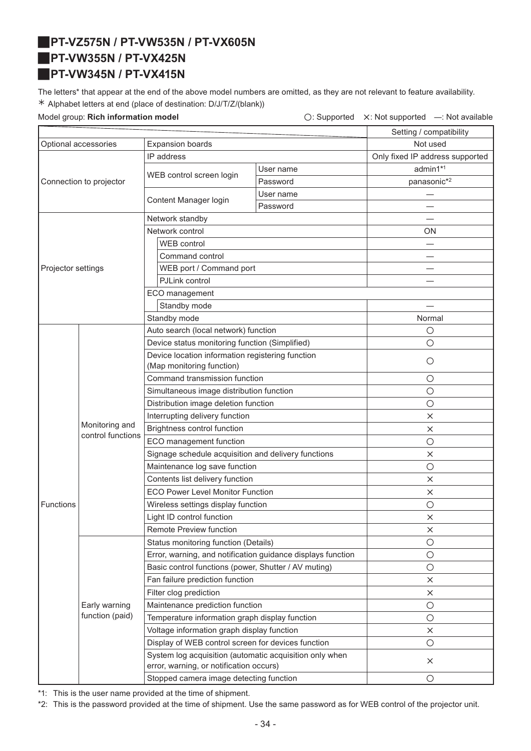# <span id="page-33-2"></span><span id="page-33-1"></span>J**PT-VZ575N / PT-VW535N / PT-VX605N** J**PT-VW355N / PT-VX425N** J**PT-VW345N / PT-VX415N**

<span id="page-33-0"></span>The letters\* that appear at the end of the above model numbers are omitted, as they are not relevant to feature availability. ½ Alphabet letters at end (place of destination: D/J/T/Z/(blank))

Model group: **Rich information model C: Supported X: Not supported —: Not available** 

|                                                 |                                     |                                                                                                    |           | Setting / compatibility         |
|-------------------------------------------------|-------------------------------------|----------------------------------------------------------------------------------------------------|-----------|---------------------------------|
| <b>Expansion boards</b><br>Optional accessories |                                     | Not used                                                                                           |           |                                 |
|                                                 |                                     | IP address                                                                                         |           | Only fixed IP address supported |
|                                                 |                                     |                                                                                                    | User name | admin1*1                        |
|                                                 | Connection to projector             | WEB control screen login                                                                           | Password  | panasonic* <sup>2</sup>         |
|                                                 |                                     |                                                                                                    | User name |                                 |
|                                                 |                                     | Content Manager login                                                                              | Password  |                                 |
|                                                 |                                     | Network standby                                                                                    |           |                                 |
|                                                 |                                     | Network control                                                                                    |           | ON                              |
|                                                 |                                     | WEB control                                                                                        |           |                                 |
|                                                 |                                     | Command control                                                                                    |           |                                 |
| Projector settings                              |                                     | WEB port / Command port                                                                            |           |                                 |
|                                                 |                                     | PJLink control                                                                                     |           |                                 |
|                                                 |                                     | ECO management                                                                                     |           |                                 |
|                                                 |                                     | Standby mode                                                                                       |           |                                 |
|                                                 |                                     | Standby mode                                                                                       |           | Normal                          |
|                                                 |                                     | Auto search (local network) function                                                               |           | $\circ$                         |
|                                                 |                                     | Device status monitoring function (Simplified)                                                     |           | $\circ$                         |
|                                                 |                                     | Device location information registering function                                                   |           |                                 |
|                                                 |                                     | (Map monitoring function)                                                                          |           | $\circ$                         |
|                                                 | Monitoring and<br>control functions | Command transmission function                                                                      |           | $\circ$                         |
|                                                 |                                     | Simultaneous image distribution function                                                           |           | $\circ$                         |
|                                                 |                                     | Distribution image deletion function                                                               |           | $\bigcirc$                      |
|                                                 |                                     | Interrupting delivery function                                                                     |           | $\times$                        |
|                                                 |                                     | Brightness control function                                                                        |           | $\times$                        |
|                                                 |                                     | ECO management function                                                                            |           | $\circ$                         |
|                                                 |                                     | Signage schedule acquisition and delivery functions                                                |           | $\times$                        |
|                                                 |                                     | Maintenance log save function                                                                      |           | $\bigcirc$                      |
|                                                 |                                     | Contents list delivery function                                                                    |           | $\times$                        |
|                                                 |                                     | <b>ECO Power Level Monitor Function</b>                                                            |           | $\times$                        |
| <b>Functions</b>                                |                                     | Wireless settings display function                                                                 |           | $\circ$                         |
|                                                 |                                     | Light ID control function                                                                          |           | X                               |
|                                                 |                                     | Remote Preview function                                                                            |           | $\times$                        |
|                                                 |                                     | Status monitoring function (Details)                                                               |           | $\circ$                         |
|                                                 |                                     | Error, warning, and notification guidance displays function                                        |           | $\circ$                         |
|                                                 |                                     | Basic control functions (power, Shutter / AV muting)                                               |           | $\bigcirc$                      |
|                                                 |                                     | Fan failure prediction function                                                                    |           | X                               |
|                                                 |                                     | Filter clog prediction                                                                             |           | $\times$                        |
|                                                 | Early warning                       | Maintenance prediction function                                                                    |           | $\circ$                         |
|                                                 | function (paid)                     | Temperature information graph display function                                                     |           | $\bigcirc$                      |
|                                                 |                                     | Voltage information graph display function                                                         |           | $\times$                        |
|                                                 |                                     | Display of WEB control screen for devices function                                                 |           | $\circ$                         |
|                                                 |                                     | System log acquisition (automatic acquisition only when<br>error, warning, or notification occurs) |           | $\times$                        |
|                                                 |                                     | Stopped camera image detecting function                                                            |           | $\circ$                         |

\*1: This is the user name provided at the time of shipment.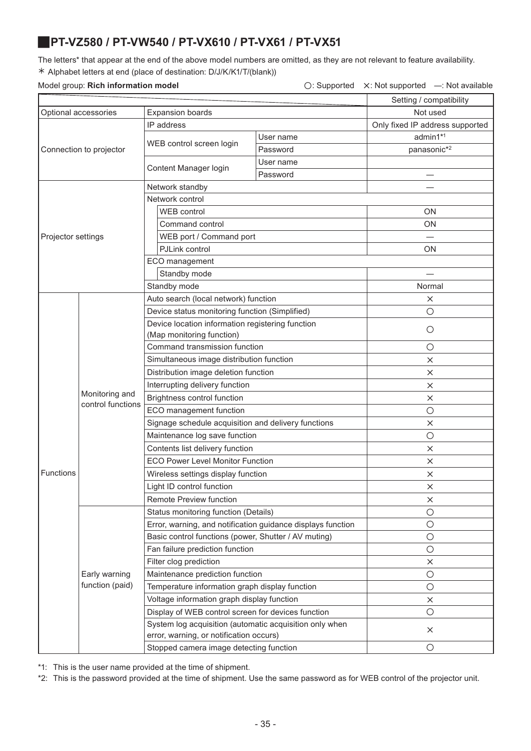### <span id="page-34-0"></span>J**PT-VZ580 / PT-VW540 / PT-VX610 / PT-VX61 / PT-VX51**

The letters\* that appear at the end of the above model numbers are omitted, as they are not relevant to feature availability. ½ Alphabet letters at end (place of destination: D/J/K/K1/T/(blank))

### Model group: **Rich information model** △ **Consumersed A: Not supported A: Not supported —: Not available**

|                    |                                     | moacr group. INCH information moac                                                                 |           | $\cup$ . Oupportour A. Not supportour |
|--------------------|-------------------------------------|----------------------------------------------------------------------------------------------------|-----------|---------------------------------------|
|                    |                                     |                                                                                                    |           | Setting / compatibility               |
|                    | Optional accessories                | <b>Expansion boards</b>                                                                            |           | Not used                              |
|                    |                                     | IP address                                                                                         |           | Only fixed IP address supported       |
|                    |                                     | WEB control screen login                                                                           | User name | admin1*1                              |
|                    | Connection to projector             |                                                                                                    | Password  | panasonic*2                           |
|                    |                                     | Content Manager login                                                                              | User name |                                       |
|                    |                                     |                                                                                                    | Password  |                                       |
|                    |                                     | Network standby                                                                                    |           |                                       |
|                    |                                     | Network control                                                                                    |           |                                       |
|                    |                                     | <b>WEB</b> control                                                                                 |           | ΟN                                    |
|                    |                                     | Command control                                                                                    |           | ON                                    |
| Projector settings |                                     | WEB port / Command port                                                                            |           |                                       |
|                    |                                     | PJLink control                                                                                     |           | ΟN                                    |
|                    |                                     | ECO management                                                                                     |           |                                       |
|                    |                                     | Standby mode                                                                                       |           |                                       |
|                    |                                     | Standby mode                                                                                       |           | Normal                                |
|                    |                                     | Auto search (local network) function                                                               |           | $\times$                              |
|                    |                                     | Device status monitoring function (Simplified)                                                     |           | $\circ$                               |
|                    |                                     | Device location information registering function                                                   |           | $\circ$                               |
|                    |                                     | (Map monitoring function)                                                                          |           |                                       |
|                    | Monitoring and<br>control functions | Command transmission function                                                                      |           | O                                     |
|                    |                                     | Simultaneous image distribution function                                                           |           | $\times$                              |
|                    |                                     | Distribution image deletion function                                                               |           | $\times$                              |
|                    |                                     | Interrupting delivery function                                                                     |           | $\times$                              |
|                    |                                     | Brightness control function                                                                        |           | X                                     |
|                    |                                     | ECO management function                                                                            |           | $\bigcirc$                            |
|                    |                                     | Signage schedule acquisition and delivery functions                                                |           | $\times$                              |
|                    |                                     | Maintenance log save function                                                                      |           | $\bigcirc$                            |
|                    |                                     | Contents list delivery function                                                                    |           | X                                     |
|                    |                                     | <b>ECO Power Level Monitor Function</b>                                                            |           | X                                     |
| Functions          |                                     | Wireless settings display function                                                                 |           | $\times$                              |
|                    |                                     | Light ID control function                                                                          |           | ×                                     |
|                    |                                     | Remote Preview function                                                                            |           | X                                     |
|                    |                                     | Status monitoring function (Details)                                                               |           | $\bigcirc$                            |
|                    |                                     | Error, warning, and notification guidance displays function                                        |           | $\bigcirc$                            |
|                    |                                     | Basic control functions (power, Shutter / AV muting)                                               |           | $\bigcirc$                            |
|                    |                                     | Fan failure prediction function                                                                    |           | $\circ$                               |
|                    |                                     | Filter clog prediction                                                                             |           | X                                     |
|                    | Early warning                       | Maintenance prediction function                                                                    |           | $\bigcirc$                            |
|                    | function (paid)                     | Temperature information graph display function                                                     |           | $\bigcirc$                            |
|                    |                                     | Voltage information graph display function                                                         |           | $\times$                              |
|                    |                                     | Display of WEB control screen for devices function                                                 |           | $\circ$                               |
|                    |                                     | System log acquisition (automatic acquisition only when<br>error, warning, or notification occurs) |           | X                                     |
|                    |                                     | Stopped camera image detecting function                                                            |           | $\circ$                               |

\*1: This is the user name provided at the time of shipment.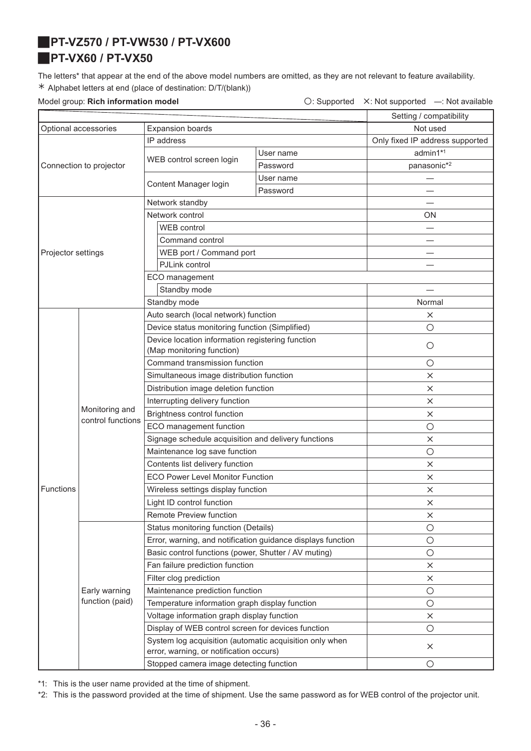# <span id="page-35-1"></span><span id="page-35-0"></span>J**PT-VZ570 / PT-VW530 / PT-VX600** J**PT-VX60 / PT-VX50**

The letters\* that appear at the end of the above model numbers are omitted, as they are not relevant to feature availability. ½ Alphabet letters at end (place of destination: D/T/(blank))

Model group: **Rich information model Conservation Conservation**  $\bigcirc$ : Supported X: Not supported —: Not available

|                                                 |                         |                                                                                                    |           | Setting / compatibility         |
|-------------------------------------------------|-------------------------|----------------------------------------------------------------------------------------------------|-----------|---------------------------------|
| Optional accessories<br><b>Expansion boards</b> |                         |                                                                                                    | Not used  |                                 |
|                                                 |                         | IP address                                                                                         |           | Only fixed IP address supported |
|                                                 |                         |                                                                                                    | User name | admin1*1                        |
|                                                 | Connection to projector | WEB control screen login                                                                           | Password  | panasonic*2                     |
|                                                 |                         |                                                                                                    | User name |                                 |
|                                                 |                         | Content Manager login                                                                              | Password  |                                 |
|                                                 |                         | Network standby                                                                                    |           |                                 |
|                                                 |                         | Network control                                                                                    |           | <b>ON</b>                       |
|                                                 |                         | <b>WEB</b> control                                                                                 |           |                                 |
|                                                 |                         | Command control                                                                                    |           |                                 |
| Projector settings                              |                         | WEB port / Command port                                                                            |           |                                 |
|                                                 |                         | PJLink control                                                                                     |           |                                 |
|                                                 |                         | ECO management                                                                                     |           |                                 |
|                                                 |                         | Standby mode                                                                                       |           |                                 |
|                                                 |                         | Standby mode                                                                                       |           | Normal                          |
|                                                 |                         | Auto search (local network) function                                                               |           | $\times$                        |
|                                                 |                         | Device status monitoring function (Simplified)                                                     |           | $\bigcirc$                      |
|                                                 |                         | Device location information registering function                                                   |           |                                 |
|                                                 |                         | (Map monitoring function)                                                                          |           | $\circ$                         |
|                                                 | Monitoring and          | Command transmission function                                                                      |           | $\bigcirc$                      |
|                                                 |                         | Simultaneous image distribution function                                                           |           | $\times$                        |
|                                                 |                         | Distribution image deletion function                                                               |           | $\times$                        |
|                                                 |                         | Interrupting delivery function                                                                     |           | $\times$                        |
|                                                 |                         | Brightness control function                                                                        |           | $\times$                        |
|                                                 | control functions       | ECO management function                                                                            |           | $\circ$                         |
|                                                 |                         | Signage schedule acquisition and delivery functions                                                |           | $\times$                        |
|                                                 |                         | Maintenance log save function                                                                      |           | $\bigcirc$                      |
|                                                 |                         | Contents list delivery function                                                                    |           | $\times$                        |
|                                                 |                         | <b>ECO Power Level Monitor Function</b>                                                            |           | $\times$                        |
| Functions                                       |                         | Wireless settings display function                                                                 |           | $\times$                        |
|                                                 |                         | Light ID control function                                                                          |           | $\times$                        |
|                                                 |                         | Remote Preview function                                                                            |           | $\times$                        |
|                                                 |                         | Status monitoring function (Details)                                                               |           | $\circ$                         |
|                                                 |                         | Error, warning, and notification guidance displays function                                        |           | $\bigcirc$                      |
|                                                 |                         | Basic control functions (power, Shutter / AV muting)                                               |           | $\bigcirc$                      |
|                                                 |                         | Fan failure prediction function                                                                    |           | $\times$                        |
|                                                 |                         | Filter clog prediction                                                                             |           | $\times$                        |
|                                                 | Early warning           | Maintenance prediction function                                                                    |           | $\bigcirc$                      |
|                                                 | function (paid)         | Temperature information graph display function                                                     |           | $\bigcirc$                      |
|                                                 |                         | Voltage information graph display function                                                         |           | $\times$                        |
|                                                 |                         | Display of WEB control screen for devices function                                                 |           | $\bigcirc$                      |
|                                                 |                         | System log acquisition (automatic acquisition only when<br>error, warning, or notification occurs) |           | ×                               |
|                                                 |                         | Stopped camera image detecting function                                                            |           | $\bigcirc$                      |

\*1: This is the user name provided at the time of shipment.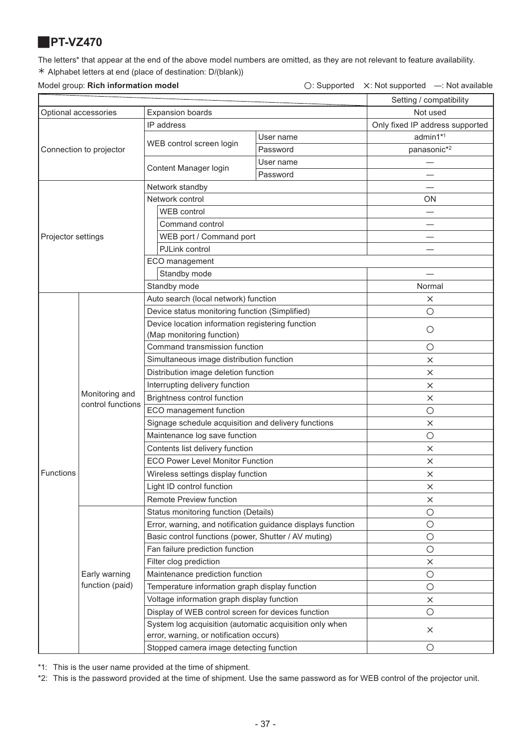# <span id="page-36-0"></span>J**PT-VZ470**

The letters\* that appear at the end of the above model numbers are omitted, as they are not relevant to feature availability. ½ Alphabet letters at end (place of destination: D/(blank))

Model group: **Rich information model C: Supported X: Not supported —: Not available** 

|                                                 |                         |                                                                                                    |           | Setting / compatibility         |
|-------------------------------------------------|-------------------------|----------------------------------------------------------------------------------------------------|-----------|---------------------------------|
| Optional accessories<br><b>Expansion boards</b> |                         | Not used                                                                                           |           |                                 |
|                                                 |                         | IP address                                                                                         |           | Only fixed IP address supported |
|                                                 |                         |                                                                                                    | User name | admin1*1                        |
|                                                 | Connection to projector | WEB control screen login                                                                           | Password  | panasonic*2                     |
|                                                 |                         |                                                                                                    | User name |                                 |
|                                                 |                         | Content Manager login                                                                              | Password  |                                 |
|                                                 |                         | Network standby                                                                                    |           |                                 |
|                                                 |                         | Network control                                                                                    |           | ON                              |
|                                                 |                         | <b>WEB</b> control                                                                                 |           |                                 |
|                                                 |                         | Command control                                                                                    |           |                                 |
| Projector settings                              |                         | WEB port / Command port                                                                            |           |                                 |
|                                                 |                         | PJLink control                                                                                     |           |                                 |
|                                                 |                         | ECO management                                                                                     |           |                                 |
|                                                 |                         | Standby mode                                                                                       |           |                                 |
|                                                 |                         | Standby mode                                                                                       |           | Normal                          |
|                                                 |                         | Auto search (local network) function                                                               |           | X                               |
|                                                 |                         | Device status monitoring function (Simplified)                                                     |           | $\circ$                         |
|                                                 |                         | Device location information registering function                                                   |           | $\bigcirc$                      |
|                                                 |                         | (Map monitoring function)                                                                          |           |                                 |
|                                                 | Monitoring and          | Command transmission function                                                                      |           | $\circ$                         |
|                                                 |                         | Simultaneous image distribution function                                                           |           | $\times$                        |
|                                                 |                         | Distribution image deletion function                                                               |           | X                               |
|                                                 |                         | Interrupting delivery function                                                                     |           | X                               |
|                                                 |                         | Brightness control function                                                                        |           | ×                               |
|                                                 | control functions       | ECO management function                                                                            |           | $\bigcirc$                      |
|                                                 |                         | Signage schedule acquisition and delivery functions                                                |           | $\times$                        |
|                                                 |                         | Maintenance log save function                                                                      |           | $\bigcirc$                      |
|                                                 |                         | Contents list delivery function                                                                    |           | X                               |
|                                                 |                         | <b>ECO Power Level Monitor Function</b>                                                            |           | $\times$                        |
| Functions                                       |                         | Wireless settings display function                                                                 |           | $\times$                        |
|                                                 |                         | Light ID control function                                                                          |           | $\times$                        |
|                                                 |                         | Remote Preview function                                                                            |           | ×                               |
|                                                 |                         | Status monitoring function (Details)                                                               |           | $\bigcirc$                      |
|                                                 |                         | Error, warning, and notification guidance displays function                                        |           | $\bigcirc$                      |
|                                                 |                         | Basic control functions (power, Shutter / AV muting)                                               |           | $\bigcirc$                      |
|                                                 |                         | Fan failure prediction function                                                                    |           | $\bigcirc$                      |
|                                                 |                         | Filter clog prediction                                                                             |           | $\times$                        |
|                                                 | Early warning           | Maintenance prediction function                                                                    |           | $\bigcirc$                      |
|                                                 | function (paid)         | Temperature information graph display function                                                     |           | $\bigcirc$                      |
|                                                 |                         | Voltage information graph display function                                                         |           | $\times$                        |
|                                                 |                         | Display of WEB control screen for devices function                                                 |           | $\bigcirc$                      |
|                                                 |                         | System log acquisition (automatic acquisition only when<br>error, warning, or notification occurs) |           | $\times$                        |
|                                                 |                         | Stopped camera image detecting function                                                            |           | O                               |

\*1: This is the user name provided at the time of shipment.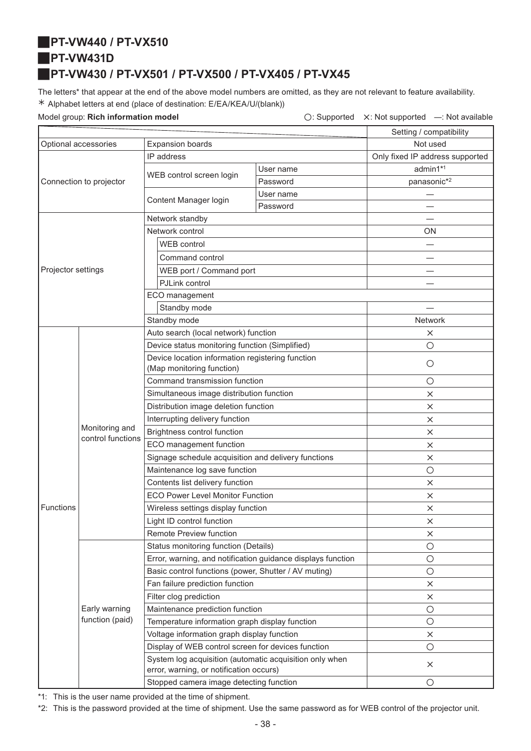### <span id="page-37-2"></span><span id="page-37-1"></span>J**PT-VW440 / PT-VX510**

J**PT-VW431D**

# <span id="page-37-0"></span>J**PT-VW430 / PT-VX501 / PT-VX500 / PT-VX405 / PT-VX45**

The letters\* that appear at the end of the above model numbers are omitted, as they are not relevant to feature availability. ½ Alphabet letters at end (place of destination: E/EA/KEA/U/(blank))

Model group: **Rich information model C: Supported X: Not supported —: Not available** 

|                                                 |                                     |                                                                                                    |           | Setting / compatibility         |
|-------------------------------------------------|-------------------------------------|----------------------------------------------------------------------------------------------------|-----------|---------------------------------|
| Optional accessories<br><b>Expansion boards</b> |                                     |                                                                                                    | Not used  |                                 |
|                                                 |                                     | IP address                                                                                         |           | Only fixed IP address supported |
| Connection to projector                         |                                     |                                                                                                    | User name | admin1*1                        |
|                                                 |                                     | WEB control screen login                                                                           | Password  | panasonic*2                     |
|                                                 |                                     |                                                                                                    | User name |                                 |
|                                                 |                                     | Content Manager login                                                                              | Password  |                                 |
|                                                 |                                     | Network standby                                                                                    |           |                                 |
|                                                 |                                     | Network control                                                                                    |           | ON                              |
|                                                 |                                     | <b>WEB</b> control                                                                                 |           |                                 |
|                                                 |                                     | Command control                                                                                    |           |                                 |
| Projector settings                              |                                     | WEB port / Command port                                                                            |           |                                 |
|                                                 |                                     | PJLink control                                                                                     |           |                                 |
|                                                 |                                     | ECO management                                                                                     |           |                                 |
|                                                 |                                     | Standby mode                                                                                       |           |                                 |
|                                                 |                                     | Standby mode                                                                                       |           | <b>Network</b>                  |
|                                                 |                                     | Auto search (local network) function                                                               |           | ×                               |
|                                                 |                                     | Device status monitoring function (Simplified)                                                     |           | $\circ$                         |
|                                                 |                                     | Device location information registering function                                                   |           |                                 |
|                                                 | Monitoring and<br>control functions | (Map monitoring function)                                                                          |           | O                               |
|                                                 |                                     | Command transmission function                                                                      |           | O                               |
|                                                 |                                     | Simultaneous image distribution function                                                           |           | $\times$                        |
|                                                 |                                     | Distribution image deletion function                                                               |           | $\times$                        |
|                                                 |                                     | Interrupting delivery function                                                                     |           | ×                               |
|                                                 |                                     | Brightness control function                                                                        |           | $\times$                        |
|                                                 |                                     | ECO management function                                                                            |           | $\times$                        |
|                                                 |                                     | Signage schedule acquisition and delivery functions                                                |           | $\times$                        |
|                                                 |                                     | Maintenance log save function                                                                      |           | $\circ$                         |
|                                                 |                                     | Contents list delivery function                                                                    |           | ×                               |
|                                                 |                                     | <b>ECO Power Level Monitor Function</b>                                                            |           | ×                               |
| Functions                                       |                                     | Wireless settings display function                                                                 |           | $\times$                        |
|                                                 |                                     | Light ID control function                                                                          |           | $\times$                        |
|                                                 |                                     | Remote Preview function                                                                            |           | ×                               |
|                                                 |                                     | Status monitoring function (Details)                                                               |           | $\bigcirc$                      |
|                                                 |                                     | Error, warning, and notification guidance displays function                                        |           | $\circ$                         |
|                                                 |                                     | Basic control functions (power, Shutter / AV muting)                                               |           | $\circ$                         |
|                                                 |                                     | Fan failure prediction function                                                                    |           | ×                               |
|                                                 |                                     | Filter clog prediction                                                                             |           | $\times$                        |
|                                                 | Early warning                       | Maintenance prediction function                                                                    |           | $\bigcirc$                      |
|                                                 | function (paid)                     | Temperature information graph display function                                                     |           | $\circ$                         |
|                                                 |                                     | Voltage information graph display function                                                         |           | $\times$                        |
|                                                 |                                     | Display of WEB control screen for devices function                                                 |           | $\circ$                         |
|                                                 |                                     | System log acquisition (automatic acquisition only when<br>error, warning, or notification occurs) |           | $\times$                        |
|                                                 |                                     | Stopped camera image detecting function                                                            |           | $\circ$                         |

\*1: This is the user name provided at the time of shipment.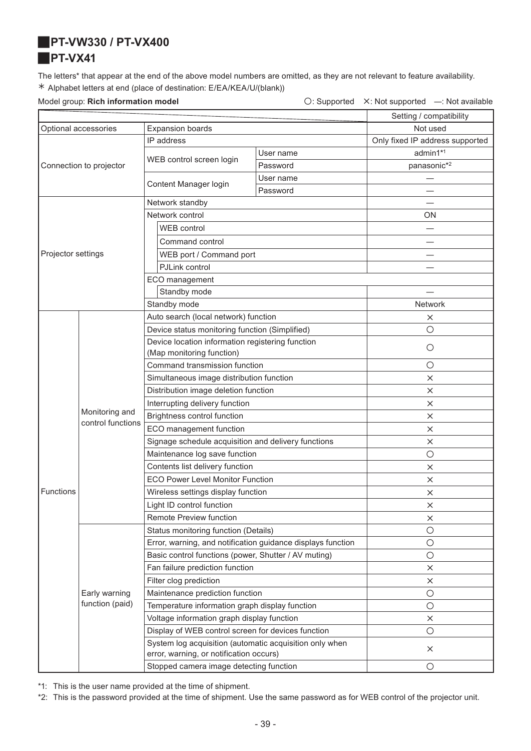<span id="page-38-1"></span><span id="page-38-0"></span>J**PT-VW330 / PT-VX400**

### **PT-VX41**

The letters\* that appear at the end of the above model numbers are omitted, as they are not relevant to feature availability. ½ Alphabet letters at end (place of destination: E/EA/KEA/U/(blank))

Model group: **Rich information model Conservation Conservation**  $\bigcirc$ : Supported X: Not supported —: Not available

|                                                 |                         |                                                                                                    |           | Setting / compatibility         |
|-------------------------------------------------|-------------------------|----------------------------------------------------------------------------------------------------|-----------|---------------------------------|
| Optional accessories<br><b>Expansion boards</b> |                         |                                                                                                    | Not used  |                                 |
|                                                 |                         | IP address                                                                                         |           | Only fixed IP address supported |
|                                                 |                         | WEB control screen login                                                                           | User name | admin1*1                        |
|                                                 | Connection to projector |                                                                                                    | Password  | panasonic*2                     |
|                                                 |                         | Content Manager login                                                                              | User name |                                 |
|                                                 |                         |                                                                                                    | Password  |                                 |
|                                                 |                         | Network standby                                                                                    |           |                                 |
|                                                 |                         | Network control                                                                                    |           | <b>ON</b>                       |
|                                                 |                         | <b>WEB</b> control                                                                                 |           |                                 |
|                                                 |                         | Command control                                                                                    |           |                                 |
| Projector settings                              |                         | WEB port / Command port                                                                            |           |                                 |
|                                                 |                         | PJLink control                                                                                     |           |                                 |
|                                                 |                         | ECO management                                                                                     |           |                                 |
|                                                 |                         | Standby mode                                                                                       |           |                                 |
|                                                 |                         | Standby mode                                                                                       |           | <b>Network</b>                  |
|                                                 |                         | Auto search (local network) function                                                               |           | X                               |
|                                                 |                         | Device status monitoring function (Simplified)                                                     |           | $\circ$                         |
|                                                 |                         | Device location information registering function                                                   |           | $\circ$                         |
|                                                 |                         | (Map monitoring function)                                                                          |           |                                 |
|                                                 | Monitoring and          | Command transmission function                                                                      |           | $\bigcirc$                      |
|                                                 |                         | Simultaneous image distribution function                                                           |           | $\times$                        |
|                                                 |                         | Distribution image deletion function                                                               |           | $\times$                        |
|                                                 |                         | Interrupting delivery function                                                                     |           | $\times$                        |
|                                                 | control functions       | Brightness control function                                                                        |           | $\times$                        |
|                                                 |                         | ECO management function                                                                            |           | X                               |
|                                                 |                         | Signage schedule acquisition and delivery functions                                                |           | ×                               |
|                                                 |                         | Maintenance log save function                                                                      |           | $\circ$                         |
|                                                 |                         | Contents list delivery function                                                                    |           | X                               |
|                                                 |                         | <b>ECO Power Level Monitor Function</b>                                                            |           | X                               |
| <b>Functions</b>                                |                         | Wireless settings display function                                                                 |           | $\times$                        |
|                                                 |                         | Light ID control function                                                                          |           | ×                               |
|                                                 |                         | Remote Preview function                                                                            |           | ×                               |
|                                                 |                         | Status monitoring function (Details)                                                               |           | $\bigcirc$                      |
|                                                 |                         | Error, warning, and notification guidance displays function                                        |           | $\bigcirc$                      |
|                                                 |                         | Basic control functions (power, Shutter / AV muting)                                               |           | $\bigcirc$                      |
|                                                 |                         | Fan failure prediction function                                                                    |           | $\times$                        |
|                                                 |                         | Filter clog prediction                                                                             |           | ×                               |
|                                                 | Early warning           | Maintenance prediction function                                                                    |           | $\bigcirc$                      |
|                                                 | function (paid)         | Temperature information graph display function                                                     |           | $\bigcirc$                      |
|                                                 |                         | Voltage information graph display function                                                         |           | ×                               |
|                                                 |                         | Display of WEB control screen for devices function                                                 |           | $\bigcirc$                      |
|                                                 |                         | System log acquisition (automatic acquisition only when<br>error, warning, or notification occurs) |           | $\times$                        |
|                                                 |                         | Stopped camera image detecting function                                                            |           | $\bigcirc$                      |

\*1: This is the user name provided at the time of shipment.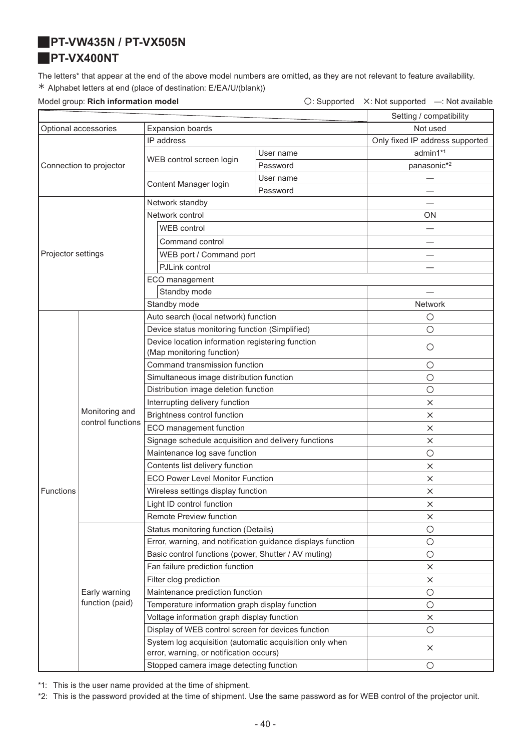### <span id="page-39-1"></span><span id="page-39-0"></span>J**PT-VW435N / PT-VX505N**

### J**PT-VX400NT**

The letters\* that appear at the end of the above model numbers are omitted, as they are not relevant to feature availability. ½ Alphabet letters at end (place of destination: E/EA/U/(blank))

Model group: **Rich information model Conservation Conservation**  $\bigcirc$ : Supported X: Not supported —: Not available

|                                                 |                   |                                                                                                    |           | Setting / compatibility         |
|-------------------------------------------------|-------------------|----------------------------------------------------------------------------------------------------|-----------|---------------------------------|
| Optional accessories<br><b>Expansion boards</b> |                   | Not used                                                                                           |           |                                 |
|                                                 |                   | IP address                                                                                         |           | Only fixed IP address supported |
| Connection to projector                         |                   | WEB control screen login                                                                           | User name | admin1*1                        |
|                                                 |                   |                                                                                                    | Password  | panasonic*2                     |
|                                                 |                   |                                                                                                    | User name |                                 |
|                                                 |                   | Content Manager login                                                                              | Password  |                                 |
|                                                 |                   | Network standby                                                                                    |           |                                 |
|                                                 |                   | Network control                                                                                    |           | ΟN                              |
|                                                 |                   | WEB control                                                                                        |           |                                 |
|                                                 |                   | Command control                                                                                    |           |                                 |
| Projector settings                              |                   | WEB port / Command port                                                                            |           |                                 |
|                                                 |                   | PJLink control                                                                                     |           |                                 |
|                                                 |                   | ECO management                                                                                     |           |                                 |
|                                                 |                   | Standby mode                                                                                       |           |                                 |
|                                                 |                   | Standby mode                                                                                       |           | Network                         |
|                                                 |                   | Auto search (local network) function                                                               |           | О                               |
|                                                 |                   | Device status monitoring function (Simplified)                                                     |           | $\bigcirc$                      |
|                                                 |                   | Device location information registering function                                                   |           |                                 |
|                                                 | Monitoring and    | (Map monitoring function)                                                                          |           | $\circ$                         |
|                                                 |                   | Command transmission function                                                                      |           | $\bigcirc$                      |
|                                                 |                   | Simultaneous image distribution function                                                           |           | $\bigcirc$                      |
|                                                 |                   | Distribution image deletion function                                                               |           | $\bigcirc$                      |
|                                                 |                   | Interrupting delivery function                                                                     |           | $\times$                        |
|                                                 |                   | Brightness control function                                                                        |           | $\times$                        |
|                                                 | control functions | ECO management function                                                                            |           | $\times$                        |
|                                                 |                   | Signage schedule acquisition and delivery functions                                                |           | X                               |
|                                                 |                   | Maintenance log save function                                                                      |           | $\bigcirc$                      |
|                                                 |                   | Contents list delivery function                                                                    |           | $\times$                        |
|                                                 |                   | <b>ECO Power Level Monitor Function</b>                                                            |           | X                               |
| Functions                                       |                   | Wireless settings display function                                                                 |           | X                               |
|                                                 |                   | Light ID control function                                                                          |           | $\times$                        |
|                                                 |                   | Remote Preview function                                                                            |           | ×                               |
|                                                 |                   | Status monitoring function (Details)                                                               |           | O                               |
|                                                 |                   | Error, warning, and notification guidance displays function                                        |           | $\bigcirc$                      |
|                                                 |                   | Basic control functions (power, Shutter / AV muting)                                               |           | $\bigcirc$                      |
|                                                 |                   | Fan failure prediction function                                                                    |           | $\times$                        |
|                                                 |                   | Filter clog prediction                                                                             |           | $\times$                        |
|                                                 | Early warning     | Maintenance prediction function                                                                    |           | $\bigcirc$                      |
|                                                 | function (paid)   | Temperature information graph display function                                                     |           | $\bigcirc$                      |
|                                                 |                   | Voltage information graph display function                                                         |           | $\times$                        |
|                                                 |                   | Display of WEB control screen for devices function                                                 |           | $\bigcirc$                      |
|                                                 |                   | System log acquisition (automatic acquisition only when<br>error, warning, or notification occurs) |           | $\times$                        |
|                                                 |                   | Stopped camera image detecting function                                                            |           | $\bigcirc$                      |

\*1: This is the user name provided at the time of shipment.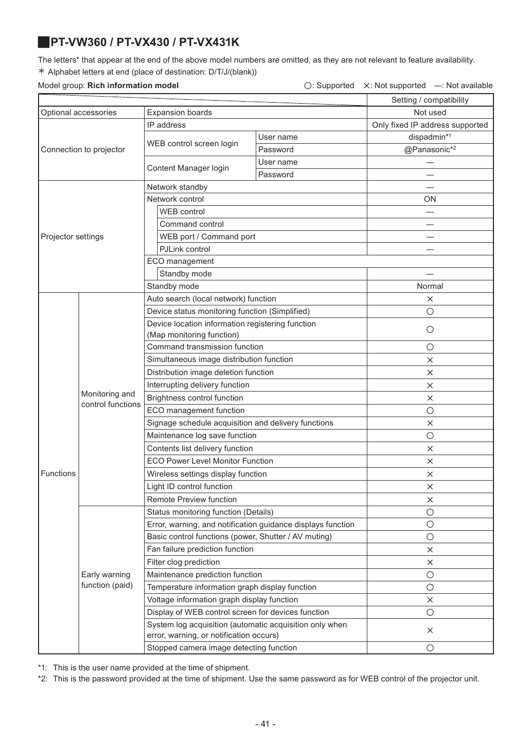# <span id="page-40-0"></span>J**PT-VW360 / PT-VX430 / PT-VX431K**

The letters\* that appear at the end of the above model numbers are omitted, as they are not relevant to feature availability. ½ Alphabet letters at end (place of destination: D/T/J/(blank))

### Model group: Rich information model

| $\bigcirc$ : Supported $\times$ : Not supported $-$ : Not available |  |
|---------------------------------------------------------------------|--|
|                                                                     |  |

|                                                 |                         |                                                                                                    |                                 | Setting / compatibility |
|-------------------------------------------------|-------------------------|----------------------------------------------------------------------------------------------------|---------------------------------|-------------------------|
| Optional accessories<br><b>Expansion boards</b> |                         |                                                                                                    | Not used                        |                         |
|                                                 |                         | IP address                                                                                         | Only fixed IP address supported |                         |
|                                                 |                         |                                                                                                    | User name                       | dispadmin*1             |
|                                                 | Connection to projector | WEB control screen login                                                                           | Password                        | @Panasonic*2            |
|                                                 |                         |                                                                                                    | User name                       |                         |
|                                                 |                         | Content Manager login                                                                              | Password                        |                         |
|                                                 |                         | Network standby                                                                                    |                                 |                         |
|                                                 |                         | Network control                                                                                    |                                 | ΟN                      |
|                                                 |                         | <b>WEB</b> control                                                                                 |                                 |                         |
|                                                 |                         | Command control                                                                                    |                                 |                         |
| Projector settings                              |                         | WEB port / Command port                                                                            |                                 |                         |
|                                                 |                         | PJLink control                                                                                     |                                 |                         |
|                                                 |                         | ECO management                                                                                     |                                 |                         |
|                                                 |                         | Standby mode                                                                                       |                                 |                         |
|                                                 |                         | Standby mode                                                                                       |                                 | Normal                  |
|                                                 |                         | Auto search (local network) function                                                               |                                 | $\times$                |
|                                                 |                         | Device status monitoring function (Simplified)                                                     |                                 | $\circ$                 |
|                                                 |                         | Device location information registering function                                                   |                                 |                         |
|                                                 |                         | (Map monitoring function)                                                                          |                                 | $\circ$                 |
|                                                 | Monitoring and          | Command transmission function                                                                      |                                 | $\circ$                 |
|                                                 |                         | Simultaneous image distribution function                                                           |                                 | $\times$                |
|                                                 |                         | Distribution image deletion function                                                               |                                 | $\times$                |
|                                                 |                         | Interrupting delivery function                                                                     |                                 | $\times$                |
|                                                 |                         | Brightness control function                                                                        |                                 | X                       |
|                                                 | control functions       | ECO management function                                                                            |                                 | $\circ$                 |
|                                                 |                         | Signage schedule acquisition and delivery functions                                                | $\times$                        |                         |
|                                                 |                         | Maintenance log save function                                                                      |                                 | $\circ$                 |
|                                                 |                         | Contents list delivery function                                                                    |                                 | $\times$                |
|                                                 |                         | <b>ECO Power Level Monitor Function</b>                                                            |                                 | $\times$                |
| Functions                                       |                         | Wireless settings display function                                                                 |                                 | $\times$                |
|                                                 |                         | Light ID control function                                                                          |                                 | $\times$                |
|                                                 |                         | Remote Preview function                                                                            |                                 | $\times$                |
|                                                 |                         | Status monitoring function (Details)                                                               |                                 | $\circ$                 |
|                                                 |                         | Error, warning, and notification guidance displays function                                        |                                 | $\bigcirc$              |
|                                                 |                         | Basic control functions (power, Shutter / AV muting)                                               |                                 | $\bigcirc$              |
|                                                 |                         | Fan failure prediction function                                                                    |                                 | ×                       |
|                                                 |                         | Filter clog prediction                                                                             |                                 | $\times$                |
|                                                 | Early warning           | Maintenance prediction function                                                                    |                                 | $\bigcirc$              |
|                                                 | function (paid)         | Temperature information graph display function                                                     |                                 | $\circ$                 |
|                                                 |                         | Voltage information graph display function                                                         |                                 | $\times$                |
|                                                 |                         | Display of WEB control screen for devices function                                                 |                                 | $\circ$                 |
|                                                 |                         | System log acquisition (automatic acquisition only when<br>error, warning, or notification occurs) |                                 | $\times$                |
|                                                 |                         | Stopped camera image detecting function                                                            |                                 | O                       |
|                                                 |                         |                                                                                                    |                                 |                         |

\*1: This is the user name provided at the time of shipment.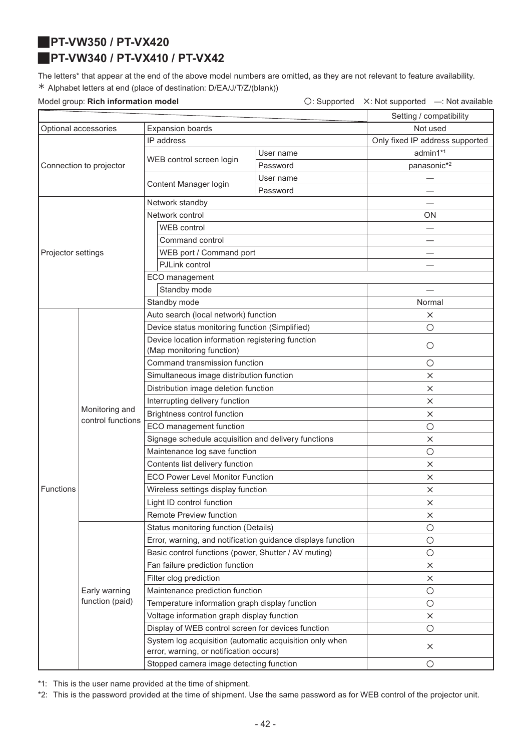<span id="page-41-1"></span>J**PT-VW350 / PT-VX420**

# <span id="page-41-0"></span>J**PT-VW340 / PT-VX410 / PT-VX42**

The letters\* that appear at the end of the above model numbers are omitted, as they are not relevant to feature availability. ½ Alphabet letters at end (place of destination: D/EA/J/T/Z/(blank))

Model group: **Rich information model Conservation Conservation**  $\bigcirc$ : Supported X: Not supported —: Not available

|                      |                                     | Setting / compatibility                                                                            |            |                                 |
|----------------------|-------------------------------------|----------------------------------------------------------------------------------------------------|------------|---------------------------------|
| Optional accessories |                                     | <b>Expansion boards</b>                                                                            | Not used   |                                 |
|                      |                                     | IP address                                                                                         |            | Only fixed IP address supported |
|                      |                                     |                                                                                                    | User name  | admin1*1                        |
|                      | Connection to projector             | WEB control screen login                                                                           | Password   | panasonic*2                     |
|                      |                                     | Content Manager login                                                                              | User name  |                                 |
|                      |                                     |                                                                                                    | Password   |                                 |
|                      |                                     | Network standby                                                                                    |            |                                 |
|                      |                                     | Network control                                                                                    |            | <b>ON</b>                       |
|                      |                                     | WEB control                                                                                        |            |                                 |
|                      |                                     | Command control                                                                                    |            |                                 |
| Projector settings   |                                     | WEB port / Command port                                                                            |            |                                 |
|                      |                                     | PJLink control                                                                                     |            |                                 |
|                      |                                     | ECO management                                                                                     |            |                                 |
|                      |                                     | Standby mode                                                                                       |            |                                 |
|                      |                                     | Standby mode                                                                                       |            | Normal                          |
|                      |                                     | Auto search (local network) function                                                               |            | ×                               |
|                      |                                     | Device status monitoring function (Simplified)                                                     |            | $\bigcirc$                      |
|                      |                                     | Device location information registering function                                                   |            | $\bigcirc$                      |
|                      | Monitoring and<br>control functions | (Map monitoring function)                                                                          |            |                                 |
|                      |                                     | Command transmission function                                                                      |            | $\bigcirc$                      |
|                      |                                     | Simultaneous image distribution function                                                           |            | X                               |
|                      |                                     | Distribution image deletion function                                                               |            | $\times$                        |
|                      |                                     | Interrupting delivery function                                                                     |            | $\times$                        |
|                      |                                     | Brightness control function                                                                        |            | $\times$                        |
|                      |                                     | ECO management function                                                                            | $\bigcirc$ |                                 |
|                      |                                     | Signage schedule acquisition and delivery functions                                                |            | ×                               |
|                      |                                     | Maintenance log save function                                                                      | $\bigcirc$ |                                 |
|                      |                                     | Contents list delivery function                                                                    |            | $\times$                        |
|                      |                                     | <b>ECO Power Level Monitor Function</b>                                                            | $\times$   |                                 |
| <b>Functions</b>     |                                     | Wireless settings display function                                                                 | $\times$   |                                 |
|                      |                                     | Light ID control function                                                                          |            | ×                               |
|                      |                                     | Remote Preview function                                                                            |            | $\times$                        |
|                      |                                     | Status monitoring function (Details)                                                               |            | $\bigcirc$                      |
|                      |                                     | Error, warning, and notification guidance displays function                                        |            | $\bigcirc$                      |
|                      |                                     | Basic control functions (power, Shutter / AV muting)                                               |            | $\bigcirc$                      |
|                      |                                     | Fan failure prediction function                                                                    |            | $\times$                        |
|                      |                                     | Filter clog prediction                                                                             |            | ×                               |
|                      | Early warning                       | Maintenance prediction function                                                                    |            | $\bigcirc$                      |
|                      | function (paid)                     | Temperature information graph display function                                                     |            | $\bigcirc$                      |
|                      |                                     | Voltage information graph display function                                                         |            | ×                               |
|                      |                                     | Display of WEB control screen for devices function                                                 |            | $\bigcirc$                      |
|                      |                                     | System log acquisition (automatic acquisition only when<br>error, warning, or notification occurs) |            | $\times$                        |
|                      |                                     | Stopped camera image detecting function                                                            |            | $\bigcirc$                      |

\*1: This is the user name provided at the time of shipment.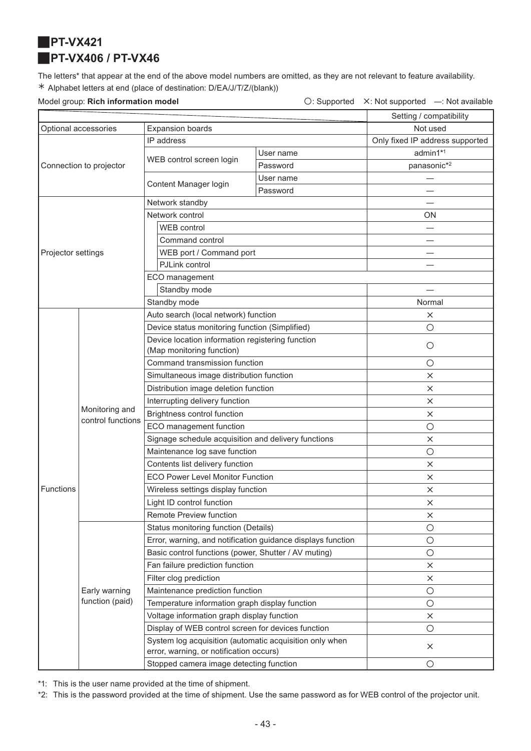<span id="page-42-1"></span><span id="page-42-0"></span>**PT-VX421** J**PT-VX406 / PT-VX46**

The letters\* that appear at the end of the above model numbers are omitted, as they are not relevant to feature availability. ½ Alphabet letters at end (place of destination: D/EA/J/T/Z/(blank))

Model group: **Rich information model C: Supported X: Not supported —: Not available** 

|                                                 |                         |                                                                                                    |           | Setting / compatibility         |
|-------------------------------------------------|-------------------------|----------------------------------------------------------------------------------------------------|-----------|---------------------------------|
| <b>Expansion boards</b><br>Optional accessories |                         | Not used                                                                                           |           |                                 |
|                                                 |                         | IP address                                                                                         |           | Only fixed IP address supported |
|                                                 |                         |                                                                                                    | User name | admin1*1                        |
|                                                 | Connection to projector | WEB control screen login                                                                           | Password  | panasonic* <sup>2</sup>         |
|                                                 |                         | Content Manager login                                                                              | User name |                                 |
|                                                 |                         |                                                                                                    | Password  |                                 |
|                                                 |                         | Network standby                                                                                    |           |                                 |
|                                                 |                         | Network control                                                                                    |           | <b>ON</b>                       |
|                                                 |                         | WEB control                                                                                        |           |                                 |
|                                                 |                         | Command control                                                                                    |           |                                 |
| Projector settings                              |                         | WEB port / Command port                                                                            |           |                                 |
|                                                 |                         | PJLink control                                                                                     |           |                                 |
|                                                 |                         | ECO management                                                                                     |           |                                 |
|                                                 |                         | Standby mode                                                                                       |           |                                 |
|                                                 |                         | Standby mode                                                                                       |           | Normal                          |
|                                                 |                         | Auto search (local network) function                                                               |           | X                               |
|                                                 |                         | Device status monitoring function (Simplified)                                                     |           | $\bigcirc$                      |
|                                                 |                         | Device location information registering function                                                   |           | $\bigcirc$                      |
|                                                 |                         | (Map monitoring function)                                                                          |           |                                 |
|                                                 | Monitoring and          | Command transmission function                                                                      |           | $\bigcirc$                      |
|                                                 |                         | Simultaneous image distribution function                                                           |           | $\times$                        |
|                                                 |                         | Distribution image deletion function                                                               |           | ×                               |
|                                                 |                         | Interrupting delivery function                                                                     |           | X                               |
|                                                 |                         | Brightness control function                                                                        |           | X                               |
|                                                 | control functions       | ECO management function                                                                            |           | $\bigcirc$                      |
|                                                 |                         | Signage schedule acquisition and delivery functions                                                |           | $\times$                        |
|                                                 |                         | Maintenance log save function                                                                      |           | $\bigcirc$                      |
|                                                 |                         | Contents list delivery function                                                                    |           | $\times$                        |
|                                                 |                         | <b>ECO Power Level Monitor Function</b>                                                            |           | $\times$                        |
| <b>Functions</b>                                |                         | Wireless settings display function                                                                 |           | X                               |
|                                                 |                         | Light ID control function                                                                          |           | $\times$                        |
|                                                 |                         | Remote Preview function                                                                            |           | ×                               |
|                                                 |                         | Status monitoring function (Details)                                                               |           | $\bigcirc$                      |
|                                                 |                         | Error, warning, and notification guidance displays function                                        |           | $\bigcirc$                      |
|                                                 |                         | Basic control functions (power, Shutter / AV muting)                                               |           | $\bigcirc$                      |
|                                                 |                         | Fan failure prediction function                                                                    |           | $\times$                        |
|                                                 |                         | Filter clog prediction                                                                             |           | $\times$                        |
|                                                 | Early warning           | Maintenance prediction function                                                                    |           | $\bigcirc$                      |
|                                                 | function (paid)         | Temperature information graph display function                                                     |           | $\bigcirc$                      |
|                                                 |                         | Voltage information graph display function                                                         |           | $\times$                        |
|                                                 |                         | Display of WEB control screen for devices function                                                 |           | $\bigcirc$                      |
|                                                 |                         | System log acquisition (automatic acquisition only when<br>error, warning, or notification occurs) |           | $\times$                        |
|                                                 |                         | Stopped camera image detecting function                                                            |           | $\bigcirc$                      |

\*1: This is the user name provided at the time of shipment.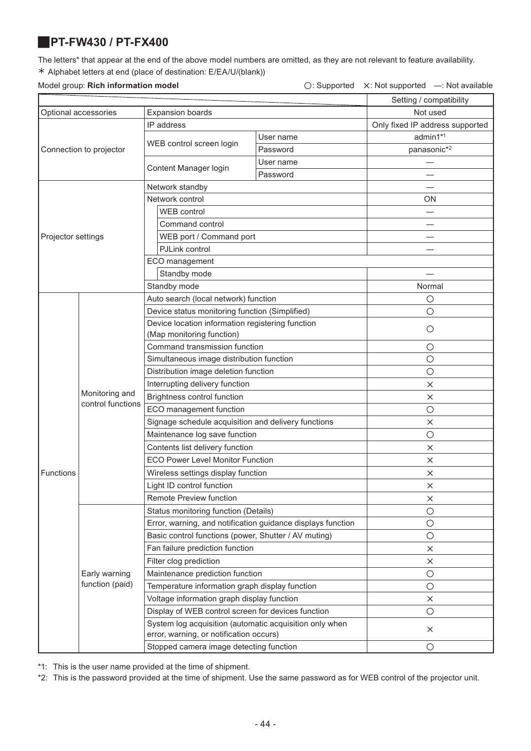### <span id="page-43-0"></span>J**PT-FW430 / PT-FX400**

The letters\* that appear at the end of the above model numbers are omitted, as they are not relevant to feature availability. ½ Alphabet letters at end (place of destination: E/EA/U/(blank))

### Model group: **Rich information model** △ △: Not supported △: Not supported —: Not available

|                      |                                     |                                                                                                    |           | Setting / compatibility         |
|----------------------|-------------------------------------|----------------------------------------------------------------------------------------------------|-----------|---------------------------------|
| Optional accessories |                                     | <b>Expansion boards</b>                                                                            |           | Not used                        |
|                      |                                     | IP address                                                                                         |           | Only fixed IP address supported |
|                      |                                     |                                                                                                    | User name | admin1*1                        |
|                      | Connection to projector             | WEB control screen login                                                                           | Password  | panasonic*2                     |
|                      |                                     |                                                                                                    | User name |                                 |
|                      |                                     | Content Manager login                                                                              | Password  |                                 |
|                      |                                     | Network standby                                                                                    |           |                                 |
|                      |                                     | Network control                                                                                    |           | ΟN                              |
|                      |                                     | <b>WEB</b> control                                                                                 |           |                                 |
|                      |                                     | Command control                                                                                    |           |                                 |
| Projector settings   |                                     | WEB port / Command port                                                                            |           |                                 |
|                      |                                     | PJLink control                                                                                     |           |                                 |
|                      |                                     | ECO management                                                                                     |           |                                 |
|                      |                                     | Standby mode                                                                                       |           |                                 |
|                      |                                     | Standby mode                                                                                       |           | Normal                          |
|                      |                                     | Auto search (local network) function                                                               |           | $\circ$                         |
|                      |                                     | Device status monitoring function (Simplified)                                                     |           | $\circ$                         |
|                      |                                     | Device location information registering function                                                   |           |                                 |
|                      |                                     | (Map monitoring function)                                                                          |           | O                               |
|                      | Monitoring and<br>control functions | Command transmission function                                                                      | $\circ$   |                                 |
|                      |                                     | Simultaneous image distribution function                                                           | $\circ$   |                                 |
|                      |                                     | Distribution image deletion function                                                               |           | О                               |
|                      |                                     | Interrupting delivery function                                                                     | ×         |                                 |
|                      |                                     | Brightness control function                                                                        | $\times$  |                                 |
|                      |                                     | ECO management function                                                                            | $\circ$   |                                 |
|                      |                                     | Signage schedule acquisition and delivery functions                                                | $\times$  |                                 |
|                      |                                     | Maintenance log save function                                                                      | $\circ$   |                                 |
|                      |                                     | Contents list delivery function                                                                    | $\times$  |                                 |
|                      |                                     | <b>ECO Power Level Monitor Function</b>                                                            | $\times$  |                                 |
| Functions            |                                     | Wireless settings display function                                                                 | $\times$  |                                 |
|                      |                                     | Light ID control function                                                                          |           | $\times$                        |
|                      |                                     | Remote Preview function                                                                            |           | ×                               |
|                      |                                     | Status monitoring function (Details)                                                               |           | O                               |
|                      |                                     | Error, warning, and notification guidance displays function                                        |           | $\circ$                         |
|                      |                                     | Basic control functions (power, Shutter / AV muting)                                               |           | $\bigcirc$                      |
|                      |                                     | Fan failure prediction function                                                                    |           | ×                               |
|                      |                                     | Filter clog prediction                                                                             |           | $\times$                        |
|                      | Early warning                       | Maintenance prediction function                                                                    |           | $\bigcirc$                      |
|                      | function (paid)                     | Temperature information graph display function                                                     |           | $\circ$                         |
|                      |                                     | Voltage information graph display function                                                         |           | ×                               |
|                      |                                     | Display of WEB control screen for devices function                                                 |           | О                               |
|                      |                                     | System log acquisition (automatic acquisition only when<br>error, warning, or notification occurs) |           | $\times$                        |
|                      |                                     | Stopped camera image detecting function                                                            |           | $\circ$                         |
|                      |                                     |                                                                                                    |           |                                 |

\*1: This is the user name provided at the time of shipment.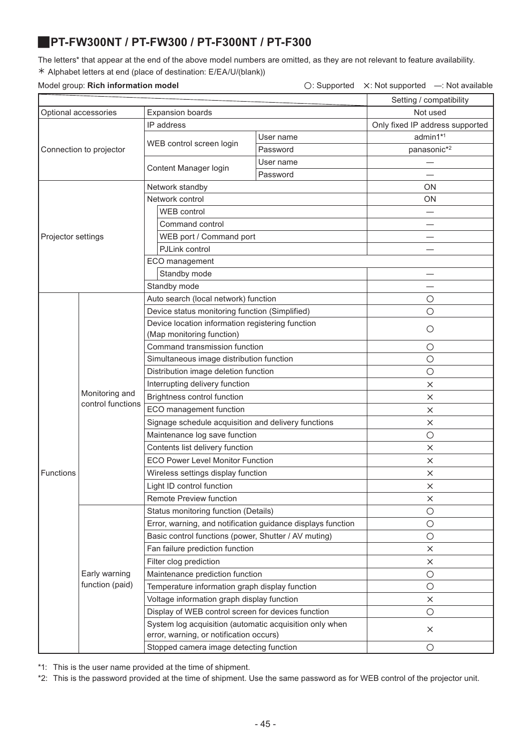### <span id="page-44-0"></span>J**PT-FW300NT / PT-FW300 / PT-F300NT / PT-F300**

The letters\* that appear at the end of the above model numbers are omitted, as they are not relevant to feature availability. ½ Alphabet letters at end (place of destination: E/EA/U/(blank))

### Model group: **Rich information model** △ **Consumersed A: Not supported A: Not supported —: Not available**

| Setting / compatibility |                                     |                                                                                                    |           |                                 |  |
|-------------------------|-------------------------------------|----------------------------------------------------------------------------------------------------|-----------|---------------------------------|--|
| Optional accessories    |                                     | <b>Expansion boards</b>                                                                            | Not used  |                                 |  |
|                         |                                     | IP address                                                                                         |           | Only fixed IP address supported |  |
|                         |                                     | WEB control screen login                                                                           | User name | admin1*1                        |  |
|                         | Connection to projector             |                                                                                                    | Password  | panasonic*2                     |  |
|                         |                                     | Content Manager login                                                                              | User name |                                 |  |
|                         |                                     |                                                                                                    | Password  |                                 |  |
|                         |                                     | Network standby                                                                                    |           | ON                              |  |
|                         |                                     | Network control                                                                                    |           | ON                              |  |
|                         |                                     | <b>WEB</b> control                                                                                 |           |                                 |  |
|                         |                                     | Command control                                                                                    |           |                                 |  |
| Projector settings      |                                     | WEB port / Command port                                                                            |           |                                 |  |
|                         |                                     | PJLink control                                                                                     |           | —                               |  |
|                         |                                     | ECO management                                                                                     |           |                                 |  |
|                         |                                     | Standby mode                                                                                       |           |                                 |  |
|                         |                                     | Standby mode                                                                                       |           |                                 |  |
|                         |                                     | Auto search (local network) function                                                               |           | O                               |  |
|                         |                                     | Device status monitoring function (Simplified)                                                     |           | $\circ$                         |  |
|                         |                                     | Device location information registering function                                                   |           |                                 |  |
|                         |                                     | (Map monitoring function)                                                                          |           | $\circ$                         |  |
|                         | Monitoring and<br>control functions | Command transmission function                                                                      |           | O                               |  |
|                         |                                     | Simultaneous image distribution function                                                           |           | $\circ$                         |  |
|                         |                                     | Distribution image deletion function                                                               |           | O                               |  |
|                         |                                     | Interrupting delivery function                                                                     |           | $\times$                        |  |
|                         |                                     | Brightness control function                                                                        |           | $\times$                        |  |
|                         |                                     | ECO management function                                                                            |           | $\times$                        |  |
|                         |                                     | Signage schedule acquisition and delivery functions                                                |           | $\times$                        |  |
|                         |                                     | Maintenance log save function                                                                      |           | О                               |  |
|                         |                                     | Contents list delivery function                                                                    | $\times$  |                                 |  |
|                         |                                     | <b>ECO Power Level Monitor Function</b>                                                            | $\times$  |                                 |  |
| Functions               |                                     | Wireless settings display function                                                                 | X         |                                 |  |
|                         |                                     | Light ID control function                                                                          |           | $\times$                        |  |
|                         |                                     | Remote Preview function                                                                            |           | ×                               |  |
|                         |                                     | Status monitoring function (Details)                                                               |           | $\bigcirc$                      |  |
|                         |                                     | Error, warning, and notification guidance displays function                                        |           | $\bigcirc$                      |  |
|                         |                                     | Basic control functions (power, Shutter / AV muting)                                               |           | $\circ$                         |  |
|                         |                                     | Fan failure prediction function                                                                    |           | X                               |  |
|                         |                                     | Filter clog prediction                                                                             |           | ×                               |  |
|                         | Early warning                       | Maintenance prediction function                                                                    |           | $\bigcirc$                      |  |
|                         | function (paid)                     | Temperature information graph display function                                                     |           | $\bigcirc$                      |  |
|                         |                                     | Voltage information graph display function                                                         |           | ×                               |  |
|                         |                                     | Display of WEB control screen for devices function                                                 |           | $\bigcirc$                      |  |
|                         |                                     | System log acquisition (automatic acquisition only when<br>error, warning, or notification occurs) |           | $\times$                        |  |
|                         |                                     | Stopped camera image detecting function                                                            |           | $\circ$                         |  |
|                         |                                     |                                                                                                    |           |                                 |  |

\*1: This is the user name provided at the time of shipment.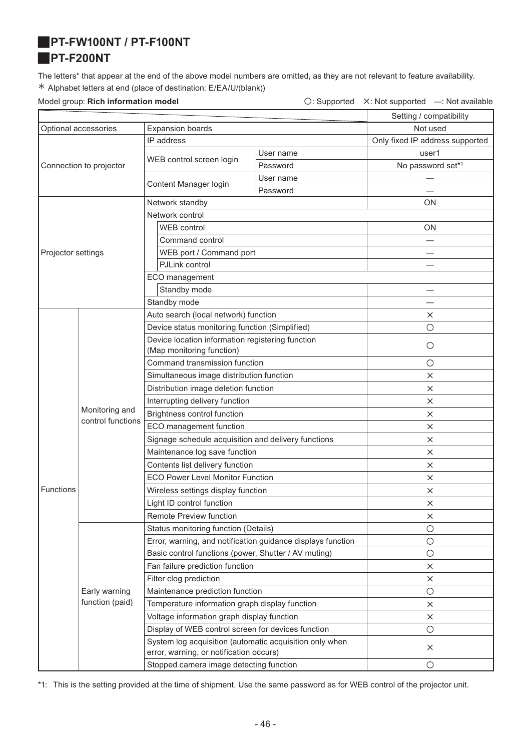### <span id="page-45-1"></span><span id="page-45-0"></span>J**PT-FW100NT / PT-F100NT**

### J**PT-F200NT**

The letters\* that appear at the end of the above model numbers are omitted, as they are not relevant to feature availability. ½ Alphabet letters at end (place of destination: E/EA/U/(blank))

Model group: **Rich information model Conservation Conservation**  $\bigcirc$ : Supported X: Not supported —: Not available

|                                                 |                         |                                                                                                    |                                 | Setting / compatibility |
|-------------------------------------------------|-------------------------|----------------------------------------------------------------------------------------------------|---------------------------------|-------------------------|
| Optional accessories<br><b>Expansion boards</b> |                         | Not used                                                                                           |                                 |                         |
|                                                 |                         | IP address                                                                                         | Only fixed IP address supported |                         |
|                                                 |                         |                                                                                                    | User name                       | user1                   |
|                                                 | Connection to projector | WEB control screen login                                                                           | Password                        | No password set*1       |
|                                                 |                         |                                                                                                    | User name                       |                         |
|                                                 |                         | Content Manager login                                                                              | Password                        |                         |
|                                                 |                         | Network standby                                                                                    |                                 | ON                      |
|                                                 |                         | Network control                                                                                    |                                 |                         |
|                                                 |                         | <b>WEB</b> control                                                                                 |                                 | <b>ON</b>               |
|                                                 |                         | Command control                                                                                    |                                 |                         |
| Projector settings                              |                         | WEB port / Command port                                                                            |                                 |                         |
|                                                 |                         | PJLink control                                                                                     |                                 |                         |
|                                                 |                         | ECO management                                                                                     |                                 |                         |
|                                                 |                         | Standby mode                                                                                       |                                 |                         |
|                                                 |                         | Standby mode                                                                                       |                                 |                         |
|                                                 |                         | Auto search (local network) function                                                               |                                 | ×                       |
|                                                 |                         | Device status monitoring function (Simplified)                                                     |                                 | $\circ$                 |
|                                                 |                         | Device location information registering function                                                   |                                 |                         |
|                                                 |                         | (Map monitoring function)                                                                          |                                 | О                       |
|                                                 | Monitoring and          | Command transmission function                                                                      |                                 | $\circ$                 |
|                                                 |                         | Simultaneous image distribution function                                                           |                                 | ×                       |
|                                                 |                         | Distribution image deletion function                                                               |                                 | $\times$                |
|                                                 |                         | Interrupting delivery function                                                                     |                                 | X                       |
|                                                 |                         | Brightness control function                                                                        |                                 | ×                       |
|                                                 | control functions       | ECO management function                                                                            |                                 | $\times$                |
|                                                 |                         | Signage schedule acquisition and delivery functions                                                | $\times$                        |                         |
|                                                 |                         | Maintenance log save function                                                                      | $\times$                        |                         |
|                                                 |                         | Contents list delivery function                                                                    | $\times$                        |                         |
|                                                 |                         | <b>ECO Power Level Monitor Function</b>                                                            | $\times$                        |                         |
| <b>Functions</b>                                |                         | Wireless settings display function                                                                 | $\times$                        |                         |
|                                                 |                         | Light ID control function                                                                          | $\times$                        |                         |
|                                                 |                         | Remote Preview function                                                                            |                                 | ×                       |
|                                                 |                         | Status monitoring function (Details)                                                               |                                 | $\bigcirc$              |
|                                                 |                         | Error, warning, and notification guidance displays function                                        |                                 | $\bigcirc$              |
|                                                 |                         | Basic control functions (power, Shutter / AV muting)                                               |                                 | $\bigcirc$              |
|                                                 |                         | Fan failure prediction function                                                                    |                                 | $\times$                |
|                                                 |                         | Filter clog prediction                                                                             |                                 | $\times$                |
|                                                 | Early warning           | Maintenance prediction function                                                                    |                                 | $\bigcirc$              |
|                                                 | function (paid)         | Temperature information graph display function                                                     |                                 | ×                       |
|                                                 |                         | Voltage information graph display function                                                         |                                 | X                       |
|                                                 |                         | Display of WEB control screen for devices function                                                 |                                 | $\bigcirc$              |
|                                                 |                         | System log acquisition (automatic acquisition only when<br>error, warning, or notification occurs) |                                 | $\times$                |
|                                                 |                         | Stopped camera image detecting function                                                            |                                 | $\bigcirc$              |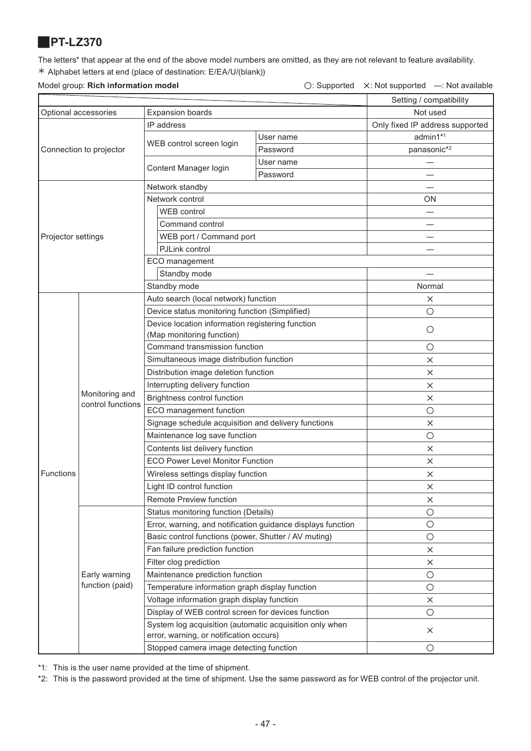### <span id="page-46-0"></span>J**PT-LZ370**

The letters\* that appear at the end of the above model numbers are omitted, as they are not relevant to feature availability. ½ Alphabet letters at end (place of destination: E/EA/U/(blank))

Model group: **Rich information model** △ △: Not supported △: Not supported —: Not available

|                      |                                     |                                                                                                    |            | Setting / compatibility         |
|----------------------|-------------------------------------|----------------------------------------------------------------------------------------------------|------------|---------------------------------|
| Optional accessories |                                     | <b>Expansion boards</b>                                                                            | Not used   |                                 |
|                      |                                     | IP address                                                                                         |            | Only fixed IP address supported |
|                      |                                     | WEB control screen login                                                                           | User name  | admin1*1                        |
|                      | Connection to projector             |                                                                                                    | Password   | panasonic*2                     |
|                      |                                     | Content Manager login                                                                              | User name  |                                 |
|                      |                                     |                                                                                                    | Password   |                                 |
|                      |                                     | Network standby                                                                                    |            |                                 |
|                      |                                     | Network control                                                                                    |            | <b>ON</b>                       |
|                      |                                     | <b>WEB</b> control                                                                                 |            |                                 |
|                      |                                     | Command control                                                                                    |            |                                 |
| Projector settings   |                                     | WEB port / Command port                                                                            |            |                                 |
|                      |                                     | PJLink control                                                                                     |            |                                 |
|                      |                                     | ECO management                                                                                     |            |                                 |
|                      |                                     | Standby mode                                                                                       |            |                                 |
|                      |                                     | Standby mode                                                                                       |            | Normal                          |
|                      |                                     | Auto search (local network) function                                                               |            | $\times$                        |
|                      |                                     | Device status monitoring function (Simplified)                                                     |            | $\circ$                         |
|                      |                                     | Device location information registering function                                                   |            | $\bigcirc$                      |
|                      |                                     | (Map monitoring function)                                                                          |            |                                 |
|                      | Monitoring and<br>control functions | Command transmission function                                                                      |            | $\bigcirc$                      |
|                      |                                     | Simultaneous image distribution function                                                           |            | X                               |
|                      |                                     | Distribution image deletion function                                                               |            | X                               |
|                      |                                     | Interrupting delivery function                                                                     |            | $\times$                        |
|                      |                                     | Brightness control function                                                                        | $\times$   |                                 |
|                      |                                     | ECO management function                                                                            | $\bigcirc$ |                                 |
|                      |                                     | Signage schedule acquisition and delivery functions                                                | $\times$   |                                 |
|                      |                                     | Maintenance log save function                                                                      | $\bigcirc$ |                                 |
|                      |                                     | Contents list delivery function                                                                    | $\times$   |                                 |
|                      |                                     | <b>ECO Power Level Monitor Function</b>                                                            | $\times$   |                                 |
| Functions            |                                     | Wireless settings display function                                                                 | X          |                                 |
|                      |                                     | Light ID control function                                                                          |            | $\times$                        |
|                      |                                     | Remote Preview function                                                                            |            | X                               |
|                      |                                     | Status monitoring function (Details)                                                               |            | $\bigcirc$                      |
|                      |                                     | Error, warning, and notification guidance displays function                                        |            | $\bigcirc$                      |
|                      |                                     | Basic control functions (power, Shutter / AV muting)                                               |            | $\bigcirc$                      |
|                      |                                     | Fan failure prediction function                                                                    |            | X                               |
|                      |                                     | Filter clog prediction                                                                             |            | $\times$                        |
|                      | Early warning                       | Maintenance prediction function                                                                    |            | $\bigcirc$                      |
|                      | function (paid)                     | Temperature information graph display function                                                     |            | $\bigcirc$                      |
|                      |                                     | Voltage information graph display function                                                         |            | $\times$                        |
|                      |                                     | Display of WEB control screen for devices function                                                 |            | $\bigcirc$                      |
|                      |                                     | System log acquisition (automatic acquisition only when<br>error, warning, or notification occurs) |            | $\times$                        |
|                      |                                     | Stopped camera image detecting function                                                            |            | $\bigcirc$                      |

\*1: This is the user name provided at the time of shipment.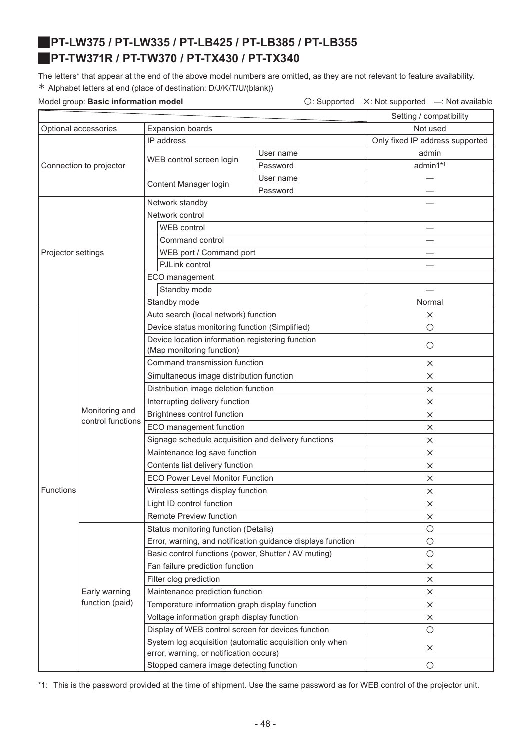# <span id="page-47-1"></span><span id="page-47-0"></span>J**PT-LW375 / PT-LW335 / PT-LB425 / PT-LB385 / PT-LB355** J**PT-TW371R / PT-TW370 / PT-TX430 / PT-TX340**

The letters\* that appear at the end of the above model numbers are omitted, as they are not relevant to feature availability. ½ Alphabet letters at end (place of destination: D/J/K/T/U/(blank))

Model group: Basic information model **busic information model**  $\bigcirc$ : Supported X: Not supported —: Not available

|                                                 |                                     |                                                                                                    |           | Setting / compatibility         |
|-------------------------------------------------|-------------------------------------|----------------------------------------------------------------------------------------------------|-----------|---------------------------------|
| Optional accessories<br><b>Expansion boards</b> |                                     |                                                                                                    | Not used  |                                 |
|                                                 |                                     | IP address                                                                                         |           | Only fixed IP address supported |
|                                                 |                                     |                                                                                                    | User name | admin                           |
|                                                 | Connection to projector             | WEB control screen login                                                                           | Password  | admin1*1                        |
|                                                 |                                     |                                                                                                    | User name |                                 |
|                                                 |                                     | Content Manager login                                                                              | Password  |                                 |
|                                                 |                                     | Network standby                                                                                    |           |                                 |
|                                                 |                                     | Network control                                                                                    |           |                                 |
|                                                 |                                     | WEB control                                                                                        |           |                                 |
|                                                 |                                     | Command control                                                                                    |           |                                 |
| Projector settings                              |                                     | WEB port / Command port                                                                            |           |                                 |
|                                                 |                                     | PJLink control                                                                                     |           |                                 |
|                                                 |                                     | ECO management                                                                                     |           |                                 |
|                                                 |                                     | Standby mode                                                                                       |           |                                 |
|                                                 |                                     | Standby mode                                                                                       |           | Normal                          |
|                                                 |                                     | Auto search (local network) function                                                               |           | $\times$                        |
|                                                 |                                     | Device status monitoring function (Simplified)                                                     |           | $\circ$                         |
|                                                 |                                     | Device location information registering function                                                   |           | $\circ$                         |
|                                                 | Monitoring and<br>control functions | (Map monitoring function)                                                                          |           |                                 |
|                                                 |                                     | Command transmission function                                                                      |           | $\times$                        |
|                                                 |                                     | Simultaneous image distribution function                                                           |           | $\times$                        |
|                                                 |                                     | Distribution image deletion function                                                               |           | $\times$                        |
|                                                 |                                     | Interrupting delivery function                                                                     |           | $\times$                        |
|                                                 |                                     | Brightness control function                                                                        |           | $\times$                        |
|                                                 |                                     | ECO management function                                                                            |           | $\times$                        |
|                                                 |                                     | Signage schedule acquisition and delivery functions                                                |           | $\times$                        |
|                                                 |                                     | Maintenance log save function                                                                      |           | $\times$                        |
|                                                 |                                     | Contents list delivery function                                                                    |           | $\times$                        |
|                                                 |                                     | <b>ECO Power Level Monitor Function</b>                                                            | $\times$  |                                 |
| <b>Functions</b>                                |                                     | Wireless settings display function                                                                 | $\times$  |                                 |
|                                                 |                                     | Light ID control function                                                                          |           | $\times$                        |
|                                                 |                                     | Remote Preview function                                                                            |           | ×                               |
|                                                 |                                     | Status monitoring function (Details)                                                               |           | $\circ$                         |
|                                                 |                                     | Error, warning, and notification guidance displays function                                        |           | $\bigcirc$                      |
|                                                 |                                     | Basic control functions (power, Shutter / AV muting)                                               |           | $\bigcirc$                      |
|                                                 |                                     | Fan failure prediction function                                                                    |           | $\times$                        |
|                                                 |                                     | Filter clog prediction                                                                             |           | $\times$                        |
|                                                 | Early warning                       | Maintenance prediction function                                                                    |           | $\times$                        |
|                                                 | function (paid)                     | Temperature information graph display function                                                     |           | $\times$                        |
|                                                 |                                     | Voltage information graph display function                                                         |           | X                               |
|                                                 |                                     | Display of WEB control screen for devices function                                                 |           | $\bigcirc$                      |
|                                                 |                                     | System log acquisition (automatic acquisition only when<br>error, warning, or notification occurs) |           | $\times$                        |
|                                                 |                                     | Stopped camera image detecting function                                                            |           | $\circ$                         |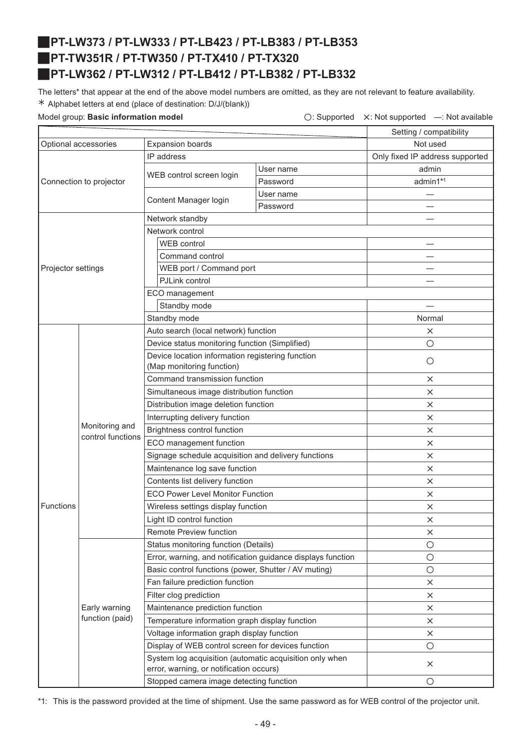# <span id="page-48-2"></span><span id="page-48-1"></span>J**PT-LW373 / PT-LW333 / PT-LB423 / PT-LB383 / PT-LB353** J**PT-TW351R / PT-TW350 / PT-TX410 / PT-TX320** J**PT-LW362 / PT-LW312 / PT-LB412 / PT-LB382 / PT-LB332**

<span id="page-48-0"></span>The letters\* that appear at the end of the above model numbers are omitted, as they are not relevant to feature availability. ½ Alphabet letters at end (place of destination: D/J/(blank))

Model group: Basic information model **busic information model**  $\bigcirc$ : Supported  $\times$ : Not supported —: Not available

|                                                 |                                     |                                                                                                    |                                 | Setting / compatibility |
|-------------------------------------------------|-------------------------------------|----------------------------------------------------------------------------------------------------|---------------------------------|-------------------------|
| <b>Expansion boards</b><br>Optional accessories |                                     |                                                                                                    | Not used                        |                         |
|                                                 |                                     | IP address                                                                                         | Only fixed IP address supported |                         |
|                                                 |                                     |                                                                                                    | User name                       | admin                   |
|                                                 | Connection to projector             | WEB control screen login                                                                           | Password                        | admin1*1                |
|                                                 |                                     |                                                                                                    | User name                       |                         |
|                                                 |                                     | Content Manager login                                                                              | Password                        |                         |
|                                                 |                                     | Network standby                                                                                    |                                 |                         |
|                                                 |                                     | Network control                                                                                    |                                 |                         |
|                                                 |                                     | WEB control                                                                                        |                                 |                         |
|                                                 |                                     | Command control                                                                                    |                                 |                         |
| Projector settings                              |                                     | WEB port / Command port                                                                            |                                 |                         |
|                                                 |                                     | PJLink control                                                                                     |                                 |                         |
|                                                 |                                     | ECO management                                                                                     |                                 |                         |
|                                                 |                                     | Standby mode                                                                                       |                                 |                         |
|                                                 |                                     | Standby mode                                                                                       |                                 | Normal                  |
|                                                 |                                     | Auto search (local network) function                                                               |                                 | X                       |
|                                                 |                                     | Device status monitoring function (Simplified)                                                     |                                 | О                       |
|                                                 |                                     | Device location information registering function                                                   |                                 | $\circ$                 |
|                                                 | Monitoring and<br>control functions | (Map monitoring function)                                                                          |                                 |                         |
|                                                 |                                     | Command transmission function                                                                      |                                 | X                       |
|                                                 |                                     | Simultaneous image distribution function                                                           |                                 | X                       |
|                                                 |                                     | Distribution image deletion function                                                               |                                 | $\times$                |
|                                                 |                                     | Interrupting delivery function                                                                     |                                 | X                       |
|                                                 |                                     | Brightness control function                                                                        |                                 | X                       |
|                                                 |                                     | ECO management function                                                                            |                                 | $\times$                |
|                                                 |                                     | Signage schedule acquisition and delivery functions                                                | $\times$                        |                         |
|                                                 |                                     | Maintenance log save function                                                                      |                                 | $\times$                |
|                                                 |                                     | Contents list delivery function                                                                    |                                 | $\times$                |
|                                                 |                                     | <b>ECO Power Level Monitor Function</b>                                                            |                                 | $\times$                |
| Functions                                       |                                     | Wireless settings display function                                                                 |                                 | ×                       |
|                                                 |                                     | Light ID control function                                                                          |                                 | $\times$                |
|                                                 |                                     | Remote Preview function                                                                            |                                 | X                       |
|                                                 |                                     | Status monitoring function (Details)                                                               |                                 | $\bigcirc$              |
|                                                 |                                     | Error, warning, and notification guidance displays function                                        |                                 | $\circ$                 |
|                                                 |                                     | Basic control functions (power, Shutter / AV muting)                                               |                                 | $\circ$                 |
|                                                 |                                     | Fan failure prediction function                                                                    |                                 | X                       |
|                                                 |                                     | Filter clog prediction                                                                             |                                 | ×                       |
|                                                 | Early warning                       | Maintenance prediction function                                                                    |                                 | X                       |
|                                                 | function (paid)                     | Temperature information graph display function                                                     |                                 | ×                       |
|                                                 |                                     | Voltage information graph display function                                                         |                                 | X                       |
|                                                 |                                     | Display of WEB control screen for devices function                                                 |                                 | $\bigcirc$              |
|                                                 |                                     | System log acquisition (automatic acquisition only when<br>error, warning, or notification occurs) |                                 | $\times$                |
|                                                 |                                     | Stopped camera image detecting function                                                            |                                 | $\circ$                 |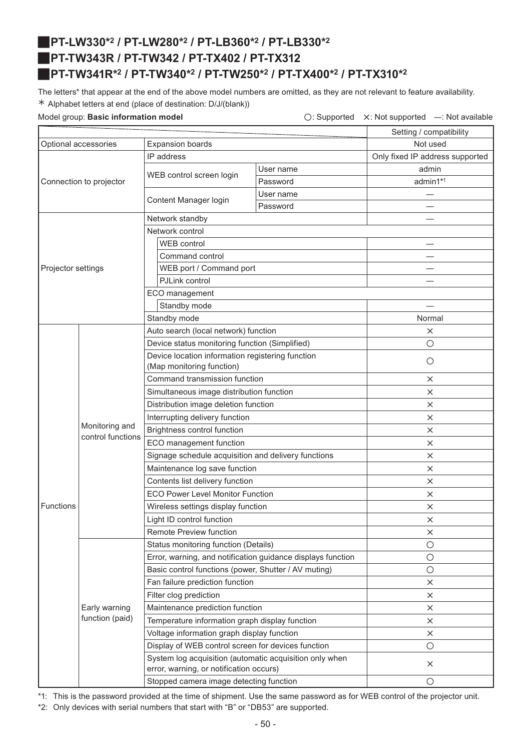# <span id="page-49-7"></span><span id="page-49-3"></span><span id="page-49-2"></span><span id="page-49-1"></span><span id="page-49-0"></span>J**PT-LW330\*2 / PT-LW280\*2 / PT-LB360\*2 / PT-LB330\*2** J**PT-TW343R / PT-TW342 / PT-TX402 / PT-TX312** J**PT-TW341R\*2 / PT-TW340\*2 / PT-TW250\*2 / PT-TX400\*2 / PT-TX310\*2**

<span id="page-49-9"></span><span id="page-49-8"></span><span id="page-49-6"></span><span id="page-49-5"></span><span id="page-49-4"></span>The letters\* that appear at the end of the above model numbers are omitted, as they are not relevant to feature availability. ½ Alphabet letters at end (place of destination: D/J/(blank))

Model group: **Basic information model**  $\bigcirc$ : Supported  $\bigtimes$ : Not supported  $\bigcirc$ : Not available

|                      |                                     |                                                                                                    |           | Setting / compatibility         |
|----------------------|-------------------------------------|----------------------------------------------------------------------------------------------------|-----------|---------------------------------|
| Optional accessories |                                     | <b>Expansion boards</b>                                                                            |           |                                 |
|                      |                                     | IP address                                                                                         |           | Only fixed IP address supported |
|                      |                                     |                                                                                                    | User name | admin                           |
|                      | Connection to projector             | WEB control screen login                                                                           | Password  | admin1*1                        |
|                      |                                     |                                                                                                    | User name |                                 |
|                      |                                     | Content Manager login                                                                              | Password  |                                 |
|                      |                                     | Network standby                                                                                    |           |                                 |
|                      |                                     | Network control                                                                                    |           |                                 |
|                      |                                     | WEB control                                                                                        |           |                                 |
|                      |                                     | Command control                                                                                    |           |                                 |
| Projector settings   |                                     | WEB port / Command port                                                                            |           |                                 |
|                      |                                     | PJLink control                                                                                     |           |                                 |
|                      |                                     | ECO management                                                                                     |           |                                 |
|                      |                                     | Standby mode                                                                                       |           |                                 |
|                      |                                     | Standby mode                                                                                       |           | Normal                          |
|                      |                                     | Auto search (local network) function                                                               |           | $\times$                        |
|                      |                                     | Device status monitoring function (Simplified)                                                     |           | $\circ$                         |
|                      |                                     | Device location information registering function                                                   |           | $\circ$                         |
|                      | Monitoring and<br>control functions | (Map monitoring function)                                                                          |           |                                 |
|                      |                                     | Command transmission function                                                                      |           | $\times$                        |
|                      |                                     | Simultaneous image distribution function                                                           |           | $\times$                        |
|                      |                                     | Distribution image deletion function                                                               |           | $\times$                        |
|                      |                                     | Interrupting delivery function                                                                     |           | $\times$                        |
|                      |                                     | <b>Brightness control function</b>                                                                 |           | $\times$                        |
|                      |                                     | ECO management function                                                                            |           | $\times$                        |
|                      |                                     | Signage schedule acquisition and delivery functions                                                |           | $\times$                        |
|                      |                                     | Maintenance log save function                                                                      |           | $\times$                        |
|                      |                                     | Contents list delivery function                                                                    |           | X                               |
|                      |                                     | <b>ECO Power Level Monitor Function</b>                                                            |           | $\times$                        |
| <b>Functions</b>     |                                     | Wireless settings display function                                                                 |           | $\times$                        |
|                      |                                     | Light ID control function                                                                          |           | X                               |
|                      |                                     | Remote Preview function                                                                            |           | ×                               |
|                      |                                     | Status monitoring function (Details)                                                               |           | O                               |
|                      |                                     | Error, warning, and notification guidance displays function                                        |           | $\bigcirc$                      |
|                      |                                     | Basic control functions (power, Shutter / AV muting)                                               |           | $\circ$                         |
|                      |                                     | Fan failure prediction function                                                                    |           | $\times$                        |
|                      |                                     | Filter clog prediction                                                                             |           | $\times$                        |
|                      | Early warning                       | Maintenance prediction function                                                                    |           | ×                               |
|                      | function (paid)                     | Temperature information graph display function                                                     |           | $\times$                        |
|                      |                                     | Voltage information graph display function                                                         |           | X                               |
|                      |                                     | Display of WEB control screen for devices function                                                 |           | $\bigcirc$                      |
|                      |                                     | System log acquisition (automatic acquisition only when<br>error, warning, or notification occurs) |           | $\times$                        |
|                      |                                     | Stopped camera image detecting function                                                            |           | O                               |

\*1: This is the password provided at the time of shipment. Use the same password as for WEB control of the projector unit.

\*2: Only devices with serial numbers that start with "B" or "DB53" are supported.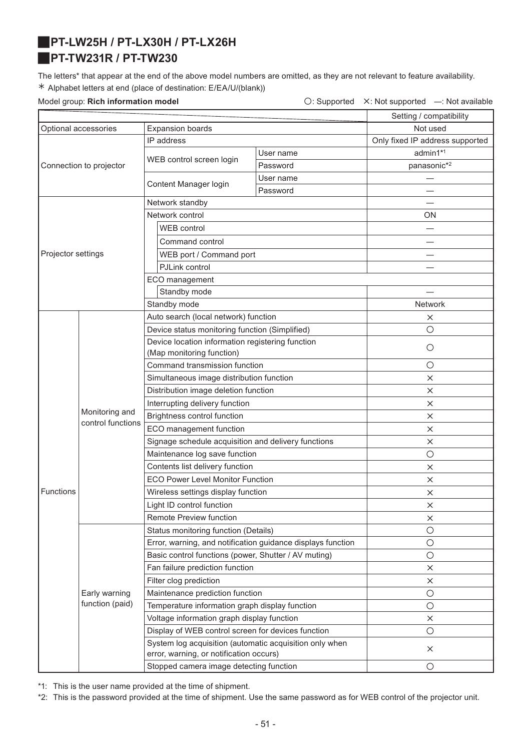# <span id="page-50-1"></span><span id="page-50-0"></span>J**PT-LW25H / PT-LX30H / PT-LX26H** J**PT-TW231R / PT-TW230**

The letters\* that appear at the end of the above model numbers are omitted, as they are not relevant to feature availability. ½ Alphabet letters at end (place of destination: E/EA/U/(blank))

Model group: **Rich information model Conservation Conservation**  $\bigcirc$ : Supported X: Not supported —: Not available

|                                                 |                                     |                                                                                                    |           | Setting / compatibility         |
|-------------------------------------------------|-------------------------------------|----------------------------------------------------------------------------------------------------|-----------|---------------------------------|
| Optional accessories<br><b>Expansion boards</b> |                                     |                                                                                                    | Not used  |                                 |
|                                                 |                                     | IP address                                                                                         |           | Only fixed IP address supported |
|                                                 |                                     |                                                                                                    | User name | admin1*1                        |
|                                                 | Connection to projector             | WEB control screen login                                                                           | Password  | panasonic*2                     |
|                                                 |                                     |                                                                                                    | User name |                                 |
|                                                 |                                     | Content Manager login                                                                              | Password  |                                 |
|                                                 |                                     | Network standby                                                                                    |           |                                 |
|                                                 |                                     | Network control                                                                                    |           | ON                              |
|                                                 |                                     | <b>WEB</b> control                                                                                 |           |                                 |
|                                                 |                                     | Command control                                                                                    |           |                                 |
| Projector settings                              |                                     | WEB port / Command port                                                                            |           |                                 |
|                                                 |                                     | PJLink control                                                                                     |           |                                 |
|                                                 |                                     | ECO management                                                                                     |           |                                 |
|                                                 |                                     | Standby mode                                                                                       |           |                                 |
|                                                 |                                     | Standby mode                                                                                       |           | <b>Network</b>                  |
|                                                 |                                     | Auto search (local network) function                                                               |           | $\times$                        |
|                                                 |                                     | Device status monitoring function (Simplified)                                                     |           | $\bigcirc$                      |
|                                                 |                                     | Device location information registering function                                                   |           | $\circ$                         |
|                                                 |                                     | (Map monitoring function)                                                                          |           |                                 |
|                                                 |                                     | Command transmission function                                                                      |           | $\bigcirc$                      |
|                                                 |                                     | Simultaneous image distribution function                                                           |           | $\times$                        |
|                                                 |                                     | Distribution image deletion function                                                               |           | $\times$                        |
|                                                 |                                     | Interrupting delivery function                                                                     |           | $\times$                        |
|                                                 | Monitoring and<br>control functions | Brightness control function                                                                        |           | $\times$                        |
|                                                 |                                     | ECO management function                                                                            |           | $\times$                        |
|                                                 |                                     | Signage schedule acquisition and delivery functions                                                | $\times$  |                                 |
|                                                 |                                     | Maintenance log save function                                                                      | $\circ$   |                                 |
|                                                 |                                     | Contents list delivery function                                                                    | $\times$  |                                 |
|                                                 |                                     | <b>ECO Power Level Monitor Function</b>                                                            | $\times$  |                                 |
| Functions                                       |                                     | Wireless settings display function                                                                 | $\times$  |                                 |
|                                                 |                                     | Light ID control function                                                                          |           | ×                               |
|                                                 |                                     | Remote Preview function                                                                            |           | $\times$                        |
|                                                 |                                     | Status monitoring function (Details)                                                               |           | O                               |
|                                                 |                                     | Error, warning, and notification guidance displays function                                        |           | $\bigcirc$                      |
|                                                 |                                     | Basic control functions (power, Shutter / AV muting)                                               |           | $\bigcirc$                      |
|                                                 |                                     | Fan failure prediction function                                                                    |           | $\times$                        |
|                                                 |                                     | Filter clog prediction                                                                             |           | $\times$                        |
|                                                 | Early warning                       | Maintenance prediction function                                                                    |           | $\bigcirc$                      |
|                                                 | function (paid)                     | Temperature information graph display function                                                     |           | $\bigcirc$                      |
|                                                 |                                     | Voltage information graph display function                                                         |           | $\times$                        |
|                                                 |                                     | Display of WEB control screen for devices function                                                 |           | $\bigcirc$                      |
|                                                 |                                     | System log acquisition (automatic acquisition only when<br>error, warning, or notification occurs) |           | $\times$                        |
|                                                 |                                     | Stopped camera image detecting function                                                            |           | $\bigcirc$                      |

\*1: This is the user name provided at the time of shipment.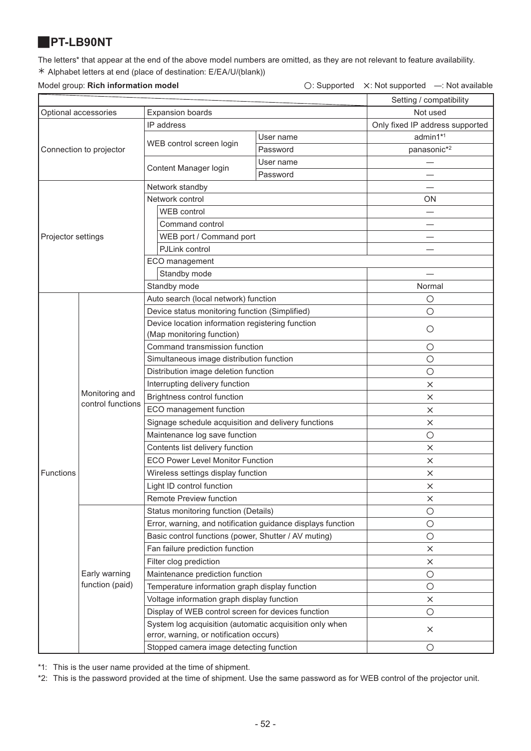### <span id="page-51-0"></span>J**PT-LB90NT**

The letters\* that appear at the end of the above model numbers are omitted, as they are not relevant to feature availability. ½ Alphabet letters at end (place of destination: E/EA/U/(blank))

### Model group: **Rich information model** △ △: Not supported △: Not supported —: Not available

|                      |                                     |                                                                                                    |            | Setting / compatibility         |
|----------------------|-------------------------------------|----------------------------------------------------------------------------------------------------|------------|---------------------------------|
| Optional accessories |                                     | <b>Expansion boards</b>                                                                            | Not used   |                                 |
|                      |                                     | IP address                                                                                         |            | Only fixed IP address supported |
|                      |                                     | WEB control screen login                                                                           | User name  | admin1*1                        |
|                      | Connection to projector             |                                                                                                    | Password   | panasonic*2                     |
|                      |                                     | Content Manager login                                                                              | User name  |                                 |
|                      |                                     |                                                                                                    | Password   |                                 |
|                      |                                     | Network standby                                                                                    |            |                                 |
|                      |                                     | Network control                                                                                    |            | ON                              |
|                      |                                     | <b>WEB</b> control                                                                                 |            |                                 |
|                      |                                     | Command control                                                                                    |            |                                 |
| Projector settings   |                                     | WEB port / Command port                                                                            |            |                                 |
|                      |                                     | PJLink control                                                                                     |            |                                 |
|                      |                                     | ECO management                                                                                     |            |                                 |
|                      |                                     | Standby mode                                                                                       |            |                                 |
|                      |                                     | Standby mode                                                                                       |            | Normal                          |
|                      |                                     | Auto search (local network) function                                                               |            | $\circ$                         |
|                      |                                     | Device status monitoring function (Simplified)                                                     |            | $\circ$                         |
|                      |                                     | Device location information registering function                                                   |            | $\circ$                         |
|                      |                                     | (Map monitoring function)                                                                          |            |                                 |
|                      | Monitoring and<br>control functions | Command transmission function                                                                      |            | O                               |
|                      |                                     | Simultaneous image distribution function                                                           |            | $\circ$                         |
|                      |                                     | Distribution image deletion function                                                               |            | $\circ$                         |
|                      |                                     | Interrupting delivery function                                                                     |            | $\times$                        |
|                      |                                     | Brightness control function                                                                        | $\times$   |                                 |
|                      |                                     | ECO management function                                                                            | $\times$   |                                 |
|                      |                                     | Signage schedule acquisition and delivery functions                                                | $\times$   |                                 |
|                      |                                     | Maintenance log save function                                                                      | $\bigcirc$ |                                 |
|                      |                                     | Contents list delivery function                                                                    | $\times$   |                                 |
|                      |                                     | <b>ECO Power Level Monitor Function</b>                                                            | $\times$   |                                 |
| Functions            |                                     | Wireless settings display function                                                                 | $\times$   |                                 |
|                      |                                     | Light ID control function                                                                          |            | $\times$                        |
|                      |                                     | Remote Preview function                                                                            |            | ×                               |
|                      |                                     | Status monitoring function (Details)                                                               |            | $\bigcirc$                      |
|                      |                                     | Error, warning, and notification guidance displays function                                        |            | $\bigcirc$                      |
|                      |                                     | Basic control functions (power, Shutter / AV muting)                                               |            | $\circ$                         |
|                      |                                     | Fan failure prediction function                                                                    |            | $\times$                        |
|                      |                                     | Filter clog prediction                                                                             |            | ×                               |
|                      | Early warning                       | Maintenance prediction function                                                                    |            | $\bigcirc$                      |
|                      | function (paid)                     | Temperature information graph display function                                                     |            | $\bigcirc$                      |
|                      |                                     | Voltage information graph display function                                                         |            | X                               |
|                      |                                     | Display of WEB control screen for devices function                                                 |            | $\bigcirc$                      |
|                      |                                     | System log acquisition (automatic acquisition only when<br>error, warning, or notification occurs) |            | $\times$                        |
|                      |                                     | Stopped camera image detecting function                                                            |            | $\circ$                         |
|                      |                                     |                                                                                                    |            |                                 |

\*1: This is the user name provided at the time of shipment.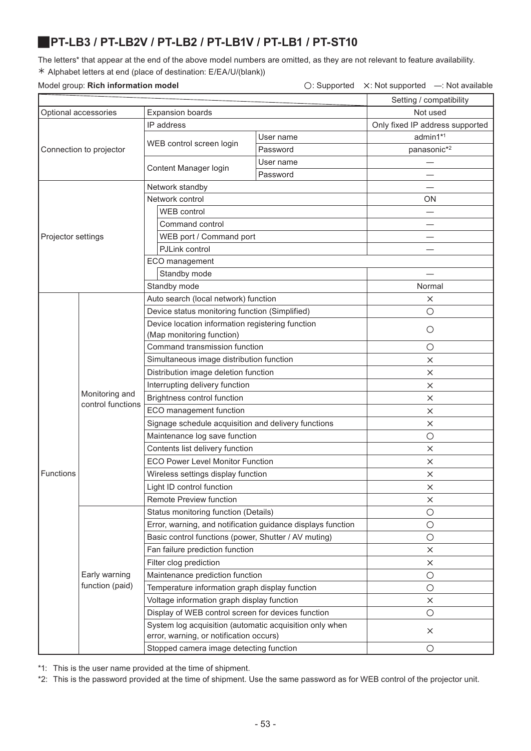# <span id="page-52-0"></span>J**PT-LB3 / PT-LB2V / PT-LB2 / PT-LB1V / PT-LB1 / PT-ST10**

The letters\* that appear at the end of the above model numbers are omitted, as they are not relevant to feature availability. ½ Alphabet letters at end (place of destination: E/EA/U/(blank))

### Model group: **Rich information model** △ **Consumersed A: Not supported A: Not supported —: Not available**

|                         |                                     | Setting / compatibility                                                                            |           |                                 |  |
|-------------------------|-------------------------------------|----------------------------------------------------------------------------------------------------|-----------|---------------------------------|--|
| Optional accessories    |                                     | <b>Expansion boards</b>                                                                            | Not used  |                                 |  |
| Connection to projector |                                     | IP address                                                                                         |           | Only fixed IP address supported |  |
|                         |                                     | WEB control screen login                                                                           | User name | admin1*1                        |  |
|                         |                                     |                                                                                                    | Password  | panasonic*2                     |  |
|                         |                                     | Content Manager login                                                                              | User name |                                 |  |
|                         |                                     |                                                                                                    | Password  |                                 |  |
| Projector settings      |                                     | Network standby                                                                                    |           |                                 |  |
|                         |                                     | Network control                                                                                    | ΟN        |                                 |  |
|                         |                                     | <b>WEB</b> control                                                                                 |           |                                 |  |
|                         |                                     | Command control                                                                                    |           |                                 |  |
|                         |                                     | WEB port / Command port                                                                            |           |                                 |  |
|                         |                                     | PJLink control                                                                                     |           |                                 |  |
|                         |                                     | ECO management                                                                                     |           |                                 |  |
|                         |                                     | Standby mode                                                                                       |           |                                 |  |
|                         |                                     | Standby mode                                                                                       |           | Normal                          |  |
|                         |                                     | Auto search (local network) function                                                               |           | X                               |  |
|                         |                                     | Device status monitoring function (Simplified)                                                     | $\circ$   |                                 |  |
|                         |                                     | Device location information registering function                                                   |           | $\circ$                         |  |
|                         |                                     | (Map monitoring function)                                                                          |           |                                 |  |
|                         |                                     | Command transmission function                                                                      |           | $\circ$                         |  |
|                         |                                     | Simultaneous image distribution function                                                           |           | $\times$                        |  |
|                         |                                     | Distribution image deletion function                                                               |           | ×                               |  |
|                         |                                     | Interrupting delivery function                                                                     |           | ×                               |  |
|                         | Monitoring and<br>control functions | Brightness control function                                                                        |           | X                               |  |
|                         |                                     | ECO management function                                                                            |           | X                               |  |
|                         |                                     | Signage schedule acquisition and delivery functions                                                |           | ×                               |  |
|                         |                                     | Maintenance log save function                                                                      |           | $\circ$                         |  |
|                         |                                     | Contents list delivery function                                                                    |           | X                               |  |
|                         |                                     | <b>ECO Power Level Monitor Function</b>                                                            |           | ×                               |  |
| Functions               |                                     | Wireless settings display function                                                                 |           | ×                               |  |
|                         |                                     | Light ID control function                                                                          |           | ×                               |  |
|                         |                                     | Remote Preview function                                                                            |           | X                               |  |
|                         | Early warning<br>function (paid)    | Status monitoring function (Details)                                                               |           | $\bigcirc$                      |  |
|                         |                                     | Error, warning, and notification guidance displays function                                        |           | $\bigcirc$                      |  |
|                         |                                     | Basic control functions (power, Shutter / AV muting)                                               |           | $\bigcirc$                      |  |
|                         |                                     | Fan failure prediction function                                                                    |           | ×                               |  |
|                         |                                     | Filter clog prediction                                                                             |           | X                               |  |
|                         |                                     | Maintenance prediction function                                                                    |           | $\bigcirc$                      |  |
|                         |                                     | Temperature information graph display function                                                     |           | $\bigcirc$                      |  |
|                         |                                     | Voltage information graph display function                                                         |           | X                               |  |
|                         |                                     | Display of WEB control screen for devices function                                                 |           | $\circ$                         |  |
|                         |                                     | System log acquisition (automatic acquisition only when<br>error, warning, or notification occurs) |           | $\times$                        |  |
|                         |                                     | Stopped camera image detecting function                                                            | $\circ$   |                                 |  |

\*1: This is the user name provided at the time of shipment.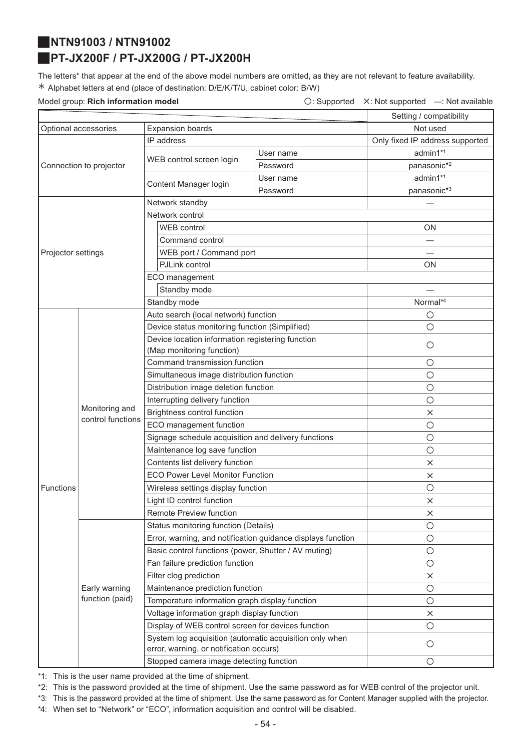### <span id="page-53-1"></span><span id="page-53-0"></span>J**NTN91003 / NTN91002**

# J**PT-JX200F / PT-JX200G / PT-JX200H**

The letters\* that appear at the end of the above model numbers are omitted, as they are not relevant to feature availability. ½ Alphabet letters at end (place of destination: D/E/K/T/U, cabinet color: B/W)

Model group: **Rich information model Conservation Conservation**  $\bigcirc$ : Supported X: Not supported —: Not available

|                         |                                  |                                                                                                    |                                 | Setting / compatibility |
|-------------------------|----------------------------------|----------------------------------------------------------------------------------------------------|---------------------------------|-------------------------|
|                         | Optional accessories             | <b>Expansion boards</b>                                                                            |                                 | Not used                |
| Connection to projector |                                  | IP address                                                                                         | Only fixed IP address supported |                         |
|                         |                                  | WEB control screen login                                                                           | User name                       | admin1*1                |
|                         |                                  |                                                                                                    | Password                        | panasonic*2             |
|                         |                                  | Content Manager login                                                                              | User name                       | admin1*1                |
|                         |                                  |                                                                                                    | Password                        | panasonic*3             |
| Projector settings      |                                  | Network standby                                                                                    |                                 |                         |
|                         |                                  | Network control                                                                                    |                                 |                         |
|                         |                                  | <b>WEB</b> control                                                                                 |                                 | <b>ON</b>               |
|                         |                                  | Command control                                                                                    |                                 |                         |
|                         |                                  | WEB port / Command port                                                                            |                                 |                         |
|                         |                                  | PJLink control                                                                                     | <b>ON</b>                       |                         |
|                         |                                  | ECO management                                                                                     |                                 |                         |
|                         |                                  | Standby mode                                                                                       |                                 |                         |
|                         |                                  | Standby mode                                                                                       | Normal*4                        |                         |
|                         |                                  | Auto search (local network) function                                                               |                                 | $\bigcirc$              |
|                         |                                  | Device status monitoring function (Simplified)                                                     |                                 | О                       |
|                         |                                  | Device location information registering function                                                   |                                 |                         |
|                         |                                  | (Map monitoring function)                                                                          |                                 | О                       |
|                         |                                  | Command transmission function                                                                      |                                 | $\bigcirc$              |
|                         |                                  | Simultaneous image distribution function                                                           |                                 | $\bigcirc$              |
|                         |                                  | Distribution image deletion function                                                               |                                 | $\bigcirc$              |
|                         |                                  | Interrupting delivery function                                                                     |                                 | $\bigcirc$              |
|                         | Monitoring and                   | Brightness control function                                                                        | $\times$                        |                         |
|                         | control functions                | ECO management function                                                                            |                                 | $\bigcirc$              |
|                         |                                  | Signage schedule acquisition and delivery functions                                                |                                 | $\bigcirc$              |
|                         |                                  | Maintenance log save function                                                                      |                                 | $\bigcirc$              |
|                         |                                  | Contents list delivery function                                                                    |                                 | $\times$                |
|                         |                                  | <b>ECO Power Level Monitor Function</b>                                                            |                                 | $\times$                |
| Functions               |                                  | Wireless settings display function                                                                 |                                 | $\circ$                 |
|                         |                                  | Light ID control function                                                                          |                                 | $\times$                |
|                         |                                  | Remote Preview function                                                                            |                                 | $\times$                |
|                         | Early warning<br>function (paid) | Status monitoring function (Details)                                                               |                                 | $\bigcirc$              |
|                         |                                  | Error, warning, and notification guidance displays function                                        |                                 | $\bigcirc$              |
|                         |                                  | Basic control functions (power, Shutter / AV muting)                                               |                                 | $\bigcirc$              |
|                         |                                  | Fan failure prediction function                                                                    |                                 | $\bigcirc$              |
|                         |                                  | Filter clog prediction                                                                             |                                 | $\times$                |
|                         |                                  | Maintenance prediction function                                                                    |                                 | $\bigcirc$              |
|                         |                                  | Temperature information graph display function                                                     | $\bigcirc$                      |                         |
|                         |                                  | Voltage information graph display function                                                         |                                 | ×                       |
|                         |                                  | Display of WEB control screen for devices function                                                 |                                 | $\bigcirc$              |
|                         |                                  | System log acquisition (automatic acquisition only when<br>error, warning, or notification occurs) | $\bigcirc$                      |                         |
|                         |                                  | Stopped camera image detecting function                                                            | О                               |                         |

\*1: This is the user name provided at the time of shipment.

\*2: This is the password provided at the time of shipment. Use the same password as for WEB control of the projector unit.

\*3: This is the password provided at the time of shipment. Use the same password as for Content Manager supplied with the projector.

\*4: When set to "Network" or "ECO", information acquisition and control will be disabled.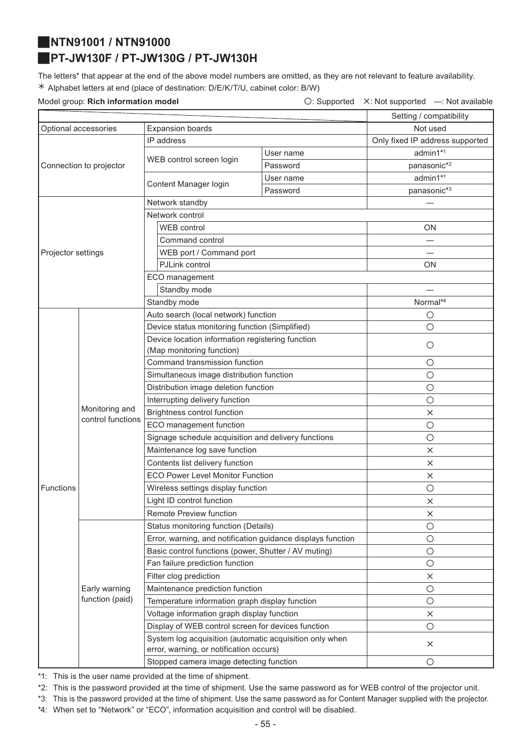# <span id="page-54-0"></span>J**NTN91001 / NTN91000**

### <span id="page-54-1"></span>J**PT-JW130F / PT-JW130G / PT-JW130H**

The letters\* that appear at the end of the above model numbers are omitted, as they are not relevant to feature availability. ½ Alphabet letters at end (place of destination: D/E/K/T/U, cabinet color: B/W)

Model group: **Rich information model Conservation Conservation**  $\bigcirc$ : Supported X: Not supported —: Not available

|                      |                                     |                                                                                                    |                                      | Setting / compatibility         |  |
|----------------------|-------------------------------------|----------------------------------------------------------------------------------------------------|--------------------------------------|---------------------------------|--|
| Optional accessories |                                     | <b>Expansion boards</b>                                                                            |                                      | Not used                        |  |
|                      |                                     | IP address                                                                                         |                                      | Only fixed IP address supported |  |
|                      |                                     |                                                                                                    | User name                            | admin1*1                        |  |
|                      | Connection to projector             | WEB control screen login                                                                           | Password                             | $panasonic*2$                   |  |
|                      |                                     | Content Manager login                                                                              | User name                            | admin1*1                        |  |
|                      |                                     |                                                                                                    | Password                             | panasonic*3                     |  |
|                      |                                     | Network standby                                                                                    |                                      |                                 |  |
|                      |                                     | Network control                                                                                    |                                      |                                 |  |
|                      |                                     | WEB control                                                                                        |                                      | <b>ON</b>                       |  |
|                      |                                     | Command control                                                                                    |                                      |                                 |  |
| Projector settings   |                                     | WEB port / Command port                                                                            |                                      |                                 |  |
|                      |                                     | PJLink control                                                                                     |                                      | ΟN                              |  |
|                      |                                     | ECO management                                                                                     |                                      |                                 |  |
|                      |                                     | Standby mode                                                                                       |                                      |                                 |  |
|                      |                                     | Standby mode                                                                                       |                                      | Normal*4                        |  |
|                      |                                     |                                                                                                    | Auto search (local network) function |                                 |  |
|                      |                                     | Device status monitoring function (Simplified)                                                     |                                      | $\circ$                         |  |
|                      |                                     | Device location information registering function                                                   |                                      | $\circ$                         |  |
|                      |                                     | (Map monitoring function)                                                                          |                                      |                                 |  |
|                      |                                     | Command transmission function                                                                      |                                      | $\bigcirc$                      |  |
|                      |                                     | Simultaneous image distribution function                                                           |                                      | $\bigcirc$                      |  |
|                      |                                     | Distribution image deletion function                                                               |                                      | $\bigcirc$                      |  |
|                      |                                     | Interrupting delivery function                                                                     |                                      | $\circ$                         |  |
|                      | Monitoring and<br>control functions | Brightness control function                                                                        |                                      | $\times$                        |  |
|                      |                                     | ECO management function                                                                            |                                      | $\bigcirc$                      |  |
|                      |                                     | Signage schedule acquisition and delivery functions                                                |                                      | $\circ$                         |  |
|                      |                                     | Maintenance log save function                                                                      |                                      | $\times$                        |  |
|                      |                                     | Contents list delivery function                                                                    |                                      | $\times$                        |  |
|                      |                                     | <b>ECO Power Level Monitor Function</b>                                                            |                                      | $\times$                        |  |
| <b>Functions</b>     |                                     | Wireless settings display function                                                                 |                                      | $\bigcirc$                      |  |
|                      |                                     | Light ID control function                                                                          |                                      | ×                               |  |
|                      |                                     | Remote Preview function                                                                            |                                      | $\times$                        |  |
|                      | Early warning<br>function (paid)    | Status monitoring function (Details)                                                               |                                      | $\circ$                         |  |
|                      |                                     | Error, warning, and notification guidance displays function                                        |                                      | $\bigcirc$                      |  |
|                      |                                     | Basic control functions (power, Shutter / AV muting)                                               |                                      | $\bigcirc$                      |  |
|                      |                                     | Fan failure prediction function                                                                    |                                      | $\bigcirc$                      |  |
|                      |                                     | Filter clog prediction                                                                             |                                      | $\times$                        |  |
|                      |                                     | Maintenance prediction function                                                                    |                                      | $\bigcirc$                      |  |
|                      |                                     | Temperature information graph display function                                                     |                                      | $\bigcirc$                      |  |
|                      |                                     | Voltage information graph display function                                                         |                                      | $\times$                        |  |
|                      |                                     | Display of WEB control screen for devices function                                                 |                                      | $\bigcirc$                      |  |
|                      |                                     | System log acquisition (automatic acquisition only when<br>error, warning, or notification occurs) |                                      | $\times$                        |  |
|                      |                                     | Stopped camera image detecting function                                                            | $\bigcirc$                           |                                 |  |

\*1: This is the user name provided at the time of shipment.

\*2: This is the password provided at the time of shipment. Use the same password as for WEB control of the projector unit.

\*3: This is the password provided at the time of shipment. Use the same password as for Content Manager supplied with the projector.

\*4: When set to "Network" or "ECO", information acquisition and control will be disabled.